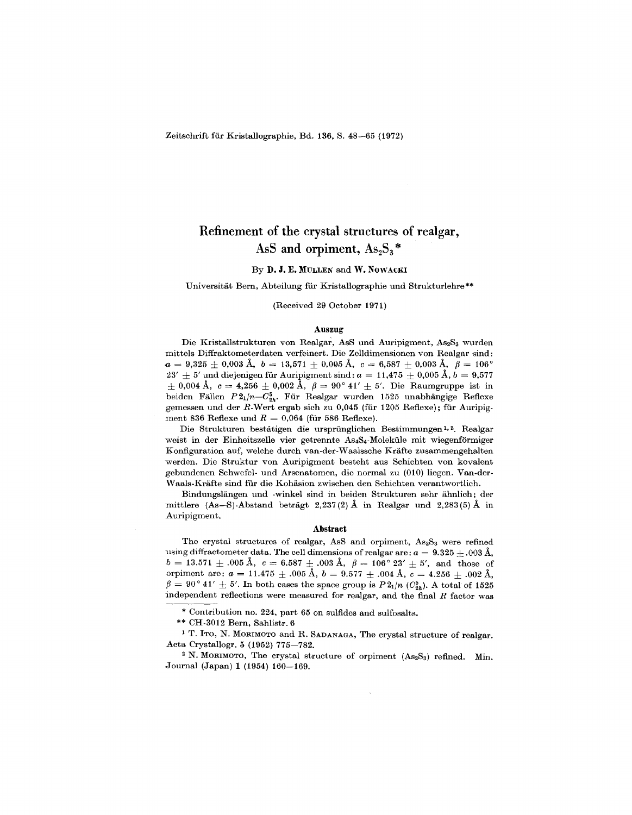Zeitschrift fiir Kristallographie, Bd. 136, S. 48-65 (1972)

# Refinement of the crystal structures of realgar, AsS and orpiment,  $As_2S_3*$

#### By D. J. E. MULLEN and W. NOWACKI

#### Universitat Bem, Abteilung fiir Kristallographie und Strukturlehre\*\*

#### (Received 29 October 1971)

#### Auszug

Die Kristallstrukturen von Realgar, AsS und Auripigment, As2S<sub>3</sub> wurden mittels Diffraktometerdaten verfeinert. Die Zelldimensionen von Realgar sind:  $a = 9{,}325 \pm 0{,}003 \ \mathrm{\AA}, \,\, b = 13{,}571 \pm 0{,}005 \ \mathrm{\AA}, \,\, c = 6{,}587 \pm 0{,}003 \ \mathrm{\AA}, \,\, \, \beta = 106^{\circ}$  $23'\pm5'$  und diejenigen für Auripigment sind:  $a=11{,}475\pm0{,}005$  Å,  $b=9{,}577$  $\pm$  0,004 A,  $c = 4{,}256 \pm 0{,}002$  A,  $\beta = 90^{\circ}$  41'  $\pm$  5'. Die Raumgruppe ist in beiden Fällen  $P2_1/n-C_{2n}^5$ . Für Realgar wurden 1525 unabhängige Reflexe gemessen und der R-Wert ergab sich zu 0,045 (für 1205 Reflexe); für Auripigment 836 Reflexe und  $R = 0,064$  (für 586 Reflexe

Die Strukturen bestatigen die ursprunglichen Bestimmungen 1,2. Realgar weist in der Einheitszelle vier getrennte As4S4-Moleküle mit wiegenförmiger Konfiguration auf, welche durch van-der-Waalssche Krafte zusammengehalten werden. Die Struktur von Auripigment besteht aus Schichten von kovalent gebundenen Schwefel- und Arsenatomen, die normal zu (010) liegen. Van-der-Waals-Krafte sind fiir die Kohasion zwischen den Schichten verantwortlich.

Bindungslangen und -winkel sind in beiden Strukturen sehr ahnlich; der mittlere (As-S)-Abstand beträgt 2,237(2) Å in Realgar und 2,283(5) Å in Auripigment.

#### Abstract

The crystal structures of realgar, AsS and orpiment,  $As_2S_3$  were refined using diffractometer data. The cell dimensions of realgar are:  $a = 9.325 \pm .003$  Å,  $b = 13.571 \pm .005 \ \text{A}, \ \ c = 6.587 \ \pm \ .003 \ \text{A}, \ \ \beta = 106^{\circ} \ 23' \ \pm \ 5', \ \ \text{and} \ \ \text{those} \ \ \text{of} \ \ \text{and} \ \ \beta = 106 \ \ \text{A}.$ orpiment are:  $a = 11.475 \pm .005$  Å,  $b = 9.577 \pm .004$  Å,  $c = 4.256 + .002$  Å,  ${\beta} = 90^{\circ}$  41'  $\pm$  5'. In both cases the space group is  $P2_1/n$  ( $C_{2h}^5$ ). A total of 1525 independent reflections were measured for realgar, and the final *R* factor was

\* Contribution no. 224, part 65 on sulfides and sulfosalts.

\*\* CH-3012 Bern, Sahlistr.6

1 T. ITO, N. MORIMOTO and R. SADANAGA, The crystal structure of realgar. Acta Crystallogr. 5 (1952) 775-782.

<sup>2</sup> N. MORIMOTO, The crystal structure of orpiment  $(As<sub>2</sub>S<sub>3</sub>)$  refined. Min. Journal (Japan) 1 (1954) 160-169.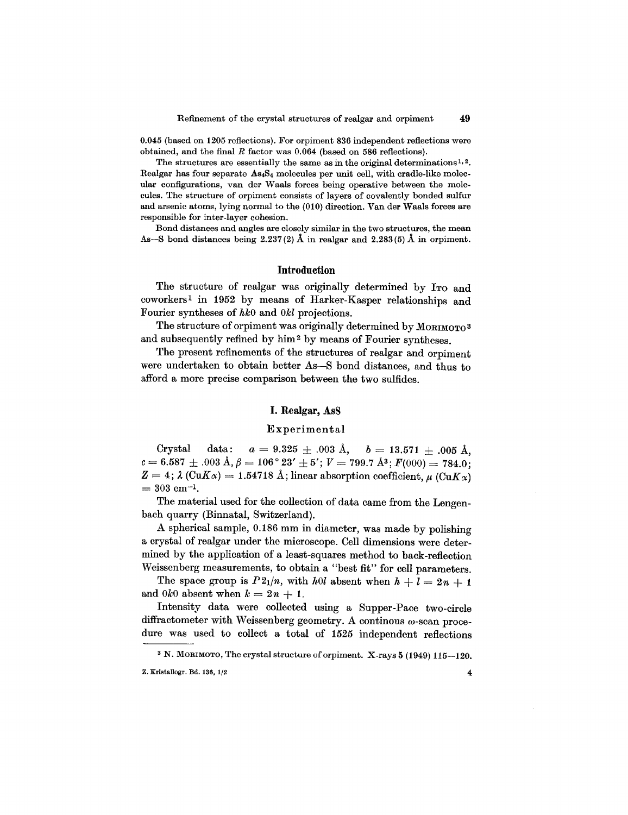0.045 (based on 1205 reflections). For orpiment 836 independent reflections were obtained, and the final *R* factor was 0.064 (based on 586 reflections).

The structures are essentially the same as in the original determinations<sup>1,2</sup>. Realgar has four separate AS4S4 molecules per unit cell, with cradle-like molecular configurations, van der Waals forces being operative between the molecules. The structure of orpiment consists of layers of covalently bonded sulfur and arsenic atoms, lying normal to the (010) direction. Van der Waals forces are responsible for inter-layer cohesion.

Bond distances and angles are closely similar in the two structures, the mean As-S bond distances being  $2.237(2)$  Å in realgar and  $2.283(5)$  Å in orpiment.

### **Introduction**

The structure of realgar was originally determined by ITo and coworkers I in 1952 by means of Harker-Kasper relationships and Fourier syntheses of *hkO* and *Okl* projections.

The structure of orpiment was originally determined by MORIMOTO3 and subsequently refined by him 2 by means of Fourier syntheses.

The present refinements of the structures of realgar and orpiment were undertaken to obtain better As-S bond distances, and thus to afford a more precise comparison between the two sulfides.

#### **I.** Realgar, AsS

#### Experimental

Crystal data:  $a = 9.325 \pm .003$  Å,  $b = 13.571 + .005$  Å,  $c= 6.587 \pm .003 \text{ Å}, \beta= 106^{\circ} 23' \pm 5';\, V= 799.7 \text{ Å}^3; F(000)= 784.0;$  $Z=4$  ;  $\lambda$  (Cu $K\alpha) = 1.54718$  Å ; linear absorption coefficient,  $\mu$  (Cu $K\alpha)$  $= 303$  cm<sup>-1</sup>

The material used for the collection of data came from the Lengenbach quarry (Binnatal, Switzerland).

A spherical sample, 0.186 mm in diameter, was made by polishing a crystal of realgar under the microscope. Cell dimensions were determined by the application of a least-squares method to back-reflection Weissenberg measurements, to obtain a "best fit" for cell parameters.

The space group is  $P2_1/n$ , with *hOl* absent when  $h + l = 2n + 1$ and 0k0 absent when  $k = 2n + 1$ .

Intensity data were collected using a Supper-Pace two-circle diffractometer with Weissenberg geometry. A continous  $\omega$ -scan procedure was used to collect a total of 1525 independent reflections

 $3$  N. MORIMOTO, The crystal structure of orpiment. X-rays  $5$  (1949) 115-120. **Z.** Kristallogr. Bd. 136,  $1/2$  4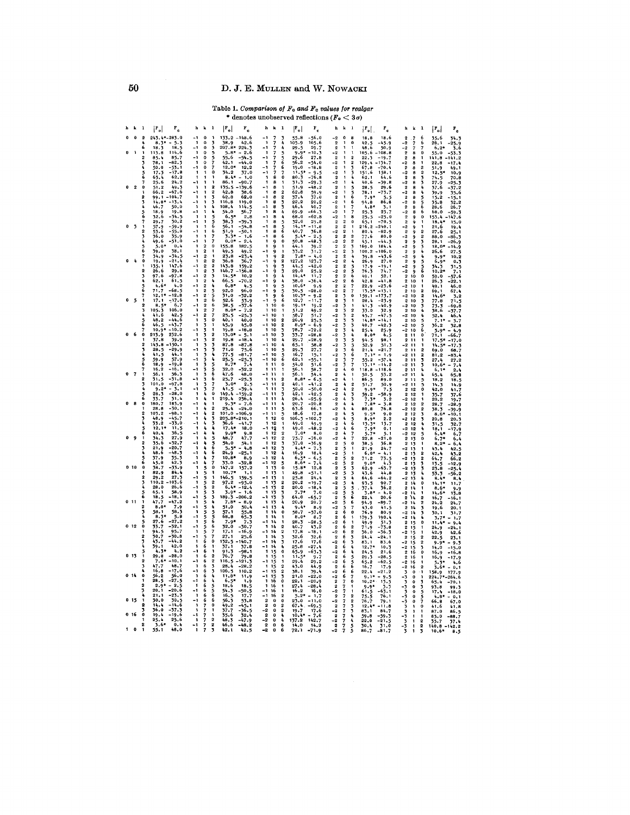# D. J. E. MULLEN and W. NOWACKI

# Table 1. Comparison of  $F_0$  and  $F_c$  values for realgar<br>\* denotes unobserved reflections  $(F_0 < 3\sigma)$

|                    |                          | $\mathbf{1}$   | $ F_o $<br>$\mathbf{r}_{\rm e}$      | h                               | k                                | -1                           | $ \mathbf{F_o} $<br>$\mathbf{r}_{\rm e}$ | ħ<br>k                                             | 1                                | $ F_o $<br>$\mathbf{r}_{\rm c}$      | h<br>k                                                                        | $\blacksquare$                   | $ F_o $ .<br>$\mathbf{r}_{\mathbf{c}}$ | k<br>$\mathbf{1}$<br>г                                                                     | $\lceil r_{\text{o}} \rceil$<br>$\mathbf{r}_{\rm e}$ |
|--------------------|--------------------------|----------------|--------------------------------------|---------------------------------|----------------------------------|------------------------------|------------------------------------------|----------------------------------------------------|----------------------------------|--------------------------------------|-------------------------------------------------------------------------------|----------------------------------|----------------------------------------|--------------------------------------------------------------------------------------------|------------------------------------------------------|
| ō                  | $\bf{0}$                 | $\overline{2}$ | $243.4*-283.0$                       | - 1                             | $\bf{0}$                         |                              | 133.2<br>148.6                           |                                                    | 3                                | 55.8<br>$-56.0$                      | $-2$<br>$\Omega$                                                              | 8                                | 18,8<br>18.6                           | 2<br>6<br>7                                                                                | 35.6<br>34.3                                         |
|                    |                          | 6              | $8.3*$<br>$-5.3$<br>18.3<br>18.5     | -1<br>- 1                       | $\Omega$<br>$\bf{0}$             | 3                            | 38.9<br>42.6<br>$207.8*$<br>224.3        | $\mathbf{1}$<br>7<br>7<br>- 1                      | À<br>۸                           | 105.9<br>105.6<br>29.5<br>29.7       | $\overline{2}$<br>1<br>$\mathbf{2}$                                           | $\Omega$<br>1                    | 42.5<br>-45.9<br>48.6<br>50.9          | -- 2<br>7<br>6<br>-2                                                                       | 28.1<br>25.9<br>$6.2*$                               |
| O                  | 1                        | 1              | $113.8$<br>85.4<br>114.6             | -1                              | 0                                | 5                            | $5.8*$<br>-2.6                           | 1<br>7                                             | 5                                | 9.9<br>$-10.3$                       | -2                                                                            | 1                                | $-108.8$<br>105.6                      | $\bf{0}$<br>$\overline{2}$<br>a                                                            | 55.0<br>53.3                                         |
|                    |                          | 2              | 85.7<br>$-82.3$<br>78.1              | - 1<br>-1                       | o<br>$\Omega$                    |                              | 55.6<br>-54.5<br>42.1<br>$-44.0$         | -1                                                 | $\tilde{6}$                      | 29.6<br>27.8<br>56.2<br>$-54.0$      | $\overline{2}$<br>-2                                                          | $\overline{2}$<br>$\overline{2}$ | $-19.7$<br>22.3<br>129.4<br>$-134.7$   | $\overline{2}$<br>1<br>a<br>-2<br>8                                                        | 14 1. A<br>41.2<br>22.8<br>17.1                      |
|                    |                          |                | -53.1<br>50.0                        |                                 |                                  |                              | $12.0*$<br>12.2                          |                                                    | 6                                | 19.0<br>$-18.8$                      | $\overline{2}$                                                                | 3                                | 67.8<br>$-70.4$                        | $\overline{2}$<br>$\overline{2}$<br>8                                                      | 51.9<br>49.1                                         |
|                    |                          |                | $-17.8$<br>17.3<br>62.2              |                                 |                                  | $\bf{0}$                     | 34.2<br>37.0<br>$8.4*$                   |                                                    | 0                                | $11.5*$<br>$-9.5$<br>$-76.8$         | -2<br>$\overline{2}$                                                          |                                  | 158.1<br>151.6<br>62.1<br>64.6         | $\overline{2}$<br>-2<br>$\overline{2}$                                                     | 12.5<br>10.9                                         |
|                    |                          |                | 63.4<br>24.2<br>25.6                 |                                 |                                  |                              | 86.1<br>90.7                             | 8                                                  |                                  | 80.3<br>31.3<br>$-29.3$              | $\cdot$                                                                       |                                  | 40.6<br>39.8                           | 3<br>3<br>-2                                                                               | 74.5<br>70<br>27.9<br>25.1                           |
| O                  | $\overline{2}$           | $\bf{0}$       | 49.3                                 | -1                              |                                  | $\overline{2}$               | 135.5<br>39.6                            | a                                                  |                                  | 51.9<br>$-48.2$                      | $\overline{2}$                                                                | 5                                | 28.5<br>29.6                           | $\overline{2}$<br>4                                                                        | 37.6                                                 |
|                    |                          |                | 66.2<br>-67.6<br>$-104.7$<br>99.1    | - 1<br>$\mathbf{1}$             |                                  | $\overline{2}$               | 42.8<br>38.6<br>62.8<br>62.0             | a<br>$-1$<br>8                                     | $\overline{2}$<br>$\overline{2}$ | 62.8<br>59.9<br>37.4<br>37.0         | -2<br>1<br>$\overline{2}$                                                     | 5<br>6                           | 78.1<br>$-73.7$<br>$7.9*$<br>5.5       | -2<br>4<br>8<br>$\overline{2}$<br>5<br>8                                                   | 39.9<br>15.2                                         |
|                    |                          |                | $-15.4$<br>14.8                      | - 1                             |                                  | 3                            | 116.8<br>119.0                           | 1<br>8                                             | 3                                | 22.2<br>20.2                         | -2                                                                            | 6                                | 86.8<br>94.8                           | -2<br>a<br>5                                                                               | 35.8<br>32                                           |
|                    |                          |                | 50.0<br>46.7<br>19.8<br>18.9         | -1<br>- 1                       |                                  |                              | 108.4<br>114.5<br>54.0<br>56.7           | 8<br>8                                             | 5<br>4                           | 46.4<br>40.7<br>69.9<br>$-66.3$      | $\overline{2}$<br>-2                                                          |                                  | 4.8'<br>3.1<br>25.3<br>23.7            | ó<br>$\overline{2}$<br>а<br>6<br>-2<br>8                                                   | 28.6<br>26.7<br>68.0<br>59                           |
|                    |                          |                | 32.6<br>$-34.5$                      |                                 |                                  |                              | $6.5*$<br>2.8                            | 8                                                  | 4                                | $-62.8$<br>68.0                      | -2                                                                            | 8                                | 25.5<br>$-25.0$                        | $\overline{2}$<br>$\mathbf{o}$<br>9                                                        | 153.4<br>47.6                                        |
| $\mathbf 0$        | $\overline{\mathbf{3}}$  |                | 50.2<br>29.7<br>$-59.9$<br>57.9      | J.                              |                                  | 5<br>$\overline{6}$          | 38.3<br>$-39.3$<br>56. 1<br>$-54.8$      | 8<br>8                                             |                                  | 32.0<br>29.8<br>14.1*<br>$-11.8$     | $\overline{2}$<br>$\overline{2}$<br>$\overline{\mathbf{2}}$<br>$\overline{2}$ | 0<br>I,                          | 65.1<br>$-70.5$<br>216.2<br>$-240.1$   | 2<br>-2                                                                                    | 18,4<br>21.6<br>19.1                                 |
|                    |                          |                | 53.6<br>-55.8                        | $-1$                            |                                  | 6                            | 51.9<br>$-50.1$                          | 8<br>-1                                            | ۔<br>6                           | 40.7<br>36.8                         | $-2$<br>$\mathbf{2}$                                                          | $\mathbf{1}$                     | 80.4<br>$-82.9$                        | $\overline{2}$<br>$\overline{2}$                                                           | 27.6                                                 |
|                    |                          |                | 36.0<br>35.9<br>49.6<br>$-51.0$      | $\mathbf{1}$<br>$-1$            |                                  | 7<br>7                       | 3.3<br>- 1.6<br>٠<br>$0.0*$<br>2.4       | - 1<br>8<br>1<br>9                                 | 6<br>$\mathbf{0}$                | $5.4*$<br>$-2.5$<br>50.8             | $\mathbf{2}$<br>2<br>-2<br>$\overline{2}$                                     | $\overline{2}$<br>$\overline{2}$ | 77.6<br>80,0<br>45.1<br>$-44.5$        | -2<br>$\overline{2}$<br>$\overline{2}$                                                     | 88.0<br>28.1<br>-26                                  |
|                    |                          |                | 0.4<br>5.0                           | -1                              | 2                                | $\ddot{\mathbf{0}}$          | 182.5<br>155.8                           | л<br>٩                                             | 1                                | $-48.3$<br>39.2<br>44.1              | $\overline{2}$<br>$\overline{2}$                                              | 3                                | 169.0<br>184.4                         | 33<br>- 2                                                                                  | $18.0*$                                              |
|                    |                          |                | 39.0<br>38.1<br>34.9<br>$-34.5$      | -1<br>-1                        | 2<br>$\overline{2}$              |                              | 49.2<br>49.5<br>23.8<br>$-23.4$          | ۰<br>$\mathbf{1}$<br>9                             | 1<br>2                           | 33.2<br>31.7<br>$7.8*$<br>$-4.0$     | $\overline{2}$<br>$-2$<br>$\overline{\mathbf{2}}$<br>$\overline{2}$           | 3<br>í,                          | 100.2<br>-106.0<br>39.8<br>-43.6       | 2<br>4<br>$\alpha$<br>-2<br>$\boldsymbol{l}_k$                                             | 26.6<br>27.                                          |
|                    |                          | $\mathbf 0$    | 19.9<br>$-21.4$                      |                                 |                                  | $\overline{2}$               | 36.8<br>36.7                             | 9                                                  |                                  | 123.7<br>127.2                       | $\overline{2}$<br>-2                                                          | 4                                | 27.0<br>26.9                           | ٩<br>$\overline{2}$<br>5<br>٩                                                              | 9.9'<br>10<br>$6,9*$<br>0.3                          |
|                    |                          | 2              | 147.6<br>135.1                       | $\mathbf{1}$                    | $\overline{2}$<br>$\overline{2}$ | $\overline{\mathbf{2}}$      | 145.8<br>159.2                           | 9<br>$\mathbf{1}$                                  | 3                                | 44.5<br>$-42.0$                      | $\overline{2}$<br>$\overline{\mathbf{2}}$                                     | 5                                | 17.9<br>$-19.1$                        | - 2<br>٩                                                                                   | 34.3<br>31.5                                         |
|                    |                          |                | 26.6<br>29.8<br>-97.8<br>97.6        | - 1                             | $\mathbf{2}$                     | 3<br>3                       | 146.7<br>14.5*<br>10.2                   | ġ<br>-1                                            |                                  | 29.0<br>25.2<br>$14.4*$<br>11,7      | $\overline{2}$<br>-2<br>$\overline{\mathbf{2}}$<br>2                          | 6                                | 76.3<br>74.7<br>52.1<br>49.1           | Ğ<br>-2<br>٥<br>2<br>10                                                                    | 10.2<br>7.1<br>59.0                                  |
|                    |                          |                | 62.1<br>61.5                         | -1                              | $\overline{2}$                   | 4                            | 66.5<br>.70.2                            | - 1                                                | 4                                | 38.0<br>$-36.4$                      | -2<br>2                                                                       | 6                                | 41.8<br>42.8                           | $\overline{2}$<br>10<br>$\mathbf{I}$                                                       | 26.3                                                 |
|                    |                          | 6              | $4.6*$<br>4.0<br>71.7<br>-68.5       | - 1<br>$\mathbf{1}$             | $\overline{2}$<br>$\overline{2}$ | 4<br>5                       | $6.8*$<br>4.5<br>92.0<br>96,0            | $\blacksquare$<br>$-1$<br>9                        | 5<br>ì,                          | $10.6*$<br>9.9<br>30.5<br>$-28.0$    | 2<br>$\overline{\mathbf{2}}$<br>$\overline{2}$<br>$-2$                        | 7                                | 22.9<br>$-23.6$<br>$13.5*$<br>$-13.1$  | -2<br>10<br>$\mathbf{1}$<br>$\overline{2}$<br>10<br>$\overline{2}$                         | 49.1<br>46<br>69.1<br>67,                            |
|                    |                          |                | $-12.8$<br>12.1                      | - 1                             | $\mathbf{2}$                     | š                            | -32.2<br>31.0                            | -1<br>۰                                            | Ğ.                               | $10.3*$<br>$-9.2$                    | $\overline{2}$<br>3                                                           | $\bf{0}$                         | $-173.7$<br>159.1                      | $\overline{2}$<br>-2<br>10                                                                 | 14.6*<br>3.2                                         |
| 0                  | $\overline{\phantom{a}}$ |                | $-17.6$<br>17.1<br>6.7<br>8.5        | - 1<br>- 1                      | $\overline{2}$                   | é,<br>6                      | 52.6<br>53.9<br>38.5<br>$-57.6$          | ۹<br>$\mathbf{1}$<br>10                            | 6<br>$\bf{0}$                    | 12.7<br>$-11.7$<br>$19.1*$<br>19.2   | 3<br>$\overline{2}$<br>3<br>-2                                                | 1                                | 28.4<br>$-23.9$<br>41.3<br>$-40.9$     | うちゅ<br>$\mathbf{2}$<br>10<br>-2<br>10                                                      | 77.8<br>71.5<br>73.3                                 |
|                    |                          |                | 105.3<br>106.0                       | $\mathbf{I}$                    |                                  | 7                            | $8.0*$<br>$-7.2$                         | 10                                                 | $\mathbf{1}$                     | 51.2<br>49.2                         | $\overline{\mathbf{2}}$<br>3                                                  | $\overline{2}$                   | 33.0<br>32.9                           | 10<br>$\overline{2}$                                                                       | -69.8<br>38.6<br>-37.7                               |
|                    |                          |                | 41.6<br>42.5<br>48.2<br>-44.6        | $-1$<br>-1                      | $\overline{2}$                   | $\Omega$                     | 25.5<br>$-25.3$<br>40.1<br>40.0          | 10<br>10<br>-1                                     | 2                                | 58.7<br>51.7<br>26.9<br>25.5         | 3<br>-2<br>2<br>3                                                             | $\overline{2}$                   | 45.7<br>47.5<br>$-14.1$<br>$14.8*$     | -2<br>10<br>4<br>$\mathbf 2$<br>10                                                         | 52.4<br>46.4<br>3.7                                  |
|                    |                          | 5              | 46.5<br>$-43.7$                      | 1                               | 3                                | $\mathbf{1}$                 | 45.9<br>45.8                             | $-1$<br>10                                         | $\overline{2}$                   | $8.9*$<br>- 6.9                      | $-2$<br>3                                                                     | 3<br>3                           | 40.7<br>$-42.3$                        | -2<br>5<br>6<br>10                                                                         | 36.2                                                 |
| $\pmb{\mathsf{o}}$ | 6                        | ò              | $10.9*$<br>$-10.2$<br>213.9<br>232.6 | -1<br>-1                        | 3                                | 1<br>$\overline{2}$          | 19.8<br>$-18.8$<br>$13.0*$<br>$-5.1$     | $\mathbf{1}$<br>10<br>10                           | 3<br>3                           | $-72.2$<br>78.7<br>33.7<br>$-28.8$   | $\overline{\mathbf{2}}$<br>3<br>3<br>$-2$                                     | $\frac{1}{2}$<br>4               | 25.4<br>25.9<br>$8.0*$<br>6.5          | -2<br>10<br>$\overline{2}$<br>11<br>$\bf{0}$                                               | 5.9<br>71.1                                          |
|                    |                          |                | 39.9<br>37.8                         | - 1                             |                                  |                              | 19.8<br>$-18.4$                          | 10<br>-1                                           | 4                                | $-28.9$<br>29.7                      | 5<br>3<br>$\overline{2}$                                                      |                                  | 98.1<br>94.5                           | 2<br>$\mathbf{11}$<br>1                                                                    | $17.5*$                                              |
|                    |                          |                | 143.8<br>.150.1<br>28.5<br>$-29.9$   | $\overline{\phantom{a}}$<br>- 1 |                                  | 3                            | 87.8<br>$-87.8$<br>71.0                  | 10<br>$\mathbf{1}$<br>10                           | 4<br>5                           | 58.8<br>65.1<br>29.3<br>27.7         | -2<br>$\bf{2}$                                                                | うちる                              | 52.9<br>51.3<br>$-21.7$                | -2<br>11<br>$\overline{2}$                                                                 | 14.5                                                 |
|                    |                          |                | 44.1<br>41.5                         |                                 |                                  | Ą                            | 75.6<br>77.5<br>-81.7                    | 10                                                 | 5                                | 15.1<br>16.7                         | 3<br>3<br>-2                                                                  | 6                                | 21.4<br>7.1<br>1.9                     | $\mathbf{2}$<br>11<br>$\mathbf 2$<br>-2<br>11                                              | 69.0<br>68.7<br>81.2<br>87.4                         |
|                    |                          | Ğ              | 57.9<br>59.9<br>18,9<br>$-19.8$      | -1                              |                                  | 4                            | 25.5<br>-25.3<br>8.7<br>7.4              | 10                                                 | Ğ                                | 62.1<br>55.1                         | $\overline{2}$                                                                | 7                                | 55.2<br>57.1<br>$-14.2$                | $\overline{2}$<br>11                                                                       | 27.4                                                 |
|                    |                          |                | 16.2<br>- 16. 1                      | -1<br>- 1                       | 3<br>3                           | 5                            | 32.0<br>-32.2                            | 1<br>11<br>$\mathbf{1}$<br>$\overline{11}$         | 0<br>1                           | 54.0<br>51.6<br>56.1<br>58.7         | 3<br>-2<br>$\bf{2}$<br>4                                                      | 0                                | $13.1*$<br>118.8<br>118.6              | 11<br>-2<br>$\overline{2}$<br>$\overline{11}$                                              | $10.6*$<br>$6.1*$                                    |
| $\mathbf o$        | 7                        |                | 56.3<br>56.1<br>31.8                 | - 1<br>- 1                      | 3                                | $\frac{5}{6}$<br>6           | 47.6<br>48.0                             | - 1<br>11                                          | 1                                | 56.1<br>54.4<br>8.8*                 | $\overline{2}$<br>4                                                           | 1                                | 50.5<br>53.2                           | $\overline{2}$<br>11<br>4                                                                  | 65.4                                                 |
|                    |                          |                | 31.5<br>101.0<br>$-97.8$             |                                 | ٦                                |                              | 25.7<br>$-25.3$<br>2.5<br>3.0*           | $\mathbf{1}$<br>11<br>11                           | 2<br>$\mathbf{2}$                | $-6.5$<br>40.1<br>$-41.2$            | -2<br>4<br>$\boldsymbol{\Omega}$<br>4                                         | 1<br>$\overline{2}$              | 86.5<br>89.0<br>51.7<br>50.9           | $\overline{2}$<br>11<br>$\frac{5}{5}$<br>-2 11                                             | 18.2<br>14.3<br>14.                                  |
|                    |                          |                | 3.1<br>9.2                           |                                 |                                  |                              | 41.5<br>$-39.4$                          | 11                                                 | 3                                | 50.0<br>$-50.0$                      | -2<br>4                                                                       | 2                                | $9.9*$<br>7.5                          | ō<br>$\mathbf{2}$<br>12                                                                    | 42.0<br>41.7                                         |
|                    |                          | 6              | 28.3<br>$-28.0$<br>31.4<br>33.7      |                                 |                                  | $\bf{0}$                     | 149.4<br>159.2<br>236.4                  | $\mathbf{11}$<br>11                                | 3                                | 42.1<br>$-42.5$<br>26.4<br>$-25.9$   | 4<br>$\overline{2}$<br>-2                                                     | 3                                | $59.2$<br>7.3*<br>$-58.9$<br>3.2       | $\overline{\mathbf{2}}$<br>12<br>1<br>12<br>$-2$                                           | 35.7<br>37.6<br>$\tilde{20}$ , 2<br>19.7             |
| $\pmb{\mathsf{o}}$ | 8                        | o              | 180.7<br>183.9                       | - 1                             |                                  |                              |                                          |                                                    | 4                                | 20.7<br>-20.8                        | $\overline{2}$                                                                |                                  | 3.8<br>$7.8*$                          | $\overline{2}$<br>2<br>12                                                                  | 28.7<br>-28.9                                        |
|                    |                          | 2              | 28.8<br>$-30.1$<br>103.2<br>-98.1    | -1<br>- 1                       |                                  | ۰<br>$\overline{\mathbf{2}}$ | 25.4<br>$-24.0$<br>101.0<br>$-106,9$     | $\mathbf{1}$<br>11<br>11<br>- 1                    | 5<br>5                           | 63.6<br>66.1<br>18.6<br>17.8         | -2<br>4<br>2<br>4                                                             | 5                                | 76.8<br>80.8<br>9.0<br>$9.5*$          | -2<br>12<br>$\boldsymbol{2}$<br>2<br>3<br>12                                               | 38.3<br>-39.9<br>8.6<br>10.1                         |
|                    |                          |                | $-45.7$<br>48.9                      | -1                              |                                  | 3                            | 205.8*-210.1                             | 1<br>12                                            | $\ddot{\mathbf{0}}$              | 106.5<br>$-102,7$                    | -2<br>4                                                                       | 5<br>6                           | $8.9*$<br>2.2                          | -2<br>12<br>3                                                                              | 20.8<br>20.1                                         |
|                    |                          |                | 33.2<br>-33.0<br>12.1<br>11.5        | - 1<br>-1                       |                                  |                              | 56.6<br>$17.4*$<br>18.0                  | 12<br>1<br>- 1<br>12                               | 1                                | 49.0<br>49.9<br>49.0<br>$-48.2$      | $\overline{2}$<br>4<br>4<br>-2                                                | 6                                | $13.3*$<br>13.7<br>$7.9*$<br>0.1       | A<br>$\mathbf{2}$<br>12<br>- 2<br>12<br>4                                                  | 31.5<br>32<br>18,1                                   |
|                    |                          |                | 36.5<br>40.4                         | - 1                             |                                  |                              | $9.9*$<br>9.8                            | $\ddot{\phantom{1}}$<br>12                         | 2                                | $7.0*$<br>8.0                        | $\overline{2}$<br>4                                                           | 7                                | $5.7*$<br>5.1                          | -2<br>12<br>5                                                                              | 6.41<br>6                                            |
| $\bullet$          | 9                        | $\overline{2}$ | 27.9<br>34.3<br>-32.7<br>35.6        |                                 |                                  | 5<br>5                       | 48.7<br>47.7<br>54.0<br>54.1             | 12<br>$\mathbf{1}$<br>12                           | $\overline{\mathbf{3}}$          | 75.7<br>$-76.0$<br>37.0              | 4<br>$-2$<br>$\bf{2}$<br>5                                                    | $\mathbf{o}$                     | 22.8<br>$-21,0$<br>36.8<br>38.5        | õ<br>$\overline{\mathbf{2}}$<br>$\frac{13}{13}$<br>$\overline{\mathbf{2}}$<br>$\mathbf{1}$ | 6.7<br>6.4<br>$8.2*$<br>6.4                          |
|                    |                          |                | $-20.7$<br>21.9                      | n                               |                                  | 6                            | 5.5*<br>4.8                              | 12                                                 |                                  | $-36.9$<br>7.3<br>$4.4*$             | $\overline{2}$<br>5                                                           |                                  | 21.9<br>24.7                           | 13<br>-2<br>1                                                                              | 43.4<br>42.5                                         |
|                    |                          | h              | 48.6<br>-48.3<br>37.9<br>35.3        | -1<br>$\mathbf{1}$              | 4                                | 6<br>7                       | 24.9<br>-25.1<br>$10.8*$<br>8.9          | 12<br>1<br>12<br>- 1                               | 4<br>4                           | 16.9<br>18.4<br>$6.5*$<br>$-6.5$     | -2<br>5<br>2                                                                  | 2                                | $6.0*$<br>$-4.1$<br>71.2<br>73.5       | $\overline{\mathbf{2}}$<br>13<br>2<br>2<br>-2<br>13                                        | 42.4<br>43.2<br>64.7<br>66.2                         |
|                    |                          |                | 42.3<br>45.0                         | -1                              | 4                                | 7                            | 33.0<br>$-32.8$                          | -1<br>12                                           | 5                                | $8.6* - 7.4$                         | -2<br>5                                                                       | 2                                | $9.0*$<br>4.3                          | $\bf 2$<br>3<br>13                                                                         | 13.5<br>12.9                                         |
| 0, 10              |                          | $\bf{0}$       | 38.7<br>-33.9<br>82.9<br>84.4        | 1                               | 5                                | $\ddot{\mathbf{0}}$          | 147.2<br>157.2<br>$10.7*$<br>1.1         | $\mathbf{1}$<br>13<br>1<br>13                      | $\alpha$<br>1                    | $15.8*$<br>12,8<br>49.8<br>$-51.1$   | 5<br>$\overline{2}$<br>-2                                                     | 3<br>3                           | 62.9<br>65.7<br>44,8                   | -2<br>3<br>13<br>$\mathbf{2}$<br>4                                                         | 23.8                                                 |
|                    |                          | 2              | 27.3<br>29.2                         |                                 |                                  |                              | 146.5<br>159.5                           | - 1<br>13                                          | 1                                | 24.4<br>25.8                         | うううう<br>$\overline{2}$                                                        | 4                                | 43.6<br>64.6<br>-64.2                  | 13<br>-2<br>13<br>4                                                                        | 53.3<br>$8.4*$                                       |
|                    |                          | ı,             | 110.2<br>103.6<br>26.6<br>28.0       |                                 |                                  | $\overline{\mathbf{2}}$      | 97.2<br>$-95.0$<br>$6.4*$                | 13<br>$\mathbf{1}$<br>13<br>-1                     | $\overline{2}$<br>$\overline{2}$ | 20.2<br>$-19.7$<br>20.0<br>$-18.4$   | -2<br>$\mathbf 2$                                                             | Ą<br>5                           | 90.7<br>93.5<br>37.4<br>36.2           | 14<br>$\overline{\mathbf{2}}$<br>$\bf{0}$<br>$\overline{2}$<br>14<br>$\mathbf{1}$          | $14.1*$<br>$8.6*$<br>۹.                              |
|                    |                          |                | 65.1<br>58.9                         | 1                               |                                  |                              | 3.9*                                     | $\mathbf{I}$<br>13                                 | 3                                | $7.7*$<br>7.0                        | 5<br>-2                                                                       | š                                | 3.8<br>4.0                             | 14<br>-2                                                                                   | $14.6*$<br>13.B                                      |
| 011                |                          |                | 18.5<br>$-18,1$<br>47.7              | - 1<br>1                        | 5<br>5                           | 3<br>4                       | 189.3<br>$-206.2$<br>$7.8*$<br>$-8.9$    | - 1<br>13<br>1<br>13                               | 3<br>4                           | 64.0<br>$-65.7$<br>20.9<br>20.7      | 2<br>5<br>-2<br>5                                                             | 6<br>6                           | 22.1<br>20.6<br>89.7                   | ነት<br>$\overline{2}$<br>$\mathbf{2}$<br>$\overline{\mathbf{2}}$<br>-2<br>14                | 16.7                                                 |
|                    |                          |                | $\frac{47.2}{7.9}$<br>$8.0*$         | - 1                             | 5                                | 4                            | 51.0<br>50.4                             | $-1$<br>13                                         | 4                                | $9.4*$<br>8.9                        | -2                                                                            |                                  | 94.9<br>43.0<br>41.5                   | $\overline{2}$<br>14<br>3                                                                  | 24.2<br>24.7<br>19.6<br>20.1                         |
|                    |                          |                | 58.5<br>58.1<br>$8.3*$<br>5.8        | -1<br>- 1                       |                                  | 5<br>5                       | 57.1<br>55.8<br>68.8                     | 1<br>14<br>$\mathbf{1}$<br>14                      | $\Omega$<br>1                    | 58.7<br>$-57.0$<br>$8.0*$<br>8.7     | 5<br>6<br>2<br>$\overline{2}$                                                 | $\mathbf{0}$                     | 76.9<br>80.9                           | 3<br>-2<br>14<br>A                                                                         | 30.1                                                 |
|                    |                          |                | $-27.2$<br>27.6                      | -1                              |                                  | 6                            | 65.3<br>7.9<br>7.3                       | - 1<br>14                                          |                                  | 28.3<br>$-28.5$                      | 6<br>-2                                                                       | 1<br>1                           | 179.3<br>190.4<br>49.9<br>51.3         | -2<br>14<br>$\mathbf{2}$<br>15<br>$\bf{0}$                                                 | $3.7*$<br>$11.4*$                                    |
| 0 12               |                          | 0              | 33.7<br>-32.1                        |                                 |                                  | 6                            | 32.0<br>$-30.7$<br>-16.9                 | 14<br>14                                           | $\overline{2}$<br>$\overline{2}$ | 40.7<br>13.2                         | 6<br>$\overline{2}$                                                           | $\overline{2}$                   | 71.9<br>-73.8                          | $\overline{2}$<br>15<br>$\mathbf{1}$                                                       | 24.9<br>94                                           |
|                    |                          |                | 94.5<br>95.7<br>30.7<br>$-50.8$      | - 1                             |                                  |                              | 17.1<br>25.6<br>27.1                     | 14                                                 | 3                                | 17.8<br>-18.1<br>32.6<br>32.6        | -2<br>6<br>6<br>$\mathbf 2$                                                   | $\overline{2}$<br>3              | $-36.3$<br>36.0<br>24.4<br>$-24.1$     | 15<br>-2<br>1<br>$\overline{2}$<br>$\overline{2}$<br>15                                    | 42.9<br>42.6<br>22.5<br>23.1                         |
|                    |                          |                | 43.7<br>$-44.2$                      | -1                              | Ã                                | $\bf{0}$                     | 132.5<br>40.7                            | -1<br>14                                           | 3                                | 17.6<br>17.6                         | 6<br>-2                                                                       | 3                                | 83.1<br>83.6                           | $\overline{\mathbf{2}}$<br>-2<br>15                                                        | 9.9<br>۰.۹                                           |
|                    |                          |                | 39.1<br>42.0<br>4.2<br>4.39          | 1<br>-1                         | 6<br>6                           | 1<br>п                       | 37.1<br>37.8<br>91.3<br>$-98.1$          | 14<br>- 1<br>1<br>15                               | 4<br>$\mathbf 0$                 | 25.8<br>$-27.4$<br>65.9<br>$-65.5$   | $\overline{\mathbf{2}}$<br>6<br>-2<br>6                                       |                                  | $12.7*$<br>10.5<br>24.5<br>21.6        | -2<br>15<br>3<br>ō<br>$\overline{2}$<br>16                                                 | 14.0<br>$-15.0$<br>16.9<br>- 16. R                   |
| 0, 13              |                          |                | $-28.0$<br>29.8                      | -1                              | 6                                | $\overline{2}$               | 76.7<br>79.8                             | $\mathbf{1}$<br>15                                 | 1                                | $11.5*$<br>9.7                       | 2<br>6                                                                        | 5                                | 29.3<br>$-28.5$                        | $\overline{2}$<br>16                                                                       | 16.9                                                 |
|                    |                          |                | $-10.1$<br>7.6<br>48.7<br>47.7       | -1<br>- 1                       | 6<br>6                           | 2<br>3                       | 116.5<br>121.7<br>28.4<br>-28.2          | - 1<br>15<br>$\mathbf{1}$<br>15                    | 1<br>$\overline{2}$              | 29.2<br>29.4<br>43.0<br>44.9         | -2<br>6<br>$\mathbf{2}$                                                       | $\frac{5}{6}$                    | 65.2<br>-62.5<br>16.7<br>17.9          | -2<br>16<br>-2<br>16<br>$\overline{2}$                                                     | $5.3*$<br>3.6*                                       |
|                    |                          |                | 16.8<br>17.6                         | - 1                             | 6                                |                              | 106.5<br>110.2                           | 15<br>-1                                           | $\overline{2}$                   | 38.1<br>39.4                         | 66<br>-2                                                                      | 6                                | 22.4<br>$-21.2$                        | 3<br>$\bf{0}$<br>$\cdot$ 1                                                                 | 158.9                                                |
| 0.14               |                          |                | 56.0<br>56.2<br>$-27.5$<br>28.       | -1                              |                                  | 4                            | $11.8*$<br>$6.5*$                        | 15<br>16                                           | ö                                | 21.0<br>$-22.0$<br>22.1<br>-20.9     | $-2$<br>$\mathbf 2$<br>$\overline{\mathbf{r}}$                                | 7<br>ò                           | $9.1*$<br>0.5<br>$10.2*$<br>13.5       | -3<br>$\Omega$<br>$\mathbf{1}$<br>٦<br>$\Omega$                                            | 224.7                                                |
|                    |                          |                | 2.9<br>$-2.5$                        | $\mathbf{1}$                    | 6                                | 5                            | 18.6<br>18.5                             | 16                                                 |                                  | 27.4<br>$-28.4$                      | $\overline{\mathbf{2}}$                                                       |                                  | 3.3<br>$9.9*$                          | 3<br>۰3<br>$\Omega$                                                                        | 65.4<br>-70.<br>93.8<br>۹۵.۹                         |
|                    |                          |                | 20.1<br>-20.6<br>$-23.3$<br>21.1     | - 1<br>-1                       | 6<br>6                           | 5<br>6                       | 54.3<br>$-50.5$<br>16.5<br>17.7          | 16<br>-1<br>$-1$<br>16                             | 1<br>$\overline{2}$              | 16<br>.2<br>16,0<br>$5.2*$<br>$-1.7$ | -2<br>2                                                                       | $\overline{2}$                   | 61.5<br>63.1<br>76.1<br>75.5           | 5<br>5<br>$\overline{\mathbf{3}}$<br>$\mathbf{o}$                                          | 17.4<br>18.0<br>4.8                                  |
| 0.15               |                          |                | 30.5<br>30.0                         | - 1                             | 6                                | 6                            | 56.3<br>55.8                             | $\overline{2}$<br>$\Omega$                         | $\Omega$                         | 23.0<br>$-11.0$                      | フフファ<br>-2                                                                    | 2                                | 76.<br>79.1                            | -3<br>-3                                                                                   | 66.8                                                 |
|                    |                          |                | $-14.6$<br>11.4<br>36.0<br>-37.3     |                                 |                                  | $\mathbf 0$                  | 49.2<br>-45.1<br>37.7<br>-36.5           | $\overline{2}$<br>$\bf{0}$<br>-2<br>$\bf{o}$       | 2<br>$\overline{2}$              | 67.4<br>-69.5<br>19.7<br>17.6        | $\frac{7}{7}$<br>$\overline{2}$                                               | 3                                | 12.4 <sup>1</sup><br>-11.8             | 7<br>0                                                                                     | 41.6                                                 |
| 0 16               |                          | O              | -19.6<br>19.4                        |                                 |                                  |                              | 32.4<br>35.6                             | $\overline{2}$<br>$\mathbf 0$                      |                                  | $10.1*$<br>7.6                       | -2<br>$\overline{2}$                                                          | 3<br>4                           | 83.1<br>84.7<br>-59.3<br>59.8          | J<br>1<br>-3<br>1                                                                          | 87.0<br>86.5<br>85.0<br>88.7                         |
|                    |                          | 2              | 25.6<br>$^{25.4}_{3.6}$<br>0.4       | 1<br>- 1                        | 7                                | $\overline{2}$<br>2          | 48.3<br>-47.9<br>46.6<br>$-48.2$         | $\bf{0}$<br>$\overline{\mathbf{2}}$<br>$\mathbf 0$ |                                  | 137.2<br>142.7<br>14.0<br>14.2       | 7<br>-2                                                                       | 4                                | 22.0<br>$-21.5$                        | $\mathbf{c}$<br>3                                                                          | 35.7<br>37.4                                         |
| 1.                 | $\mathbf{0}$             | 1              | 48.0<br>55.1                         | 1                               | ,<br>7                           | 3                            | 42.1<br>42.5                             | $-2$<br>0                                          | 6<br>6                           | 72. 1<br>$-71.9$                     | 2<br>-2                                                                       | 5                                | 31.0<br>30.4<br>86.7<br>$-81.7$        | 2<br>-3<br>3<br>3                                                                          | 140.R<br>$-142.2$<br>10.6<br>8.5                     |
|                    |                          |                |                                      |                                 |                                  |                              |                                          |                                                    |                                  |                                      |                                                                               |                                  |                                        |                                                                                            |                                                      |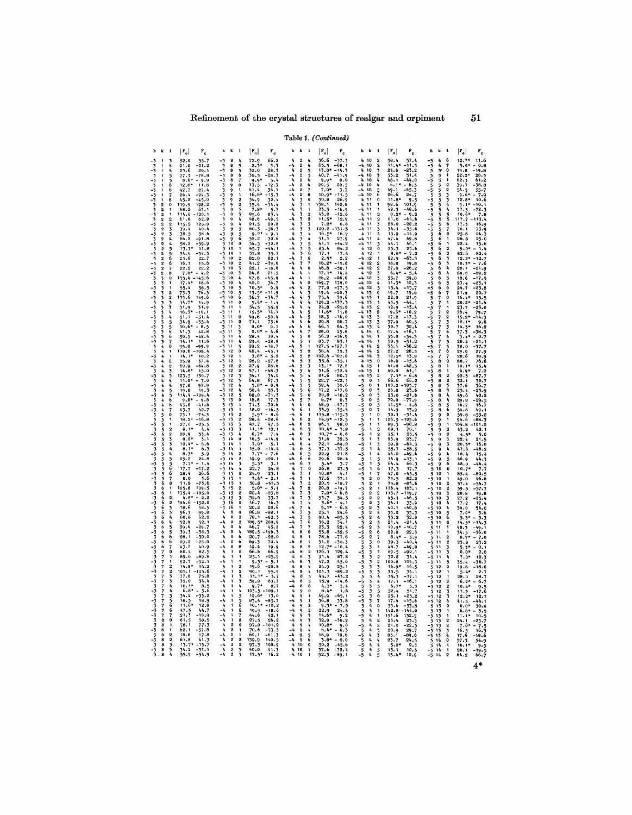# Table 1. (Continued)

| h k             |              | $\mathbf{1}$     | $ r_{o} $                   | $\mathbf{r}_{\mathrm{c}}$ | $h - k - 1$                                                       |                                              | $ F_{o} $                  | $\mathbf{r}_\mathrm{c}$     |                                                                                             | $h - k$<br>$\mathbf{1}$ |                                       | $ \mathbf{r}_{\circ} $           | $\mathbf{r}_{\rm c}$       | $h - k$                       | $\overline{\phantom{a}}$                    | $ F_{o} $                   | $\mathbf{r}_{\rm e}$ |                                           | $h \thinspace k \thinspace l$         |                                           | $ \mathbf{r}_{o} $   | г.   |
|-----------------|--------------|------------------|-----------------------------|---------------------------|-------------------------------------------------------------------|----------------------------------------------|----------------------------|-----------------------------|---------------------------------------------------------------------------------------------|-------------------------|---------------------------------------|----------------------------------|----------------------------|-------------------------------|---------------------------------------------|-----------------------------|----------------------|-------------------------------------------|---------------------------------------|-------------------------------------------|----------------------|------|
|                 |              | 3                | 52.0<br>21.0                | 55.7<br>$-21.2$           | 8<br>-3                                                           | 4                                            | 72.9                       | 66.2                        | 4<br>$\frac{1}{4}$                                                                          | $\overline{\mathbf{2}}$ |                                       | 36.6                             | $-37.3$<br>-68.1           | $-4$                          | 4 10<br>10                                  | 58.4<br>11                  | 57.4                 |                                           |                                       | 6                                         | $12.7*$<br>$5.0*$    | 11.6 |
| 3<br>-3         |              | í,               | 23.6<br>$77.5$<br>8.6       | 20.1<br>-78.8             | 8<br>8<br>$\begin{array}{c} 3 \\ -3 \\ -3 \\ -3 \end{array}$<br>8 | ちろん                                          | $\frac{2.5}{32.0}$<br>30.5 | $\frac{3.3}{28.3}$<br>-28.3 | $-1$                                                                                        |                         | みょうちら                                 | 65.5<br>13.0*<br>40.7            | $-14.3$<br>$-41.9$         | k,<br>-4                      | 22334<br>10<br>10                           | 24.6<br>53.2                | $-23.2$<br>51.4      | - 5 5 5 5 5 5 5 5 5 5 5 5 5               | みゅううう                                 | 7<br>0                                    | 19.8<br>22.2         | 20   |
| -3              |              |                  | 12.8                        | $-9.9$<br>11.             | 8                                                                 |                                              | 9.9                        |                             |                                                                                             |                         | 6                                     | 9.9*<br>20.5                     | 8.6<br>20.5                |                               | 10<br>10                                    | $6.1*$                      | $-6.5$               |                                           |                                       |                                           | .<br>62.3<br>39.7    |      |
|                 |              | 6                | 92.7<br>26.4                | 87.<br>-24.               | $\frac{3}{3}$<br>$\frac{3}{2}$<br>9<br>9<br>ò,                    |                                              | 41.4<br>$16.8*$            | 36.1<br>-15.1               | $-4$<br>$-4$                                                                                |                         | 7<br>8                                | $7.0*$<br>$10.9*$                | 3.7<br>11.5                | -4<br>-4                      | 10<br>$\frac{5}{6}$<br>10                   | $\frac{49}{26}$ , 6         | -45.<br>24.7         |                                           |                                       |                                           | 54<br>0.61           |      |
|                 |              | 8<br>$\mathbf 0$ | 45.2<br>119.9               | -45.0<br>128.             | $\frac{3}{3}$<br>$\frac{3}{3}$<br>9<br>9                          | $\frac{2}{2}$                                | 34.9<br>35.4               | 32.4<br>-34.4               | $\frac{h}{4}$                                                                               |                         | $\bf{0}$<br>ı                         | 30.8<br>38.1                     | 26.9<br>140.8              |                               | 11<br>$\mathbf 0$<br>11                     | 11.8*<br>98.6               |                      |                                           | うちうううう                                | 3                                         | $12.8*$              | 10.6 |
|                 |              |                  | 68.2<br>114.0               | 67.                       | ğ<br>9                                                            | うろん                                          |                            |                             | -4                                                                                          |                         | $\frac{2}{2}$                         | 23.3<br>43.0                     | 16.9<br>42.6               | -4                            |                                             | 48.3<br>61.6                | -48.6                |                                           |                                       |                                           |                      |      |
|                 |              | $\overline{2}$   | 61.0<br>115.5<br>39.4       | 125.<br>40.               | 3<br>ق<br>9<br>9                                                  |                                              | 48.6<br>21.5<br>60.3       | 20.8<br>- 56. 3             | -4<br>$\begin{array}{c}\n4 \\ -4 \\ 4\n\end{array}$                                         |                         | ろろん                                   | $11.5*$<br>$7.2*$<br>$120.2 - 1$ | 12.9<br>6,8<br>31.5        | -4<br>4<br>-4                 | 2<br>11<br>11                               | 28.0<br>34.1                | $-28.2$<br>-35       |                                           | ううちら                                  | 5<br>6                                    | 76.1                 |      |
|                 |              |                  | 38.5<br>86.2                | 38.4<br>-91.              | $-3 - 3 - 3 - 3 - 3 - 3 - 3 - 3$<br>وَ                            | 4556                                         | 9.2<br>32.2                | 30.6                        |                                                                                             | 22222233333333333334    | 4                                     | $16.5*$<br>31.1                  | 16.9<br>27.9               | -4                            | ろろ<br>11<br>11<br>$\mathbf{I}_\mathbf{I}$   | 13.9<br>47.4                |                      | - 5 - 5 - 5 - 5 - 5                       | 6                                     | 7<br>0                                    | 25.6<br>26.8         | 24.  |
|                 |              |                  | 58.2<br>13.3                | -59.9<br>11.              | 10<br>10                                                          | $\bf o$                                      | 34.5<br>45.7               | $-32.8$                     | $\frac{1}{4}$<br>-4                                                                         |                         |                                       | 41.1<br>85.4                     | 84.2                       |                               | 5<br>0<br>12                                | 44.1<br>25.3                |                      |                                           | 6<br>6                                |                                           | 22.4                 |      |
|                 |              | 56               | 23.6                        | 22.                       | -3<br>10<br>10                                                    |                                              | 37.8<br>82.0               | 89.1                        | Ą                                                                                           |                         | 5566                                  | 17.1<br>$2.5*$                   | 17.4<br>2.2                | -4                            | 12<br>12<br>1                               | 8.8<br>62.9                 | -63                  |                                           | é<br>$\ddot{\theta}$                  | 3                                         | 82.6<br>$12.2*$      |      |
| -3              |              | 6<br>7           | 16.3<br>22.2                | 15.<br>22.2               | 10<br>10                                                          | $\frac{2}{2}$                                | 41.2<br>22.1               | -39.6<br>- 18. 6            | $\begin{array}{c}\n4 \\ -4 \\ 4\n\end{array}$                                               |                         | $\begin{array}{c} 7 \\ 0 \end{array}$ | $16.2*$<br>48.8                  | 15.8<br>50.1               | 4<br>-4                       | 12<br>$\frac{2}{3}$<br>12                   | 18.8<br>27.0                | 19.<br>$-26.2$       |                                           | $\begin{array}{c} 6 \\ 6 \end{array}$ | í,                                        | 10.31<br>20.7        |      |
| -3              |              | ė                | 7.0<br>135.4                |                           | $-3 - 3 - 3 - 3 - 3 - 3$<br>10<br>10                              | 3                                            | 24.8<br>47.8               | 21.5                        | -4                                                                                          | 4<br>4                  | 1                                     | $17.1*$<br>26.2                  | -26.6                      |                               | 12<br>$\frac{1}{2}$<br>12                   | 6.4<br>55.7                 |                      | - 5 5 5 5 5 5 5 5 5 5 5                   | 6<br>$\frac{6}{6}$                    |                                           | 89.0<br>18.6         |      |
|                 |              |                  | 17.4<br>55.4                | 18<br>58.                 | 10<br>3<br>10                                                     | ł,                                           | 40.2<br>$10.5^*$           | 36.7                        | Ą                                                                                           | 4<br>Ą                  | $\frac{2}{2}$                         | 169.7<br>77.0                    | 178.0<br>$-77.5$           | -4                            | 12<br>12<br>5<br>0                          | $11.3*$<br>15.4             | 12                   |                                           |                                       | 5<br>6                                    | 23.4<br>24.7         |      |
| 3               |              | $\frac{2}{2}$    | 73.3<br>-33.6               | 76.<br>149.6              | 10<br>$\frac{-3}{-3}$<br>10                                       | ちろん                                          | 13.5*<br>36.7              |                             | $\begin{array}{c}\n\bullet \\ \bullet \\ \bullet \\ \bullet\n\end{array}$                   | ł,                      | 3                                     | $19.4$<br>75.4                   | $-20.3$<br>79.6            |                               | $\begin{array}{c} 13 \\ 13 \end{array}$     | 19.7<br>22.0                | 19.6<br>21.9         |                                           |                                       | $\begin{array}{c} 7 \\ 0 \end{array}$     | 21.9<br>16.          |      |
|                 |              | ż                | 31.9<br>16.3                | 14.9                      | ڈ<br>3<br>$\mathbf{1}$<br>$\overline{11}$<br>11                   | $\pmb{0}$                                    |                            | 55.9                        | $\mathbf{I}_\mathbf{I}$<br>-4                                                               | $\pmb{t}_k$<br>Ą<br>Ļ   | ī,<br>4                               | 129.2<br>24.8<br>$11.6*$         | 37.3                       | -4<br>-4                      | 13<br>$\frac{2}{2}$                         | 43.5<br>12.9<br>9.1         | -44.1                |                                           |                                       |                                           | 20.2<br>23.7<br>78.4 |      |
| 3               |              |                  | 51.1<br>34.9                | -35.                      | -3<br>3<br>11<br>-3<br>11                                         | $\frac{2}{2}$                                | 49.6<br>71.1               | -50.4<br>73.6               | -4                                                                                          |                         | 5566                                  | 18,3<br>20.8                     | $-16.0$<br>20.7            | -4                            | 13<br>13<br>$3^{3}_{3}$<br>13               | 17.2<br>37.9                | 40.                  |                                           |                                       | 2                                         | 12.1                 |      |
| -3              |              | $\frac{5}{6}$    | 10.6<br>61. T               | 8.<br>42.                 | $\frac{3}{3}$<br>$\overline{\mathbf{1}}$<br>11                    | 3                                            | $0.0*$<br>$0.0*$           | 0.1                         | $\frac{1}{4}$                                                                               | 有名有有                    | 7                                     | 66.1<br>28.0                     | 64.3<br>25.8               | -4<br>4                       | $\frac{13}{14}$<br>$\ddot{\mathbf{0}}$      | 30.7<br>17.4                | 32.4                 | - 5 5 5 5 5 5 5                           |                                       | うろん                                       | 14.3<br>37.3         |      |
|                 |              |                  | 50.5                        | -48.<br>11                | $\mathbf{1}$<br>-3<br>11                                          |                                              | 28.4<br>29.4               | 30.4<br>$-28.8$             | $\frac{1}{2}$                                                                               |                         | ö                                     | 36.2<br>83.7                     | $-36.9$<br>83.1            |                               | 14                                          | 53.0<br>50.5                | $-54.3$              |                                           |                                       |                                           | 20.                  |      |
|                 |              | $\mathbf 0$      | 95.0<br>110.6               | -99.<br>$-108.$           | -3<br>11<br>12                                                    | 5 0                                          | 20.2<br>46.4               | -18.7                       |                                                                                             |                         | 1                                     | 127.5<br>36.4                    | -127.7<br>35.3             | 4<br>-4                       | 14<br>2<br>14<br>2                          | 35.1<br>27.2                | -36.2<br>28.3        |                                           | 6677777777777778                      | 5<br>6                                    | 38.0<br>29.0         |      |
| -3              |              |                  | 14.1<br>35.9                | 10.<br>37.                | $\frac{3}{3}$<br>$\frac{3}{3}$<br>12<br>12                        |                                              | 3.61<br>28.2               | -27. 8                      | $\begin{array}{cccc}\nA & A & A & A \\ A & A & A & A \\ A & A & A & A\n\end{array}$         |                         | 2<br>2<br>3<br>3                      | 102.8<br>$35.6$<br>13.1*         | -107.8<br>35.1             | -4                            | 3<br>0<br>14<br>15                          | 12.5*<br>16.0               | 13.0                 | -5555                                     |                                       | $\begin{smallmatrix}7\0\end{smallmatrix}$ | 20.6<br>80.7         |      |
|                 |              | 2                | 60.9<br>14.8                | -64.                      | 12<br>$-\frac{5}{3}$<br>12                                        | 2<br>2                                       | 27.9<br>47.1               | 28.6<br>-48.3               |                                                                                             |                         | ī,                                    | 31.6                             | $-32.4$                    | ł,<br>-4                      |                                             | 41.0<br>40.0                |                      | $\frac{1}{5}$                             | 8<br>8                                |                                           | 19. 1                |      |
|                 |              |                  | 123.5<br>11.0               | 130.                      | 12<br>$\begin{array}{c} 12 \\ 12 \end{array}$                     | つうら                                          | 64.8                       | 34.0<br>67.3                |                                                                                             |                         | 4                                     | 81.6<br>22.7<br>32.4             | 80.7<br>$-22,1$            | -4                            | 2<br>$\Omega$<br>0                          | 66.6<br>100.2               | 66<br>$-105$         |                                           | 8<br>8                                | 2<br>2                                    | 92.3<br>32.1         |      |
| -3              |              |                  | 97.8<br>19.8<br>114.4       | 97.9<br>19.<br>-109.      | $\frac{1}{3}$<br>12<br>12                                         |                                              | $5.8*$<br>50.4<br>68.0     | - 0.9<br>$\frac{53}{71}$    |                                                                                             |                         | 5566                                  | 17.2<br>20,0                     | 30.6<br>$-17.6$<br>$-18,2$ | 5<br>5<br>5                   | $\mathbf 0$<br>3                            | 26.8<br>23.0                | -21.6                | $-5$<br>$-5$<br>$-5$<br>$-5$              | 8<br>8<br>$\bar{\mathbf{a}}$          | うちら                                       | 37.6<br>25.4<br>49.6 |      |
| $\frac{-3}{3}$  |              |                  | 9.8<br>43.0                 |                           | 13<br>13                                                          | 5                                            |                            |                             |                                                                                             |                         | 0                                     | $6.7*$<br>48.9                   | 0.3                        | ر<br>5<br>-5                  | 3                                           | 72.0<br>11.5                |                      | -5                                        | 8<br>8                                |                                           | 29.8<br>16.7         |      |
| 3               |              | o                | 43.7<br>73.1                | 42<br>-74.                | - フラココララ こうろう こうこうこう こうろ<br>1313                                  | $\overline{2}$                               | 18.0                       | - 16. -<br>۰ 8.             | $\begin{array}{c}\n4 \\ 4 \\ 4\n\end{array}$                                                | ちろうちちちちちちちちちら666        | 1<br>$\mathbf{1}$                     | 33.9<br>115.8                    | $-35.4$<br>$-115$          |                               | $\frac{5}{7}$<br>$\theta$                   | 14.9<br>30.1                |                      |                                           | 8                                     | $\frac{5}{6}$<br>$\Omega$                 | 54.6<br>59.8         |      |
|                 |              |                  | 18.2<br>27.0                | $-16.$<br>-25.            |                                                                   | 2                                            | 28.4<br>47.7               | $-28.6$<br>47.5             |                                                                                             |                         | $\frac{2}{2}$                         | 14.9*<br>96.1                    | $-12.5$<br>98.0            | -5<br>-5<br>-5                |                                             | 123.5<br>89.3               | -125.6               | -555<br>555-55                            | 9<br>9<br>9                           |                                           | 94.6<br>04.8         | 88   |
|                 |              | $\overline{2}$   | 8.1<br>28.9                 | 4.<br>33.4                | 13<br>$\frac{13}{14}$                                             | うろん                                          |                            | 12.1                        | $\begin{array}{c}\n-4 \\ 4 \\ -4\n\end{array}$                                              |                         | $\frac{1}{3}$                         | $10,4*$<br>$10.7*$               | 7.8<br>6, 6                | 5<br>-5                       | $\pmb{2}$                                   | 68.1<br>25.1                | 25.5                 |                                           | ۇ                                     | $\boldsymbol{2}$                          | 43.2                 |      |
|                 |              |                  | 8.2<br>$10.4*$<br>8.1'      | - 6.6                     | 14<br>14                                                          | $\bf{0}$<br>16.                              | $7.0*$                     |                             |                                                                                             |                         | 4                                     | 31.6<br>$72.1$<br>$37.3$         | 32.5<br>-69.0              | 5                             | 34                                          | 23.9<br>59.8                | -64                  |                                           |                                       | うろう                                       | 22. A<br>$20.3*$     | 16.  |
| -3              |              |                  | $8.3*$                      | 6.3<br>5.9<br>24.8        | 14<br>14                                                          | $\overline{2}$<br>$\overline{\mathbf{2}}$    | 15.0                       | $-20.1$                     | $\begin{array}{cccc}\nA & A & A & A \\ A & A & A & A & A \\ A & A & A & A & A\n\end{array}$ |                         | 4556                                  | 22.9<br>29.6                     | -37.5<br>21.8<br>28.4      | $-5$<br>$-5$<br>$-5$          | ł,<br>5                                     | $\frac{55.7}{46.0}$<br>14.9 | -58.5<br>$-49.4$     |                                           | 999999                                |                                           | 47.6<br>16.4<br>46.9 | 15.  |
| -3<br>3         |              |                  | $25.2$<br>7.7<br>17.7       | 1.4                       | 14<br>14                                                          |                                              | 22.7                       | 3.1<br>24.8                 |                                                                                             |                         | $\frac{7}{0}$                         | $5.4*$<br>26.8                   | 3.7<br>23.5                | -5<br>-5                      | ó                                           | 64.4<br>17.5                | 66                   | ううううううううううう                               | 10                                    | 5<br>6<br>0                               | 48.0<br>10.7         |      |
|                 |              |                  | 28.4<br>0.0                 | 26<br>3,6                 | 15<br>15                                                          | $\mathbf{0}$                                 | 24.9<br>3.41               | 23.7<br>2.1                 | $\frac{1}{4}$                                                                               |                         | 1                                     | 10.84                            | 37.1                       |                               | $\bf{0}$<br>2                               | 47.0<br>79.5                | 82                   |                                           | 10<br>10                              |                                           | 85.4                 |      |
|                 |              |                  | 71.8<br>105.8               | $-75.6$<br>109.           | 15<br>$\frac{15}{15}$                                             | $\overline{2}$                               | 50,8                       | -51.5                       | $\begin{array}{c} -4 \\ 4 \end{array}$                                                      |                         | $\frac{1}{2}$                         | $\frac{37.6}{20.5}$<br>20, 8     | $-18.7$                    | -5<br>5<br>5<br>5<br>5        |                                             | 79.8<br>176.4               | $-83$<br>185.1       |                                           | 10<br>10                              | $\overline{2}$                            | 57.4<br>59.5         |      |
| -3              |              |                  | 75.1                        | 185                       | -3<br>$\frac{15}{16}$                                             | 3<br>0                                       | 22.4<br>32.0               |                             | $\pmb{t_i}$<br>$\frac{1}{4}$                                                                |                         | 2334                                  | $7.0*$<br>$53.7$<br>3.6*         | 6.6                        | -5                            | $\overline{2}$                              | 13.7<br>45.1                |                      |                                           | 10<br>10                              | 2334                                      | 20.S                 |      |
| 3               |              |                  | 144.6<br>18.6               | $-152$<br>18.             | $-\frac{5}{3}$<br>- 16<br>$\ddot{\mathbf{0}}$                     |                                              | 16.7<br>20.2               | 16.7<br>20.6                |                                                                                             |                         |                                       | $9.1*$                           | 6.8                        | $-5$<br>$-5$<br>$-5$          | $\overline{2}$<br>3<br>34<br>$\overline{2}$ | 34.1<br>40.1                | 42                   | 5                                         | 10<br>10                              |                                           | 39.0                 |      |
| -3              | 6            |                  | 96.3<br>60.8<br>52.9        | $99.8$<br>62.2<br>52.1    | 4<br>ł,<br>$\pmb{0}$<br>-4<br>$\pmb{0}$                           | $\bf{0}$<br>$\overline{2}$                   | 86.8<br>78. 1              | -88.1<br>-82.7              | $\begin{array}{c}\n-4 \\ -4 \\ -4\n\end{array}$                                             | 66666666777777777777    | りちろん                                  | 25.1<br>90.4<br>36.2             | 24.6<br>$-85.5$            |                               | $\mathbf{2}$<br>$\pmb{I}_{\pmb{0}}$         | 33.0<br>33.2<br>21.4        | 35<br>32.0           | -555                                      | 10<br>10                              | $\frac{5}{6}$                             |                      |      |
| -3              |              |                  | 29.6<br>39.3                | $-29.$<br>-38             | O<br>0                                                            | ł,<br>46.                                    | 189.5<br>182.5             | 209.9<br>198                | 4                                                                                           | ė                       | 7<br>0                                | 23.3<br>55.8                     | 34.1<br>22.4<br>-52.5      | 5<br>-5                       | 5<br>$\overline{2}$<br>6                    | 10.9<br>22.8                | $22\,$               | -5                                        | 11<br>11<br>11                        | 0                                         |                      |      |
| 3<br>-3         |              | 26               | 28.1<br>29.2                | -30.0<br>$-28.0$          | 4<br>$\mathbf 0$<br>$-1$<br>$\Omega$                              | 6<br>6                                       | 20.7<br>69.3               | -22.0<br>70.4               | ł,                                                                                          | 8<br>8                  | 1<br>1                                | 78.6<br>31.2                     | $-77.6$<br>- 30. 3         | -5<br>-5<br>5                 | $\overline{2}$<br>$\Omega$                  | $8.4*$<br>39.3              |                      | 5                                         | $\overline{11}$<br>11                 | $\boldsymbol{2}$<br>2                     | 23.                  |      |
| -3              |              |                  | 43.2<br>80.4                | 40.9<br>82.               | $-4$<br>$\bf{0}$<br>4                                             | 8<br>$\theta$                                | 19.4<br>66.6               | 19.9<br>66.9                | $\begin{array}{c} -4 \\ 4 \end{array}$<br>-4                                                | 8<br>8                  | $\frac{2}{2}$                         | $12.7*$<br>126.1                 | $-10.4$<br>129.4           | ر<br>5-                       |                                             | 48.7<br>89.5                | $-49.8$<br>-92.1     | $-5$<br>$-5$<br>$-5$                      | 11<br>11                              | 3                                         |                      |      |
| 3               |              |                  | 89.0<br>92.7                | -89.8<br>$-92.$           | 4                                                                 |                                              | 25.1                       | -25.9                       | $\mathbf{I}_\mathbf{I}$<br>-4                                                               | $\dot{\mathbf{8}}$<br>8 | 3                                     | 91.4<br>47.2                     | 87.8<br>45.6               | 5<br>-5                       |                                             | 32.8<br>100.8               |                      | $-5 - 5$                                  | 11<br>11                              | 4<br>5                                    |                      |      |
|                 |              |                  | 14.8<br>105.1               | 14.<br>$-105$             | Ą<br>-4                                                           | $\overline{\mathbf{2}}$<br>$\frac{2}{3}$     | 90.1                       | $-20.8$<br>95.9             | $\pmb{\lambda}$<br>$\begin{array}{c} -4 \\ 4 \end{array}$                                   | 8<br>8                  | 4                                     | 24.9<br>101.3                    | 25.1<br>$-89.2$            | $\overline{\mathbf{5}}$<br>-5 |                                             | 16.9<br>33.5<br>35.3        |                      |                                           | 12<br>12                              |                                           | 19.6                 |      |
| 3<br>-3         |              |                  | 77.8<br>$\frac{35.0}{10.1}$ | 34.                       | 4<br>$-\overline{4}$                                              | 34                                           | 13.11<br>59.0              | 63.7                        | $\frac{-4}{-4}$                                                                             | 8<br>8<br>8             | もうちる                                  | 45.7<br>15.9                     | $-43.2$<br>$-14,6$         | 5<br>-5                       | 4                                           | 17.1                        | -16                  | $-5 - 5$<br>$-5 - 5$                      | 12<br>12                              | $\overline{2}$                            | 28.0<br>$6.2*$       |      |
|                 |              |                  | $\overline{2}$              | 8                         | Ą                                                                 |                                              |                            |                             | Ą                                                                                           | 9                       | $\pmb{0}$                             | 4.3*<br>$3.1*$                   | 1.6                        | $\frac{5}{5}$                 | $\frac{5}{6}$                               | 6.7<br>52.4                 |                      |                                           | 12<br>12                              | $\overline{2}$                            | 10.41                |      |
| 3<br>3          |              |                  | 34,<br>18.5<br>11.6         | 18.9<br>12.8              | 4                                                                 | $\frac{5}{6}$                                | 83.4<br>$10.1*$            | - 10.                       | $\mathbf{I}_\mathbf{t}$<br>-4                                                               | 99999999990             | 1<br>1                                | 69.9<br>. 8<br>36<br>$9.3*$      | 65.1<br>33.8               | -5<br>-5<br>5                 | $\mathbf 0$                                 | 25.1<br>17.4<br>53.6        | - 53.                | -5                                        | 12<br>12                              | 0                                         |                      |      |
|                 |              |                  | 47.5<br>21.7                | 44.7<br>ى 19.             | -4<br>-4                                                          | 6                                            | 19.9<br>44.6               | -18.<br>42.                 | $\frac{1}{2}$                                                                               |                         | $\frac{2}{2}$                         | 22,9<br>$14.6*$                  | 24.1<br>9.2                | 5                             |                                             | 142.8<br>151.6              | 152.9                | $-55$<br>$-55$                            | 13<br>13                              |                                           | 11.                  |      |
| $\frac{1}{3}$   | 8            |                  | 61.5<br>78.                 | 58.<br>77.                | $\pmb{l}_0$                                                       |                                              | 27.5<br>97.0               | 101.                        | $-4$<br>Ą                                                                                   |                         | 3<br>4                                | 32.0<br>$10.8*$                  | $-30.2$<br>9.0             | - š<br>5<br>-5                |                                             | 23.4<br>21.0                | 22                   |                                           | 13<br>13<br>13                        |                                           | 24.                  |      |
|                 | 8            |                  | 62.<br>18,8                 | 17.8                      | $\frac{2}{2}$<br>4<br>-4                                          |                                              | 70.6<br>62.1               | -61                         | -4<br>-4                                                                                    |                         | 4                                     | $6.4*$<br>18.9                   | 18.6                       | 5<br>-5                       | 3                                           | 28.9<br>85.1                | 29<br>89.            | -5                                        |                                       |                                           | 17.6                 |      |
| -3<br>3         | 8<br>8<br>8  | 2334             | 61,8                        | 61.3<br>-15.7             | 2<br>2<br>2<br>2<br>$\frac{4}{4}$                                 | $\begin{array}{c}\n2 \\ 2 \\ 3\n\end{array}$ | 132.9<br>97. J             | 140.5<br>100.9              | -4<br>٠                                                                                     |                         | 560                                   | $3.8*$<br>50.2                   | 2.0<br>45.6                | $-5$<br>$-5$<br>$-5$          | ٠                                           | 23.7<br>5.0                 | 2.3                  |                                           |                                       | $\mathbf 0$                               | 10.                  |      |
| $\frac{1}{3}$ . | $\mathbf{s}$ |                  | 34.2<br>55.9                | -31.<br>$-54.9$           | $\frac{4}{4}$                                                     |                                              | 40.0<br>17.5               |                             | $\frac{1}{4}$                                                                               | 10                      |                                       | $\frac{37.6}{92.3}$              | $-32.4$                    |                               | $\frac{5}{5}$                               | $\frac{13.1}{13.4}$         | 12.5                 | -- 5 13 14 14<br>-- 5 15 14 14<br>-- 5 14 |                                       |                                           | 20.1<br>64.2         | 66   |

 $51$ 

 $4*$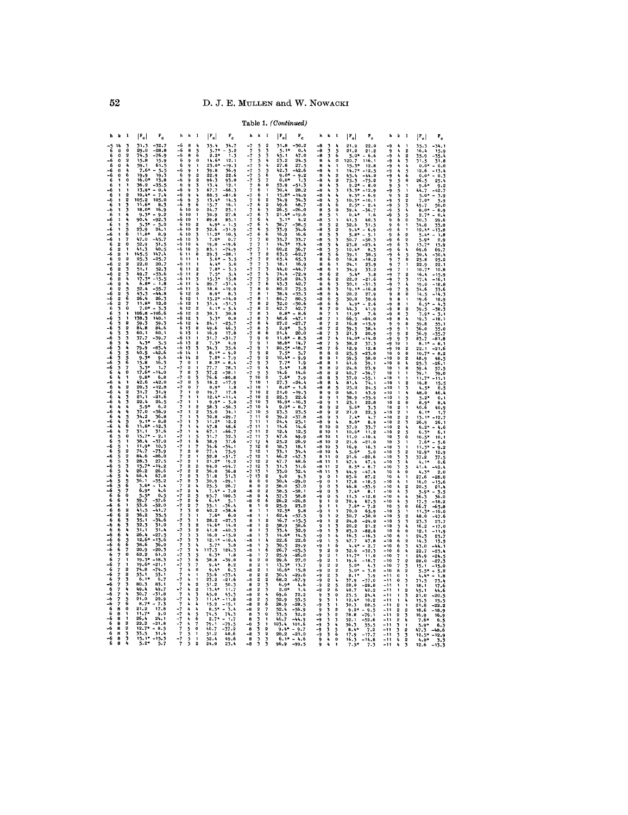Table 1. (Continued)

| h k                                                                                                                                                                                                           | $\mathbf{r}$<br>$ \mathbf{F_o} $                                                                                                                                                                                                                                                                                                                                                                                                                                                                                                                                                                                                                                                                                                                                                                                                                                                                                                                                                                                                                                        | $\mathbf{r}_{\rm e}$                                                                                                                                                                                                                                                                                                                                                                                                                                                                                                                                                                                              | $h \thinspace k \thinspace l$                                                                                                                                                                                                                                                                                                                                                                                                                                                                                                                                                                                                                                                                                                                                                                                                                                                                                                                                                                                                                                                                                                                                                                                                                                                                     | $ F_{o} $<br>$\mathbf{r}_{\rm c}$                                                                                                                                                                                                                                                                                                                                                                                                                                                                                                                                                                                                                                                                                                                                                                                                                                                                                                                                                                              | $\mathbf{k}=\mathbf{l}$<br>h.                                                                                                                                                                                                                                                                                                                                                                                                                                                                                                                                                                                                                                                                                                                                                                                                                                                                                                                            | $ \mathbf{r}_{\circ} $<br>$\mathbf{F_{c}}$                                                                                                                                                                                                                                                                                                                                                                                                                                                                                                                                                                                                                                                                                                                                                                                                                                                                                                                                                                                                                                                                                                                                                                                                                                                                                                                     | $k-1$<br>h                                                                                                                                                                                                                                                                                                                                                                                                                                                                                                                                                                                                                                                                                                                                                                                                                                                                                                                                                                                                                                                                                                                                                                                                                                                                                                                                                                                                                                                                                                            | $ \mathbf{F_o} $<br>۲.                                                                                                                                                                                                                                                                                                                                                                                                                                                                                                                                                                                                                                                                                                                                                                                                                                                                                                                                                                   | $k-1$<br>h                                                                                                                                                                                                                                                                                                                                                                                                                                                                                                                                                                                                                                                                                                                                                                                                                                                                                                                                                                                                                                                                                                                                                                                                                               | $ \mathbf{r}_{\mathrm{o}} $                                                                                                                                                                                                                                                                                                                                                                                                                                                                                                                                                                                                                                                                                                          |
|---------------------------------------------------------------------------------------------------------------------------------------------------------------------------------------------------------------|-------------------------------------------------------------------------------------------------------------------------------------------------------------------------------------------------------------------------------------------------------------------------------------------------------------------------------------------------------------------------------------------------------------------------------------------------------------------------------------------------------------------------------------------------------------------------------------------------------------------------------------------------------------------------------------------------------------------------------------------------------------------------------------------------------------------------------------------------------------------------------------------------------------------------------------------------------------------------------------------------------------------------------------------------------------------------|-------------------------------------------------------------------------------------------------------------------------------------------------------------------------------------------------------------------------------------------------------------------------------------------------------------------------------------------------------------------------------------------------------------------------------------------------------------------------------------------------------------------------------------------------------------------------------------------------------------------|---------------------------------------------------------------------------------------------------------------------------------------------------------------------------------------------------------------------------------------------------------------------------------------------------------------------------------------------------------------------------------------------------------------------------------------------------------------------------------------------------------------------------------------------------------------------------------------------------------------------------------------------------------------------------------------------------------------------------------------------------------------------------------------------------------------------------------------------------------------------------------------------------------------------------------------------------------------------------------------------------------------------------------------------------------------------------------------------------------------------------------------------------------------------------------------------------------------------------------------------------------------------------------------------------|----------------------------------------------------------------------------------------------------------------------------------------------------------------------------------------------------------------------------------------------------------------------------------------------------------------------------------------------------------------------------------------------------------------------------------------------------------------------------------------------------------------------------------------------------------------------------------------------------------------------------------------------------------------------------------------------------------------------------------------------------------------------------------------------------------------------------------------------------------------------------------------------------------------------------------------------------------------------------------------------------------------|----------------------------------------------------------------------------------------------------------------------------------------------------------------------------------------------------------------------------------------------------------------------------------------------------------------------------------------------------------------------------------------------------------------------------------------------------------------------------------------------------------------------------------------------------------------------------------------------------------------------------------------------------------------------------------------------------------------------------------------------------------------------------------------------------------------------------------------------------------------------------------------------------------------------------------------------------------|----------------------------------------------------------------------------------------------------------------------------------------------------------------------------------------------------------------------------------------------------------------------------------------------------------------------------------------------------------------------------------------------------------------------------------------------------------------------------------------------------------------------------------------------------------------------------------------------------------------------------------------------------------------------------------------------------------------------------------------------------------------------------------------------------------------------------------------------------------------------------------------------------------------------------------------------------------------------------------------------------------------------------------------------------------------------------------------------------------------------------------------------------------------------------------------------------------------------------------------------------------------------------------------------------------------------------------------------------------------|-----------------------------------------------------------------------------------------------------------------------------------------------------------------------------------------------------------------------------------------------------------------------------------------------------------------------------------------------------------------------------------------------------------------------------------------------------------------------------------------------------------------------------------------------------------------------------------------------------------------------------------------------------------------------------------------------------------------------------------------------------------------------------------------------------------------------------------------------------------------------------------------------------------------------------------------------------------------------------------------------------------------------------------------------------------------------------------------------------------------------------------------------------------------------------------------------------------------------------------------------------------------------------------------------------------------------------------------------------------------------------------------------------------------------------------------------------------------------------------------------------------------------|------------------------------------------------------------------------------------------------------------------------------------------------------------------------------------------------------------------------------------------------------------------------------------------------------------------------------------------------------------------------------------------------------------------------------------------------------------------------------------------------------------------------------------------------------------------------------------------------------------------------------------------------------------------------------------------------------------------------------------------------------------------------------------------------------------------------------------------------------------------------------------------------------------------------------------------------------------------------------------------|------------------------------------------------------------------------------------------------------------------------------------------------------------------------------------------------------------------------------------------------------------------------------------------------------------------------------------------------------------------------------------------------------------------------------------------------------------------------------------------------------------------------------------------------------------------------------------------------------------------------------------------------------------------------------------------------------------------------------------------------------------------------------------------------------------------------------------------------------------------------------------------------------------------------------------------------------------------------------------------------------------------------------------------------------------------------------------------------------------------------------------------------------------------------------------------------------------------------------------------|--------------------------------------------------------------------------------------------------------------------------------------------------------------------------------------------------------------------------------------------------------------------------------------------------------------------------------------------------------------------------------------------------------------------------------------------------------------------------------------------------------------------------------------------------------------------------------------------------------------------------------------------------------------------------------------------------------------------------------------|
| 14<br>-5<br>6<br>6<br>$\theta$<br>-6<br>$\Omega$<br>6<br>-6<br>-6<br>-6<br>6<br>-6<br>-6<br>-6<br>-6<br>6<br>-6<br>-6<br>-6<br>-6<br>-6<br>-6<br>-6<br>-6<br>-6<br>-6<br>6<br>-6<br>6<br>-6<br>-6<br>-6<br>-6 | 31.3<br>ō<br>29.0<br>2<br>74.5<br>$\overline{2}$<br>15.8<br>59.1<br>19.9<br>$\ddot{\mathbf{0}}$<br>$16.0*$<br>36.2<br>13.0*<br>10.4<br>105.2<br>3<br>18.0*<br>90.<br>5.3<br>23.9<br>11.8<br>47.0<br>$\bf{0}$<br>52.9<br>41.3<br>145.5<br>2<br>25.1<br>$\overline{2}$<br>22.0<br>51.1<br>$6.8*$<br>52.4<br>43.3<br>Ğ<br>26.4<br>$\Omega$<br>$7.0*$<br>106.8<br>138.3<br>2<br>59.3<br>84.8<br>3<br>60.1<br>3<br>37.7<br>٠<br>4.3<br>Ā<br>79.9<br>40.5<br>5<br>9.3<br>6<br>15.8<br>0<br>17.6*<br>$9.8*$<br>42.6<br>20.3<br>$\overline{2}$<br>31,<br>21,1<br>34<br>22.4<br>5.9<br>37.0<br>34.2<br>$\frac{5}{6}$<br>11.6*<br>31.1<br>$\dot{\mathbf{0}}$<br>13.7<br>38.4<br>11.9<br>84.6<br>2<br>3<br>28.3<br>3<br>15.7<br>ī,<br>26.2<br>66.4<br>36<br>36.1<br>5.6*<br>$\begin{array}{c} 7 \\ 0 \end{array}$<br>$6.9*$<br>5.5<br>59.7<br>53.6<br>2<br>$\overline{2}$<br>36.2<br>3<br>35.1<br>32.3<br>31.1<br>26.4<br>5<br>6<br>12.6<br>38.6<br>$\begin{array}{c} 7 \\ 0 \end{array}$<br>20.9<br>62.2<br>19.3<br>19.6*<br>2<br>74.8<br>2<br>うろも<br>6.1<br>80.3<br>49.4<br>30.7 | $-32.7$<br>$-28.8$<br>-76.9<br>61.<br>19.<br>-13.<br>105.0<br>8.0<br>$-45.$<br>51.<br>40.5<br>147.<br>$-25.7$<br>20.<br>52.<br>$-1.8$<br>$-55.7$<br>-44.<br>26.3<br>12.<br>-106.6<br>140. :<br>59.3<br>84.6<br>60.1<br>-39 - 7<br>-83. 1<br>-42.6<br>16.1<br>6.8<br>$-42.0$<br>-12.8<br>31.<br>$-21.$<br>24.5<br>6.5<br>-36.9<br>36.5<br>$-12.$<br>31,<br>$-37.0$<br>10.<br>-86<br>27.<br>26.6<br>67.8<br>-35.<br>$\overline{1}$<br>4.6<br>0.5<br>-57.6<br>$-52.0$<br>$-41.7$<br>35.<br>-34.6<br>31.0<br>31.<br>-27.<br>$-13.$<br>36.0<br>$-20.3$<br>61.0<br>-18.3<br>$-21.$<br>-74.<br>6.<br>83.<br>49.7<br>31.8 | $-6$<br>8<br>-6<br>8<br>À<br>-6<br>8<br>$\begin{array}{c} 6 \\ 6 \end{array}$<br>9<br>$\bf{0}$<br>q<br>$-6$<br>9<br>6<br>9<br>-6<br>2<br>9<br>6<br>9<br>-6<br>9<br>$\overline{\mathbf{5}}$<br>-6<br>q<br>-6<br>9<br>é<br>-6<br>6<br>10<br>6<br>10<br>-6<br>10<br>6<br>10<br>$\frac{2}{2}$<br>10<br>-6<br>10<br>3<br>6<br>10<br>-6<br>10<br>-6<br>10<br>$\mathbf 0$<br>6<br>11<br>6<br>11<br>-6<br>6<br>-6<br>11<br>-6<br>11<br>-6<br>11<br>6<br>12<br>6<br>12<br>12<br>6<br>12<br>$\overline{2}$<br>-6<br>12<br>2<br>-6<br>12<br>3<br>12<br>-6<br>6<br>13<br>0<br>6<br>-13<br>-6<br>13<br>-6<br>13<br>2<br>-6<br>3<br>13<br>-6<br>14<br>-6<br>7<br>-7<br>$\theta$<br>7<br>$\bf{o}$<br>3<br>$\mathbf 0$<br>357<br>$\pmb{0}$<br>$\ddot{\mathbf{0}}$<br>$\overline{2}$<br>2<br>$\overline{\mathbf{3}}$<br>3<br>٠<br>$\frac{5}{6}$<br>$\ddot{\mathbf{0}}$<br>$-7$<br>$-7$<br>$-7$<br>2<br>$\mathbf{2}$<br>2<br>$\overline{2}$<br>$\bf 2$<br>3<br>$\overline{2}$<br>$\frac{1}{7}$<br>À<br>$\overline{2}$<br>$-7$<br>$-7$<br>$-7$<br>$\overline{2}$<br>$\mathbf{2}$<br>$\frac{5}{6}$<br>2<br>7<br>$\ddot{\mathbf{0}}$<br>$-7$<br>$-7$<br>$-7$<br>$7$<br>3<br>3<br>2<br>$\overline{2}$<br>خ-<br>7<br>-7<br>-7<br>-7<br>-7<br>3<br>3<br>$\frac{5}{6}$<br>$-7$<br>$-7$<br>$-7$<br>$\overline{2}$<br>2<br>3 | 35.4<br>34.7<br>$2.2*$<br>14.6'<br>12.<br>23.0*<br>19.3<br>39.8<br>36<br>22.9<br>22.6<br>96.<br>93.0<br>67.7<br>-66<br>88.5<br>13.4<br>15.7<br>30.9<br>27<br>89.8<br>85<br>32.6<br>11.2<br>10.5<br>83. 1<br>29.5<br>$7.8*$<br>29<br>18.<br>8.9<br>в.,<br>15.2<br>$6.1*$<br>30.3<br>30.8<br>3.3<br>0.0<br>24.1<br>25.7<br>49.6<br>46.3<br>16.9<br>17.0<br>34.3<br>35.6<br>77.<br>37<br>-38.1<br>76.6<br>$-80.8$<br>18.2<br>0.9<br>19.7<br>$12.4*$<br>$9.9*$<br>3.<br>58.5<br>35.0<br>34.1<br>50.8<br>48.6<br>17.8<br>67.1<br>-66.7<br>31.7<br>32.3<br>38.9<br>37.6<br>34.6<br>75.9<br>$21.2*$<br>19.2<br>94.0<br>$-94.7$<br>36.0<br>36.8<br>31.8<br>31.3<br>30.9<br>$-29.1$<br>25. .<br>26.7<br>95.7<br>100.3<br>6.4<br>35.1<br>- 56 - 4<br>40.<br>-38.6<br>6.0<br>28.2<br>$-27.3$<br>14.<br>64<br>14.0<br>41.0<br>$-40.3$<br>16.0<br>-15.0<br>12.1<br>-10.4<br>$5.7*$<br>117<br>124.3<br>$6.3*$<br>1.8<br>38.8<br>-39.0<br>9.4<br>8.2<br>6.3<br>35.6<br>23<br>-21.6<br>51.2<br>50.3<br>$13.4*$<br>11.7<br>45.0 | うううううううら<br>2<br>3<br>4<br>6<br>6<br>6<br>6<br>6<br>6<br>6<br>6<br>7<br>7<br>ファファファフ<br>$\overline{2}$<br>$-7$<br>$-7$<br>$-7$<br>$-7$<br>$-7$<br>$-7$<br>$-7$<br>5<br>6<br>8<br>$\bf{0}$<br>8<br>8<br>$-7$<br>8<br>$\overline{2}$<br>7<br>8<br>ユアーファファファファ<br>8<br>8<br>8<br>8<br>9<br>۰<br>$\ddot{q}$<br>ġ<br>9<br>$-7$<br>$7$<br>$7$<br>$-7$<br>$7$<br>q<br>10<br>0<br>10<br>10<br>10<br>$\frac{-7}{-7}$<br>10<br>10<br>10<br>10<br>$\frac{-7}{7}$<br>-7<br>11<br>$\overline{2}$<br>-7<br>11<br>-7<br>11<br>12<br>12<br>-7<br>12<br>$\overline{2}$<br>-7<br>$\begin{array}{c} 12 \\ 13 \\ 13 \end{array}$<br>$\frac{-7}{-7}$<br>$\overline{2}$<br>$\bf{0}$<br>8<br>$\mathbf{0}$<br>8<br>-8<br>0<br>$-8$<br>$\Omega$<br>-8<br>8<br>8<br>-8<br>8<br>$\overline{2}$<br>-8<br>8<br>-8<br>$-8$<br>$-8$<br>-8<br>-8<br>8<br>2<br>0<br>8<br>2<br>-8<br>8<br>$\overline{2}$<br>$\overline{2}$<br>-8<br>8<br>2<br>-8<br>$\overline{2}$<br>$\overline{2}$<br>-8 | 31.8<br>$-30.2$<br>$5.1*$<br>45. 1<br>47.0<br>23.2<br>24.5<br>27.8<br>27.5<br>42.3<br>$-42.6$<br>$9.0*$<br>$-9.2$<br>$0.0*$<br>53.9<br>30.4<br>28.2<br>$15.8*$<br>$-14.9$<br>34.9<br>34.3<br>$-26.0$<br>$21.4*$<br>$3.1*$<br>38.7<br>$-38.5$<br>34.6<br>33.9<br>16.9<br>16.6<br>35.7<br>33.7<br>14.3<br>60.2<br>56.7<br>63.5<br>62.7<br>65.4<br>65.3<br>18.1<br>16.9<br>44.0<br>44.7<br>74.4<br>23.8<br>24<br>43.3<br>42.7<br>80.2<br>75.5<br>38.4<br>86.7<br>80.5<br>32.0<br>$-30.6$<br>42.7<br>42.<br>$0.8*$<br>$-8.6$<br>48.6<br>$-47$<br>27.2<br>$-27.7$<br>$2.9*$<br>21. 4<br>20.0<br>$11.6*$<br>$-8.5$<br>$18.6*$<br>14.7<br>$20.5*$<br>$-18.7$<br>5.7<br>9.9<br>$7.7*$<br>1.8<br>14.<br>14.6<br>. 6<br>$7.6*$<br>27.3<br>7.9<br>$-24.4$<br>$8.0*$<br>1.6<br>21.0<br>22.5<br>22.6<br>16.9*<br>$-16.3$<br>9.9<br>-8.7<br>23.5<br>23.5<br>39.2<br>14.6<br>12,4<br>12.5<br>47.6<br>49.9<br>25.2<br>26.9<br>18.1<br>18.3<br>33.1<br>34.4<br>46.2<br>47.<br>48<br>31.3<br>31.6<br>33.0<br>32.4<br>9.0<br>9.3<br>30.4<br>$-29.0$<br>56.0<br>57.0<br>58.5<br>57.3<br>58.8<br>26.2<br>-26.8<br>25.9<br>23.2<br>9.8<br>62.1<br>16.7<br>58.9<br>58.6<br>33.4<br>32.9<br>14.6<br>14.5<br>22.6<br>22.6<br>30.5<br>29.9<br>26<br>$-26.0$<br>25.9<br>29.6<br>27.0<br>13.3<br>13.7<br>16.6<br>15.8<br>30.4<br>$-29.$<br>68.2<br>$6.9*$<br>$2.0*$<br>1.4<br>69.6<br>72.2 | -8<br>333<br>-8<br>$\frac{5}{6}$<br>-8<br>8<br>4<br>$\mathbf 0$<br>8<br>4<br>-8<br>4<br>8<br>$\overline{2}$<br>-8<br>8<br>$-8$<br>-8<br>-8<br>-8<br>8<br>5<br>8<br>-8<br>ううらう<br>$\mathbf{a}$<br>$\overline{2}$<br>2<br>8<br>-8<br>-8<br>5556<br>-8<br>$\frac{5}{6}$<br>-8<br>$\mathbf 0$<br>$\begin{smallmatrix}8\8\end{smallmatrix}$<br>6<br>-8<br>6<br>8<br>6<br>$\overline{2}$<br>-8<br>6<br>8<br>6<br>3<br>-8<br>$\begin{array}{c} 6 \\ 6 \end{array}$<br>$-8$<br>もうも<br>-8<br>$\bar{6}$<br>-8<br>$\frac{6}{7}$<br>8<br>8<br>77777<br>-8<br>8<br>$\overline{2}$<br>$-8$<br>-8<br>-8<br>$\frac{7}{7}$<br>-8<br>$\frac{5}{6}$<br>-8<br>$\bf{8}$<br>8<br>$\begin{smallmatrix}0\1\end{smallmatrix}$<br>ē<br>8<br>-8<br>8<br>8<br>8<br>-8<br>8<br>-8<br>8<br>うりうり<br>$-8$<br>8<br>8<br>-8<br>8<br>ġ<br>8<br>9<br>-8<br>9<br>8<br>ۊ<br>$\overline{2}$<br>$-8$<br>$\overline{\phantom{a}}$<br>$-\bar{8}$<br>ó<br>-8<br>8<br>10<br>$\bf{0}$<br>8<br>10<br>$-8$<br>10<br>$-8$<br>10<br>$\mathbf 2$<br>$-8$<br>10<br>-8<br>10<br>8<br>11<br>$\bf{0}$<br>-8<br>11<br>-8<br>11<br>-8<br>11<br>q<br>$\mathbf{o}$<br>$\mathbf{o}$<br>-9<br>é<br>$\pmb{\mathsf{o}}$<br>-9<br>0<br>350<br>ۈ-<br>وو<br>9-<br>$\ddot{\mathbf{0}}$<br>-9<br>9<br>ؤ-<br>و-<br>و-<br>3<br>$\frac{5}{6}$<br>÷,<br>9<br>$\overline{2}$<br>9<br>$\overline{2}$<br>9<br>$\mathbf{2}$<br>2<br>$\bf{2}$<br>-9<br>$\overline{2}$<br>$\mathbf 2$<br>-9<br>-9<br>$\overline{\textbf{2}}$<br>-9<br>$\bf 2$<br>$\frac{5}{6}$<br>2<br>-9<br>3<br>9<br>$\mathbf 0$ | 21.9<br>22.0<br>$5.0*$<br>6.6<br>120.7<br>116,1<br>$15.3*$<br>12.8<br>$14.7*$<br>$-12.5$<br>45.4<br>75.3<br>$10.7*$<br>40.3<br>32.6<br>$5.8*$<br>10.<br>39.1<br>38.<br>18.8<br>$-18.2$<br>24.1<br>23.9<br>34.9<br>33.2<br>22.0<br>50.1<br>10.11<br>16.<br>28.2<br>27.5<br>30.0<br>30.6<br>66.5<br>-64.0<br>16.8<br>39.3<br>21.3<br>38.4<br>20.9<br>14.0<br>38.2<br>37.3<br>12.9<br>12.8<br>25.5<br>23.0<br>59.5<br>58.0<br>41.6<br>39.1<br>24.6<br>23.9<br>40.7<br>37.0<br>81.4<br>24.1<br>25.0<br>48.1<br>38.9<br>23.1<br>5.6*<br>21.0<br>22. .<br>7.41<br>$8.8*$<br>8.9<br>37.0<br>33.7<br>10.6*<br>$-10.4$<br>11.0<br>21.6<br>21.0<br>16.9<br>16.3<br>5.6<br>21.6<br>-20.6<br>85.6<br>87.2<br>17.8<br>$-18.5$<br>46.8<br>-53.9<br>70.4<br>7.6*<br>70.0<br>65.9<br>30.7<br>-30.0<br>24.0<br>20.2<br>21.2<br>83.0<br>$-82.6$<br>16.5<br>-16.3<br>47.7<br>47.8<br>2.7<br>4.4<br>32.6<br>-32. :<br>5.0*<br>$5.0*$<br>3.0<br>$8.1*$<br>3.9<br>37.9<br>28.0<br>28.8<br>40.7<br>40.2<br>25.5 | 4<br>-9<br>9<br>223456<br>-9-9-9-9<br>9-9-9-9<br>4<br>4<br>4<br>4<br>5<br>ō<br>うううううう<br>ۇ-<br>و<br>2<br>ؤ-<br>و=<br>$\frac{2}{3}$<br>ڊووو<br>وو<br>Ğ<br>O<br>$\ddot{\theta}$<br>6<br>6<br>$\overline{2}$<br>6<br>2<br>-9<br>6<br>$\frac{3}{4}$<br>ووو ووو ووو وو<br>6<br>6<br>5<br>フフフフフフ<br>2<br>$\frac{5}{0}$<br>8<br>8<br>-9<br>8<br>-9<br>2<br>8<br>8<br>ؤ-<br>و<br>8<br>$\bf{0}$<br>9<br>$-9$<br>q<br>1<br>-9<br>2<br>-9<br>-9<br>10<br>2<br>10<br>10<br>$\mathbf{o}$<br>$\frac{0}{2}$<br>- 10<br>$\bf{0}$<br>- 10<br>$\mathbf{o}$<br>10<br>10<br>-10<br>-10<br>2<br>$-10$<br>34<br>-10<br>-10<br>5<br>0<br>10<br>$\overline{2}$<br>10<br>2<br>$-10$<br>$\mathbf{2}$<br>2<br>$-10$<br>2<br>$\overline{2}$<br>$-10$<br>2<br>$-10$<br>-10<br>2<br>5<br>0<br>10<br>3<br>10<br>3<br>$-10$<br>3<br>- 10<br>$\overline{2}$<br>-10<br>3<br>3<br>-10<br>- 10<br>5<br>0<br>10<br>4<br>10<br>4<br>- 10<br>$\overline{2}$<br>- 10<br>- 10<br>3<br>- 10<br>$-10$<br>4<br>50<br>10<br>5<br>-10<br>ううう<br>$-10$<br>$\overline{2}$<br>$-10$<br>3<br>- 10<br>Ğ<br>10<br>o<br>-10<br>6<br>$-10$<br>6<br>2<br>- 10<br>3<br>6<br>$-10$<br>6<br>-10<br>-10<br>$-10$<br>2<br>-10<br>8<br>-11<br>$\Omega$<br>-11<br>$\bf{0}$<br>3<br>- 1 1<br>-11<br>-11 | $\mathbf{r}_{\rm e}$<br>35.3<br>16.4<br>35.9<br>$0.0*$<br>12.6<br>$0.0*$<br>26.5<br>$9.6*$<br>44.7<br>$5.0*$<br>$7.0*$<br>$8.0*$<br>$2.7*$<br>30.3<br>34.8<br>$12.4*$<br>5.4*<br>5.9*<br>69.6<br>30.4<br>25.8<br>22.9<br>10.7'<br>16.4<br>17.4<br>19.0<br>14.5<br>19.6<br>$6.5*$<br>39.5<br>7.9<br>19.3<br>59.8<br>36.0<br>36.9<br>83.7<br>8.1<br>22.1<br>$10.7*$<br>48.9<br>25.3<br>59.4<br>39.1<br>$11.7*$<br>16.8<br>$4.5*$<br>48.0<br>$5.2*$<br>$8.9*$<br>40.6<br>$6.1*$<br>13.1*<br>26.9<br>$6.2*$<br>$6.3*$<br>$10.5*$<br>$11.3*$<br>12.9'<br>37.2<br>$4.1*$<br>41.4<br>$4.3*$<br>27.6<br>16.0<br>20.5<br>5.9<br>17.5<br>66.7<br>$11.3*$<br>48.0<br>23.3<br>16.2<br>12<br>24.3<br>14.3<br>43.0<br>22.7<br>28.0<br>18.1<br>21.0 |
| -6<br>-6<br>6<br>8<br>а<br>-6<br>8<br>6<br>6<br>8<br>-6<br>6<br>$\begin{smallmatrix} 8 \\ 8 \end{smallmatrix}$                                                                                                | 5<br>6<br>21.0<br>8.7<br>0<br>21.2<br>11.7<br>26.<br>2<br>233<br>$12.7*$<br>33.5<br>$15.1*$<br>$5.2*$                                                                                                                                                                                                                                                                                                                                                                                                                                                                                                                                                                                                                                                                                                                                                                                                                                                                                                                                                                   | 20.9<br>17.8<br>9.C<br>24.1<br>21.8<br>- 8.5<br>31.4<br>-15.3<br>5.7                                                                                                                                                                                                                                                                                                                                                                                                                                                                                                                                              | -ż<br>7<br>Ā<br>$-7$<br>$-7$<br>$-7$<br>$7$<br>$7$<br>$7$<br>$7$<br>4<br>5<br>6<br>4<br>$_{\rm 0}^{7}$<br>555<br>$\overline{2}$                                                                                                                                                                                                                                                                                                                                                                                                                                                                                                                                                                                                                                                                                                                                                                                                                                                                                                                                                                                                                                                                                                                                                                   | 74.5<br>2.7<br>79.1<br>40<br>51.2<br>48.6<br>52.4<br>49.6<br>24.0<br>23.4                                                                                                                                                                                                                                                                                                                                                                                                                                                                                                                                                                                                                                                                                                                                                                                                                                                                                                                                      | -8<br>$\overline{2}$<br>-8<br>-8<br>8<br>8<br>-8<br>8<br>333<br>-8<br>8<br>3<br>-8                                                                                                                                                                                                                                                                                                                                                                                                                                                                                                                                                                                                                                                                                                                                                                                                                                                                       | 52.9<br>53.5<br>28<br>28.5<br>52.<br>33.5<br>32<br>46.7<br>-44.9<br>103.4<br>101.6<br>$-9.7$<br>9.4<br>20.2<br>$-21.0$<br>$6.1$<br>96.9<br>$-4.6$<br>$-99.5$                                                                                                                                                                                                                                                                                                                                                                                                                                                                                                                                                                                                                                                                                                                                                                                                                                                                                                                                                                                                                                                                                                                                                                                                   | q<br>3<br>-9<br>9<br>3333344<br>-9<br>$\overline{\mathbf{2}}$<br>-9<br>-9<br>5<br>6<br>ۆ-<br>و<br>$\frac{1}{1}$                                                                                                                                                                                                                                                                                                                                                                                                                                                                                                                                                                                                                                                                                                                                                                                                                                                                                                                                                                                                                                                                                                                                                                                                                                                                                                                                                                                                       | 12.4<br>10.2<br>30.3<br>28.5<br>9.5<br>55.5<br>7.2<br>17.9<br>17.7<br>$\frac{14.8}{7.3}$<br>16.3<br>$7.5*$                                                                                                                                                                                                                                                                                                                                                                                                                                                                                                                                                                                                                                                                                                                                                                                                                                                                               | -11<br>-11<br>-11<br>$\overline{2}$<br>-11<br>-11<br>3<br>-11<br>2<br>うなた<br>-11<br>3<br>2<br>3<br>$-11$<br>$-11$                                                                                                                                                                                                                                                                                                                                                                                                                                                                                                                                                                                                                                                                                                                                                                                                                                                                                                                                                                                                                                                                                                                        | 15.5<br>21.8<br>18.6<br>7.6<br>$12.5*$<br>$^{4.8*}_{12.6}$                                                                                                                                                                                                                                                                                                                                                                                                                                                                                                                                                                                                                                                                           |

 ${\bf 52}$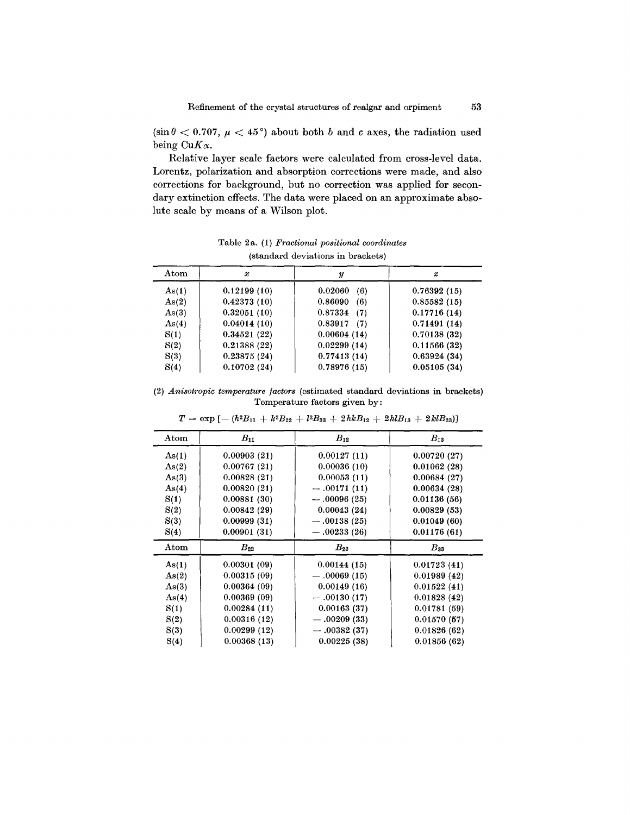(sin $\theta$  < 0.707,  $\mu$  < 45°) about both *b* and *c* axes, the radiation used being  $CuK\alpha$ .

Relative layer scale factors were calculated from cross-level data. Lorentz, polarization and absorption corrections were made, and also corrections for background, but no correction was applied for secondary extinction effects. The data were placed on an approximate absolute scale by means of a Wilson plot.

Atom i  $x$  i  $y$  i  $z$ As(1)  $\vert$  0.12199 (10)  $\vert$  0.02060 (6)  $\vert$  0.76392 (15) As(2)  $\begin{array}{|c|c|c|c|c|c|c|} \hline 0.42373 & (10) & 0.86090 & (6) & 0.85582 & (15) \hline \end{array}$ As(3)  $\begin{array}{|c|c|c|c|c|c|c|c|} \hline 0.32051 & (10) & 0.87334 & (7) & 0.17716 & (14) \hline \end{array}$ As(4)  $\begin{array}{|c|c|c|c|c|c|c|c|} \hline \end{array}$  0.04014 (10)  $\begin{array}{|c|c|c|c|c|c|} \hline \end{array}$  0.71491 (14)  $S(1)$  0.34521 (22) 0.00604 (14) 0.70138 (32)  $S(2)$  | 0.21388 (22) | 0.02299 (14) | 0.11566 (32)  $S(3)$  0.23875 (24) 0.77413 (14) 0.63924 (34)  $S(4)$  0.10702 (24) 0.78976 (15) 0.05105 (34)

Table 2a. (1) *Fractional positional coordinates* (standard deviations in brackets)

(2) *Anisotropic temperature factors* (estimated standard deviations in brackets) Temperature factors given by:

| $_{\rm Atom}$ | $B_{11}$    | $B_{12}$      | $B_{13}$    |
|---------------|-------------|---------------|-------------|
| As(1)         | 0.00903(21) | 0.00127(11)   | 0.00720(27) |
| As(2)         | 0.00767(21) | 0.00036(10)   | 0.01062(28) |
| As(3)         | 0.00828(21) | 0.00053(11)   | 0.00684(27) |
| As(4)         | 0.00820(21) | $-.00171(11)$ | 0.00634(28) |
| S(1)          | 0.00881(30) | $-.00096(25)$ | 0.01136(56) |
| S(2)          | 0.00842(29) | 0.00043(24)   | 0.00829(53) |
| S(3)          | 0.00999(31) | $-.00138(25)$ | 0.01049(60) |
| S(4)          | 0.00901(31) | $-.00233(26)$ | 0.01176(61) |
| $_{\rm Atom}$ | $B_{22}$    | $B_{23}$      | $B_{33}$    |
| As(1)         | 0.00301(09) | 0.00144(15)   | 0.01723(41) |
| As(2)         | 0.00315(09) | $-.00069(15)$ | 0.01989(42) |
| As(3)         | 0.00364(09) | 0.00149(16)   | 0.01522(41) |
| As(4)         | 0.00369(09) | $-.00130(17)$ | 0.01828(42) |
| S(1)          | 0.00284(11) | 0.00163(37)   | 0.01781(59) |
| S(2)          | 0.00316(12) | $-.00209(33)$ | 0.01570(57) |
| S(3)          | 0.00299(12) | $-.00382(37)$ | 0.01826(62) |
|               |             |               |             |

 $T = \exp[-(h^2B_{11} + k^2B_{22} + l^2B_{33} + 2hkB_{12} + 2hlB_{13} + 2klB_{23})]$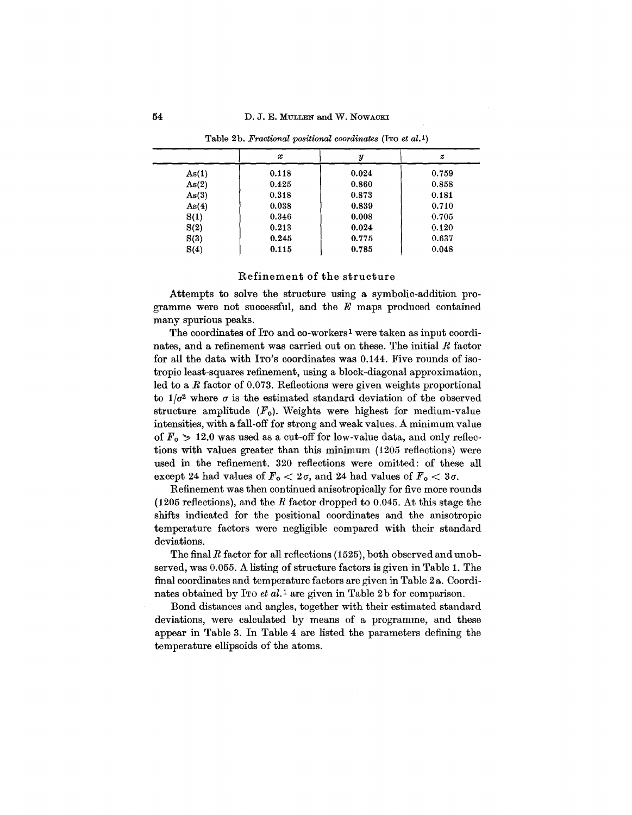|       | x     | y     | $\boldsymbol{z}$ |
|-------|-------|-------|------------------|
| As(1) | 0.118 | 0.024 | 0.759            |
| As(2) | 0.425 | 0.860 | 0.858            |
| As(3) | 0.318 | 0.873 | 0.181            |
| As(4) | 0.038 | 0.839 | 0.710            |
| S(1)  | 0.346 | 0.008 | 0.705            |
| S(2)  | 0.213 | 0.024 | 0.120            |
| S(3)  | 0.245 | 0.775 | 0.637            |
| S(4)  | 0.115 | 0.785 | 0.048            |

Table 2b. Fractional positional coordinates (ITO et al.1)

## Refinement of the structure

Attempts to solve the structure using a symbolic-addition programme were not successful, and the *E* maps produced contained many spurious peaks.

The coordinates of ITO and co-workers<sup>1</sup> were taken as input coordinates, and a refinement was carried out on these. The initial *R* factor for all the data with ITO'S coordinates was 0.144. Five rounds of isotropic least-squares refinement, using a block-diagonal approximation, led to a *R* factor of 0.073. Reflections were given weights proportional to  $1/\sigma^2$  where  $\sigma$  is the estimated standard deviation of the observed structure amplitude  $(F_o)$ . Weights were highest for medium-value intensities, with a fall-off for strong and weak values. A minimum value of  $F_0 > 12.0$  was used as a cut-off for low-value data, and only reflections with values greater than this minimum (1205 reflections) were used in the refinement. 320 reflections were omitted: of these all except 24 had values of  $F_0 < 2\sigma$ , and 24 had values of  $F_0 < 3\sigma$ .

Refinement was then continued anisotropically for five more rounds (1205 reflections), and the *R* factor dropped to 0.045. At this stage the shifts indicated for the positional coordinates and the anisotropic temperature factors were negligible compared with their standard deviations.

The final *R* factor for all reflections (1525), both observed and unobserved, was 0.055. A listing of structure factors is given in Table 1. The final coordinates and temperature factors are given in Table 2 a. Coordinates obtained by ITo *et al.1* are given in Table 2b for comparison.

Bond distances and angles, together with their estimated standard deviations, were calculated by means of a programme, and these appear in Table 3. In Table 4 are listed the parameters defining the temperature ellipsoids of the atoms.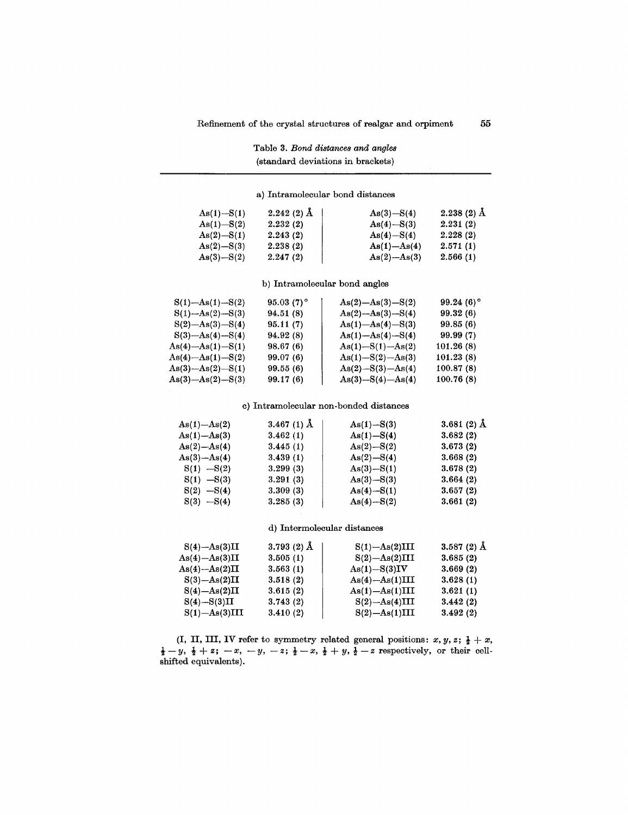|                                                                 | (standard deviations in brackets) |                                        |              |
|-----------------------------------------------------------------|-----------------------------------|----------------------------------------|--------------|
|                                                                 | a) Intramolecular bond distances  |                                        |              |
| $As(1) - S(1)$                                                  | $2.242(2)$ $\AA$                  | $As(3) - S(4)$                         | $2.238(2)$ Å |
| $As(1) - S(2)$                                                  | 2.232(2)                          | $As(4) - S(3)$                         | 2.231(2)     |
| $As(2) - S(1)$                                                  | 2.243(2)                          | $As(4) - S(4)$                         | 2.228(2)     |
| $As(2) - S(3)$                                                  | 2.238(2)                          | $As(1) - As(4)$                        | 2.571(1)     |
| $As(3) - S(2)$                                                  | 2.247(2)                          | $As(2)$ - $As(3)$                      | 2.566(1)     |
|                                                                 | b) Intramolecular bond angles     |                                        |              |
| $S(1)$ -As $(1)$ -S $(2)$                                       | $95.03(7)$ °                      | $As(2) - As(3) - S(2)$                 | $99.24(6)$ ° |
| $S(1)$ -As(2)-S(3)                                              | 94.51 (8)                         | $As(2) - As(3) - S(4)$                 | 99.32 (6)    |
| $S(2)$ -As(3)-S(4)                                              | 95.11(7)                          | $As(1) - As(4) - S(3)$                 | 99.85(6)     |
| $S(3)$ -As(4)- $S(4)$                                           | 94.92(8)                          | $As(1) - As(4) - S(4)$                 | 99.99 (7)    |
| $\operatorname{As}(4)-\operatorname{As}(1)-\operatorname{S}(1)$ | 98.67(6)                          | $As(1) - S(1) - As(2)$                 | 101.26(8)    |
| $As(4)-As(1)-S(2)$                                              | 99.07(6)                          | $As(1) - S(2) - As(3)$                 | 101.23(8)    |
| $As(3) - As(2) - S(1)$                                          | 99.55(6)                          | $As(2) - S(3) - As(4)$                 | 100.87(8)    |
| $As(3) - As(2) - S(3)$                                          | 99.17 (6)                         | $As(3) - S(4) - As(4)$                 | 100.76(8)    |
|                                                                 |                                   | c) Intramolecular non-bonded distances |              |
| $As(1)-As(2)$                                                   | 3.467 (1) $\AA$                   | $As(1) - S(3)$                         | $3.681(2)$ Å |
| $As(1) - As(3)$                                                 | 3.462(1)                          | $As(1) - S(4)$                         | 3.682(2)     |
| $As(2) - As(4)$                                                 | 3.445(1)                          | $As(2) - S(2)$                         | 3.673(2)     |
| $As(3)-As(4)$                                                   | 3.439(1)                          | $As(2) - S(4)$                         | 3.668(2)     |
| $S(1) - S(2)$                                                   | 3.299(3)                          | $As(3) - S(1)$                         | 3.678(2)     |
| $S(1) - S(3)$                                                   | 3.291(3)                          | $As(3) - S(3)$                         | 3.664(2)     |
| $S(2) -S(4)$                                                    | 3.309(3)                          | $As(4) - S(1)$                         | 3.657(2)     |
| $S(3) -S(4)$                                                    | 3.285(3)                          | $As(4) - S(2)$                         | 3.661(2)     |
|                                                                 | d) Intermolecular distances       |                                        |              |
| $S(4)$ -As $(3)II$                                              | 3.793 $(2)$ Å                     | $S(1)$ -As $(2)$ III                   | $3.587(2)$ Å |
| $As(4) - As(3)II$                                               | 3.505(1)                          | $S(2)$ -As $(2)$ III                   | 3.685(2)     |
| $As(4) - As(2)II$                                               | 3.563(1)                          | $As(1) - S(3)IV$                       | 3.669(2)     |
| $S(3)$ -As $(2)II$                                              | 3.518(2)                          | $As(4)-As(1)III$                       | 3.628(1)     |
| $S(4) - As(2)II$                                                | 3.615(2)                          | $As(1) - As(1)III$                     | 3.621(1)     |

# Table 3. *Bond distances and angles*

(I, II, III, IV refer to symmetry related general positions:  $x, y, z; \frac{1}{2} + x$ ,  $\frac{1}{2} - y$ ,  $\frac{1}{2} + z$ ;  $-x$ ,  $-y$ ,  $-z$ ;  $\frac{1}{2} - x$ ,  $\frac{1}{2} + y$ ,  $\frac{1}{2} - z$  respectively, or their cellshifted equivalents).

 $\rm S(4) - S(3)II$  3.743 (2)  $\rm S(2) - As(4)III$  3.442 (2)  $\rm S(1) – As(3) III \qquad \quad 3.410 \ (2) \qquad \qquad S(2) – As(1) III \qquad \quad 3.492 \ (2)$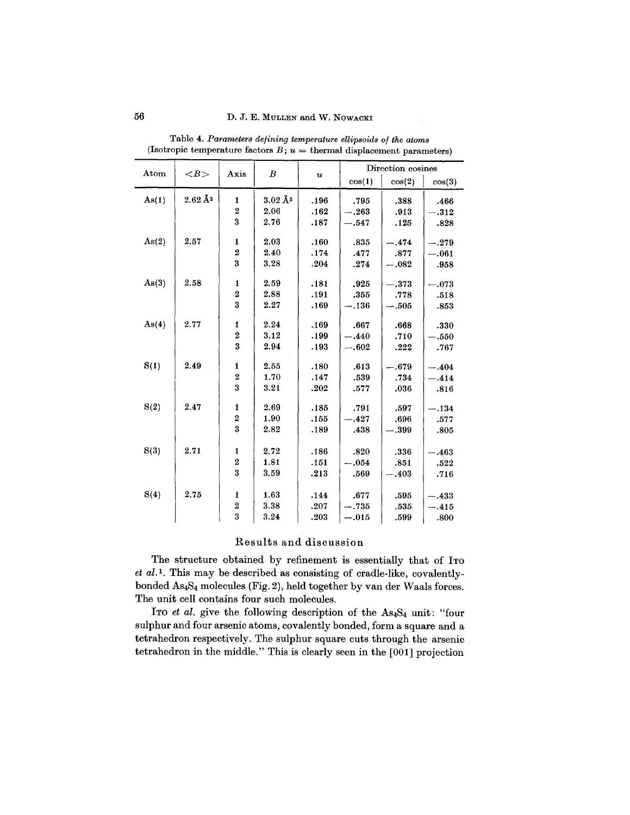| Atom  | $\langle B \rangle$      | Axis                    | $\boldsymbol{B}$       |                           | Direction cosines |         |                     |
|-------|--------------------------|-------------------------|------------------------|---------------------------|-------------------|---------|---------------------|
|       |                          |                         |                        | $\boldsymbol{\mathit{u}}$ | cos(1)            | cos(2)  | cos(3)              |
| As(1) | $2.62\,\AA$ <sup>2</sup> | $\mathbf{1}$            | $3.02\AA$ <sup>2</sup> | .196                      | .795              | .388    | .466                |
|       |                          | $\overline{2}$          | 2.06                   | .162                      | $-.263$           | .913    | $-.312$             |
|       |                          | 3                       | 2.76                   | .187                      | $-.547$           | .125    | .828                |
| As(2) | 2.57                     | 1                       | 2.03                   | .160                      | .835              | $-.474$ | $-.279$             |
|       |                          | $\overline{\mathbf{2}}$ | 2.40                   | .174                      | .477              | .877    | $-.061$             |
|       |                          | $\overline{\mathbf{3}}$ | 3.28                   | .204                      | .274              | $-.082$ | .958                |
|       |                          |                         |                        |                           |                   |         |                     |
| As(3) | 2.58                     | $\mathbf{1}$            | 2.59                   | .181                      | .925              | $-.373$ | $-.073$             |
|       |                          | $\overline{\mathbf{2}}$ | 2.88                   | .191                      | .355              | .778    | .518                |
|       |                          | 3                       | 2.27                   | .169                      | $-.136$           | $-.505$ | $\boldsymbol{.853}$ |
| As(4) | 2.77                     | 1                       | 2.24                   | .169                      | .667              | .668    | .330                |
|       |                          | $\overline{2}$          | 3.12                   | .199                      | $-.440$           | .710    | $-.550$             |
|       |                          | $\overline{\mathbf{3}}$ | 2.94                   | .193                      | $-.602$           | .222    | .767                |
|       |                          |                         |                        |                           |                   |         |                     |
| S(1)  | 2.49                     | 1                       | 2.55                   | .180                      | .613              | $-.679$ | $-.404$             |
|       |                          | $\overline{2}$          | 1.70                   | .147                      | .539              | .734    | $-.414$             |
|       |                          | 3                       | 3.21                   | .202                      | .577              | .036    | .816                |
| S(2)  | 2.47                     | $\mathbf{1}$            | 2.69                   | .185                      | .791              | .597    | $-.134$             |
|       |                          | $\overline{\mathbf{2}}$ | 1.90                   | .155                      | $-.427$           | .696    | .577                |
|       |                          | $\overline{\mathbf{3}}$ | 2.82                   | .189                      | .438              | $-.399$ | .805                |
|       |                          |                         |                        |                           |                   |         |                     |
| S(3)  | 2.71                     | 1                       | 2.72                   | .186                      | .820              | .336    | $-.463$             |
|       |                          | $\overline{\mathbf{2}}$ | 1.81                   | .151                      | $-.054$           | .851    | .522                |
|       |                          | $\overline{\mathbf{3}}$ | 3.59                   | .213                      | .569              | $-.403$ | .716                |
| S(4)  | 2.75                     | $\mathbf{1}$            | 1.63                   | .144                      | .677              |         |                     |
|       |                          | $\overline{\mathbf{2}}$ | 3.38                   |                           |                   | .595    | $-.433$             |
|       |                          | $\overline{\mathbf{3}}$ |                        | .207                      | $-.735$           | .535    | $-.415$             |
|       |                          |                         | 3.24                   | .203                      | $-.015$           | .599    | .800                |

Table 4. *Parameters defining temperature ellipsoids of the atoms* (Isotropic temperature factors  $B$ ;  $u =$  thermal displacement parameter

# Results and discussion

The structure obtained by refinement is essentially that of Iro *et aU.* This may be described as consisting of cradle-like, covalentlybonded AS4S4molecules (Fig. 2), held together by van der Waals forces. The unit cell contains four such molecules.

ITo *et al.* give the following description of the AS4S4 unit: "four sulphur and four arsenic atoms, covalently bonded, form a square and a tetrahedron respectively. The sulphur square cuts through the arsenic tetrahedron in the middle." This is clearly seen in the [001] projection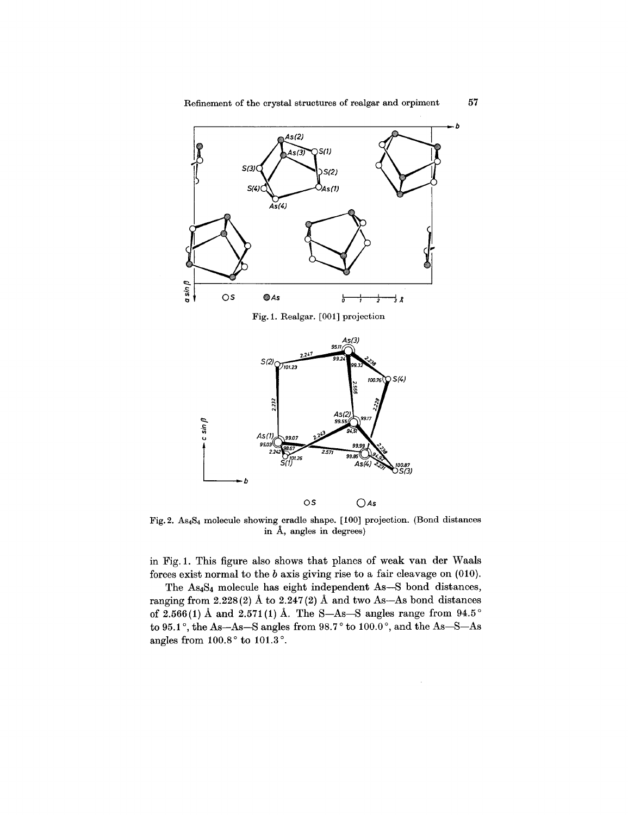

Fig.2. AS4S4 molecule showing cradle shape. [100] projection. (Bond distances in A, angles in degrees)

in Fig. 1. This figure also shows that planes of weak van der Waals forces exist normal to the *b* axis giving rise to a fair cleavage on (010).

The As<sub>4</sub>S<sub>4</sub> molecule has eight independent As-S bond distances, ranging from  $2.228(2)$  Å to  $2.247(2)$  Å and two As-As bond distances of 2.566(1) Å and 2.571(1) Å. The S-As-S angles range from  $94.5^{\circ}$ to 95.1°, the As-As-S angles from 98.7 ° to 100.0°, and the As-S-As angles from  $100.8\degree$  to  $101.3\degree$ .

*b*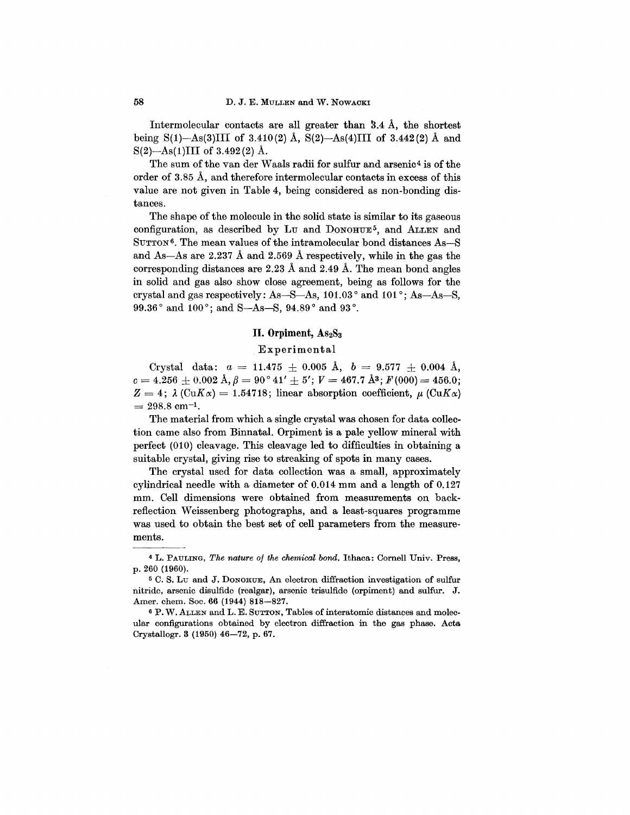Intermolecular contacts are all greater than  $3.4 \text{ Å}$ , the shortest being S(1)-As(3)III of 3.410(2) Å, S(2)-As(4)III of 3.442(2) Å and  $S(2)$ —As(1)III of 3.492(2) Å.

The sum of the van der Waals radii for sulfur and arsenic4 is of the order of 3.85 A, and therefore intermolecular contacts in excess of this value are not given in Table 4, being considered as non-bonding distances.

The shape of the molecule in the solid state is similar to its gaseous configuration, as described by  $Lv$  and  $D_{ONOHUE}$ <sup>5</sup>, and  $ALLEN$  and SUTTON<sup>6</sup>. The mean values of the intramolecular bond distances As-S and As-As are 2.237 A and 2.569 A respectively, while in the gas the corresponding distances are 2.23 A and 2.49 A. The mean bond angles in solid and gas also show close agreement, being as follows for the crystal and gas respectively: As-S-As, 101.03° and 101°; As-As-S, 99.36° and 100°; and S-As-S, 94.89° and 93°.

## **II.** Orpiment,  $\text{As}_2\text{S}_3$

#### Experimental

Crystal data:  $a = 11.475 \pm 0.005$  Å,  $b = 9.577 \pm 0.004$  Å,  $c = 4.256 \pm 0.002 \text{ Å}, \beta = 90^{\circ} 41' + 5'; V = 467.7 \text{ Å}^3; F(000) = 456.0;$  $Z = 4$ ;  $\lambda$  (CuK $\alpha$ ) = 1.54718; linear absorption coefficient,  $\mu$  (CuK $\alpha$ )  $= 298.8$  cm<sup>-1</sup>.

The material from which a single crystal was chosen for data collection came also from Binnatal. Orpiment is a pale yellow mineral with perfect (010) cleavage. This cleavage led to difficulties in obtaining a suitable crystal, giving rise to streaking of spots in many cases.

The crystal used for data collection was a small, approximately cylindrical needle with a diameter of 0.014 mm and a length of 0.127 mm. Cell dimensions were obtained from measurements on backreflection Weissenberg photographs, and a least-squares programme was used to obtain the best set of cell parameters from the measurements.

<sup>4</sup> L. PAULING, *The nature of the chemical bond.* Ithaca: Cornell Univ. Press, p. 260 (1960).

<sup>5</sup> C. S. Lu and J. DONOHUE, An electron diffraction investigation of sulfur nitride, arsenic disulfide (realgar), arsenic trisulfide (orpiment) and sulfur. J. Amer. chem. Soc. 66 (1944) 818-827.

<sup>6</sup> P. W.ALLEN and L. E. SUTTON,Tables of interatomic distances and molecular configurations obtained by electron diffraction in the gas phase. Acta Crystallogr.3 (1950) 46-72, p. 67.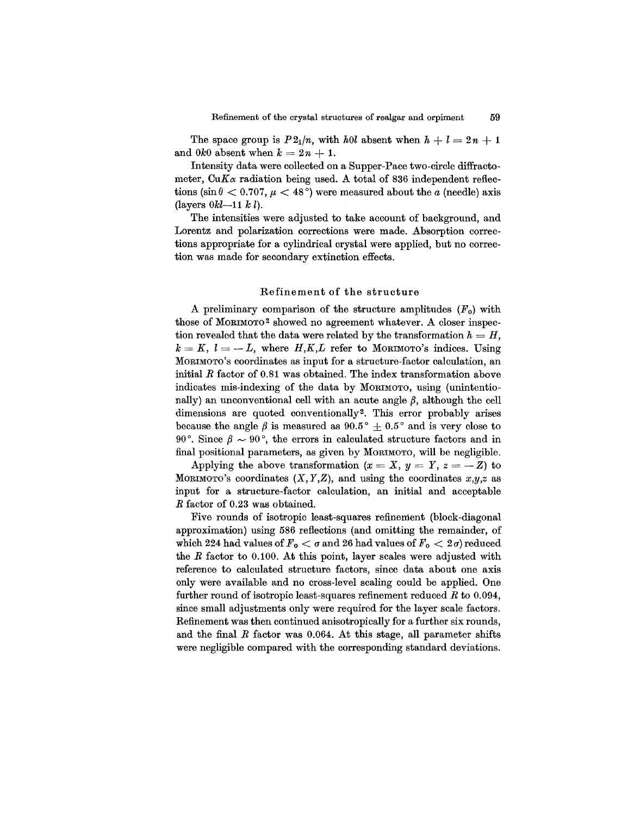The space group is  $P2_1/n$ , with *hOl* absent when  $h + l = 2n + 1$ and  $0k0$  absent when  $k = 2n + 1$ .

Intensity data were collected on a Supper-Pace two-circle diffractometer,  $CuK_{\alpha}$  radiation being used. A total of 836 independent reflec $t$ ions (sin $\theta < 0.707$ ,  $\mu < 48^{\circ}$ ) were measured about the *a* (needle) axis  $(l$ ayers  $0kl-11 k l$ .

The intensities were adjusted to take account of background, and Lorentz and polarization corrections were made. Absorption corrections appropriate for a cylindrical crystal were applied, but no correction was made for secondary extinction effects.

#### Refinement of the structure

A preliminary comparison of the structure amplitudes *(Fo)* with those of MORIMOTO2 showed no agreement whatever. A closer inspection revealed that the data were related by the transformation  $h = H$ ,  $k = K, l = -L$ , where  $H, K, L$  refer to MORIMOTO's indices. Using MORIMOTO's coordinates as input for a structure-factor calculation, an initial *R* factor of 0.81 was obtained. The index transformation above indicates mis-indexing of the data by MORIMOTO, using (unintentionally) an unconventional cell with an acute angle  $\beta$ , although the cell dimensions are quoted conventionally<sup>2</sup>. This error probably arises because the angle  $\beta$  is measured as  $90.5^{\circ} + 0.5^{\circ}$  and is very close to 90<sup>°</sup>. Since  $\beta \sim 90^\circ$ , the errors in calculated structure factors and in final positional parameters, as given by MORIMOTO, will be negligible.

Applying the above transformation  $(x = X, y = Y, z = -Z)$  to MORIMOTO's coordinates  $(X, Y, Z)$ , and using the coordinates  $x, y, z$  as input for a structure-factor calculation, an initial and acceptable *R* factor of 0.23 was obtained.

Five rounds of isotropic least-squares refinement (block-diagonal approximation) using 586 reflections (and omitting the remainder, of which 224 had values of  $F_o < \sigma$  and 26 had values of  $F_o < 2\sigma$ ) reduced the *R* factor to 0.100. At this point, layer scales were adjusted with reference to calculated structure factors, since data about one axis only were available and no cross-level scaling could be applied. One further round of isotropic least-squares refinement reduced *R* to 0.094, since small adjustments only were required for the layer scale factors. Refinement was then continued anisotropically for a further six rounds, and the final *R* factor was 0.064. At this stage, all parameter shifts were negligible compared with the corresponding standard deviations.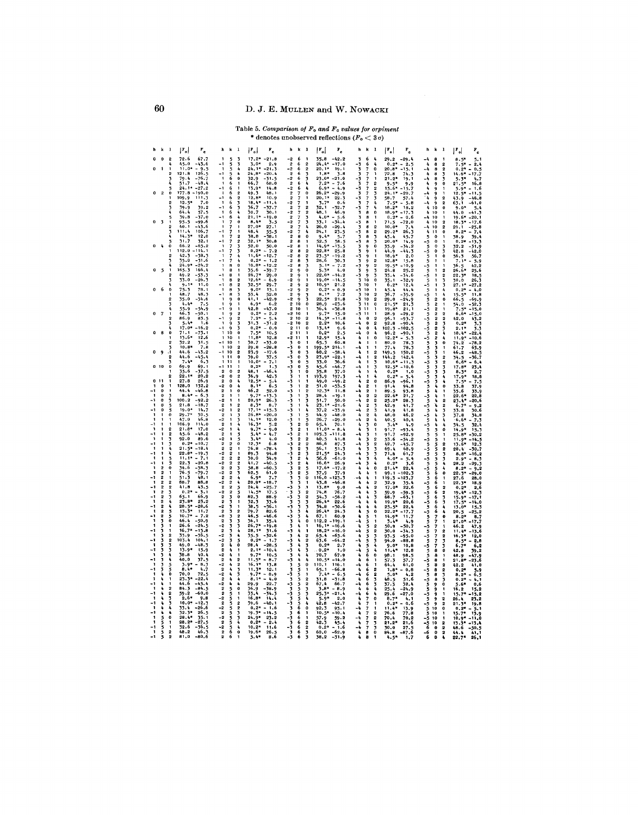Table 5. Comparison of  $F_0$  and  $F_c$  values for orpiment<br>\* denotes unobserved reflections  $(F_0 < 3\sigma)$ 

|                     | h k                        | $\blacksquare$                   | $ \mathbf{r}_{\text{o}} $<br>$\mathbf{r}_{\rm e}$ | $h \ h \ 1$                                                                                 | $ \mathbf{r}_{\text{o}} $<br>$\mathbf{r}_{\rm e}$ | h k 1                                                                                     | $ \mathbf{r}_o $<br>$r_{\rm e}$                           | $h = k - 1$                                                                          | $\lvert \mathbf{F_o} \rvert$<br>$\mathbf{r}_{\rm e}$ | $k = 1$<br>h                                                 | $\vert$ $\mathbf{F_{o}}\vert$<br>₽.       |
|---------------------|----------------------------|----------------------------------|---------------------------------------------------|---------------------------------------------------------------------------------------------|---------------------------------------------------|-------------------------------------------------------------------------------------------|-----------------------------------------------------------|--------------------------------------------------------------------------------------|------------------------------------------------------|--------------------------------------------------------------|-------------------------------------------|
| $\mathbf{o}$        | 0                          | $\overline{2}$                   | 72.6<br>67.7                                      | f,<br>5<br>3                                                                                | $17.2*$<br>$-21.8$                                | 6<br>-2<br><sup>1</sup>                                                                   | 35.8<br>$-42.2$                                           | 6<br>3<br>4                                                                          | 29.2<br>$-29.4$                                      | -4<br>8<br>1                                                 | 8.5"<br>5.1                               |
|                     |                            |                                  | 45.0<br>-43.6                                     | - 1<br>5<br>3                                                                               | $3.0*$<br>2.9                                     | $\overline{\mathbf{2}}$<br>6<br>2                                                         | $24.4*$<br>$-17.0$                                        | 4<br>-3<br>6                                                                         | $0.2*$<br>$-2.5$                                     | 4<br>8<br>$\overline{2}$                                     | 7.5*<br>2.4                               |
| $\bf{0}$            | $\ddot{\phantom{a}}$       | 1<br>$\overline{2}$              | $11.0*$<br>$-9.5$<br>121.8                        | 5<br>4<br>$\ddot{\phantom{1}}$<br>$-1$<br>۸                                                 | 24.1*<br>$-21.3$                                  | $\cdot$<br>6<br>$\bf 2$<br>6                                                              | $20.1*$<br>19.1<br>$1.8*$<br>3.8                          | 3<br>0<br>٦                                                                          | $20.8*$<br>$-15.1$                                   | 2<br>-4<br>8                                                 | $0.2*$<br>0.5<br>$\overline{\phantom{0}}$ |
|                     |                            | ٦                                | 126.5<br>$-76.7$<br>79.4                          | 5<br>$\blacksquare$<br>6<br>$\bf{0}$                                                        | $24.8*$<br>$-20.4$<br>$-31.5$                     | $\boldsymbol{2}$<br>3<br>-2<br>6<br>3                                                     | $23.0*$<br>$-21.0$                                        | 1<br>-3<br>$\mathbf{1}$                                                              | 72.8<br>74.3<br>$21.2*$<br>19.1                      | 3<br>4<br>8<br>8<br>3<br>۰4                                  | $14.6*$<br>$-17.7$<br>$5.3*$<br>4.7       |
|                     |                            |                                  | $-48.4$<br>51.7                                   | $\mathbf{1}$<br>6<br>$\mathbf{1}$                                                           | 32.9<br>66.7<br>68.0                              | $\overline{2}$<br>6<br>4                                                                  | $7.2*$<br>$-7.6$                                          | 3<br>7<br>$\overline{2}$                                                             | $9.5*$<br>9.9                                        | $\pmb{0}$<br>4<br>9                                          | $21.5*$<br>16.8                           |
|                     | 0 <sub>2</sub>             | ō                                | $-27.2$<br>$24.1*$<br>$-190.0$<br>177.8           | - 1<br>6<br>$\mathbf{1}$<br>6<br>$\overline{2}$                                             | $13.9*$<br>14.8                                   | 6<br>-2<br>A<br>$\overline{2}$<br>$\mathbf 0$                                             | $6.9*$<br>L.<br>4.9<br>$26.2*$                            | $\overline{2}$<br>-3                                                                 | $15.6*$<br>$-15.7$                                   | ۰,<br>q<br>1                                                 | $5.9*$<br>$\overline{a}$<br>1.6           |
|                     |                            |                                  | 109.9<br>111.3                                    | -1<br>2<br>6                                                                                | 48.1<br>$12.8*$<br>10.9                           | 7<br>$\overline{\mathbf{2}}$<br>$\mathbf{I}$                                              | $-29.9$<br>22.3<br>$20.1*$                                | $\frac{1}{3}$<br>$\overline{\mathbf{3}}$<br>$\frac{7}{7}$<br>-3                      | $24.1*$<br>$-20.7$<br>58.7<br>57.4                   | ۰<br>-1<br>٠,<br>$\overline{2}$<br>9                         | $12.5*$<br>$-11.5$<br>$-46.8$             |
|                     |                            |                                  | 12.5*<br>7.0                                      | $\blacksquare$<br>6                                                                         | 18.4*<br>$-11.4$                                  | -2                                                                                        | $3.7*$<br>0.6                                             | 3<br>ł,                                                                              | $7.5*$<br>5.8                                        | 2<br>q                                                       | $43.9$<br>63.1<br>$-61.0$                 |
|                     |                            |                                  | 39.9<br>39.2<br>64.4                              | 6<br>3<br>- 1<br>6<br>Ą                                                                     | 36.7<br>$-37.7$                                   | $\overline{\mathbf{2}}$<br>2<br>7                                                         | 32.1<br>$-32.7$                                           | .3                                                                                   | $18.2*$<br>18.2                                      | $\mathbf{0}$<br>10                                           | $9.0*$<br>5.4                             |
|                     |                            |                                  | 57.5<br>39.8<br>$-37.0$                           | $\mathbf{1}$<br>6<br>$\boldsymbol{t}$<br>- 1                                                | 30.7<br>50.1<br>21, 1*                            | - 2<br>7<br>$\mathbf 2$<br>$\overline{\mathbf{2}}$                                        | 48.1<br>46.9<br>$4.0*$<br>$\overline{\phantom{a}}$<br>5.6 | 3<br>8<br>0<br>3<br>$\mathbf{a}$<br>1                                                | $18.9*$<br>$-17.3$<br>$-0.6$<br>$0.2*$               | ł,<br>10<br>1<br>10<br>$\mathbf{1}$<br>-4                    | 44.0<br>$19.6* -20.1$                     |
| $\bf{0}$            | $\overline{3}$             |                                  | $95.5$<br>40.1<br>$-99.6$                         | $\bf{0}$<br>$\mathbf{1}$<br>7                                                               | $-19.0$<br>3.5<br>$8.4*$                          | $\frac{7}{7}$<br>3<br>-2                                                                  | 33.1<br>$-34.4$                                           | -3<br>a<br>1                                                                         | 71.5<br>-72.0                                        | $\mathbf{I}_{\mathbf{I}}$<br>10<br>2                         | $18.3*$<br>$-17.6$                        |
|                     |                            | 2                                | $-43.6$<br>106.7                                  | $\frac{7}{7}$<br>-1                                                                         | $27.0*$<br>27.1<br>48.4                           | $\overline{2}$<br>7<br>$\pmb{h}$                                                          | 26.0<br>$-29.4$                                           | $\overline{2}$<br>$\frac{1}{2}$<br>8                                                 | $10.0*$<br>$7.4$<br>26.3<br>45.7                     | $\overline{2}$<br>-4<br>10<br>ō                              | $29.1 - 25.8$                             |
|                     |                            |                                  | 111.4<br>14.3<br>12.0                             | $\mathbf{1}$<br>- 1<br>$\mathbf{1}$<br>7<br>2                                               | 55.5<br>38.1<br>38.8                              | -2<br>4<br>$\overline{\mathbf{2}}$<br>$\ddot{\mathbf{8}}$<br>$\pmb{0}$                    | 24.1<br>$23.5$<br>5.7<br>$9.4*$                           | 2<br>-3<br>8<br>$\overline{2}$<br>8                                                  | $29.2*$<br>45.4                                      | 4<br>-11<br>5<br>$\mathbf 0$<br>1                            | $8.2*$<br>- 7.4<br>38.9<br>39.4           |
|                     |                            |                                  | 32.1<br>31.7                                      | $\overline{\phantom{a}}$<br>2<br>- 1                                                        | 32.1*<br>30.8                                     | $\overline{\mathbf{2}}$<br>8<br>1                                                         | 52.5<br>58.5                                              | 3<br>-3<br>8                                                                         | $20.0*$<br>14.9                                      | -5<br>$\ddot{\mathbf{0}}$<br>$\mathbf{I}$                    | $0.2*$<br>$-13.3$                         |
| $\bf{0}$            | $\pmb{\cdot}$              | ō                                | 66.2<br>$-65.2$                                   | 7<br>3<br>$\mathbf{1}$                                                                      | 52.0<br>50.0                                      | -2<br>8<br>1                                                                              | $14.9*$<br>$-13.5$                                        | ō<br>3<br>9                                                                          | 35.9<br>$-34.2$                                      | 5<br>0<br>3                                                  | 32.2<br>$-31.9$                           |
|                     |                            |                                  | 112.0<br>$-114.1$<br>42.3<br>$-38.3$              | -1<br>$\frac{7}{7}$<br>3<br>$\overline{1}$<br>Ą                                             | $0.2*$<br>$-7.2$<br>$11.6*$<br>$-12.7$            | $\overline{\mathbf{2}}$<br>8<br>2<br>-2<br>8<br>2                                         | $22.8*$<br>25.8<br>$23.5*$<br>$-19.2$                     | 3<br>1<br>9<br>-3<br>$\mathbf{1}$<br>9                                               | 44.9<br>-44.3<br>$18.9*$<br>2,0                      | 0<br>5<br>$\pmb{0}$<br>1                                     | 42.8<br>$-42$<br>56.3<br>56.7             |
|                     |                            |                                  | 35.0<br>$-31.6$                                   | 7<br>$-1$<br>$\mathbf{I}_{\mathbf{I}}$                                                      | $0.2*$<br>$-1.2$                                  | $\overline{2}$<br>$\frac{3}{3}$<br>A                                                      | 28.6<br>30.3<br>- 7.2                                     | 3<br>q<br>$\mathbf{2}$                                                               | $12.8*$<br>15.8                                      | 5<br>$\mathbf{1}$                                            | $7.1*$<br>5.9                             |
|                     |                            |                                  | $-24.2$<br>24.9                                   | 8<br>0<br>$\mathbf{1}$                                                                      | $10.8*$<br>$-12.2$                                | $-2$<br>8                                                                                 | $5.1*$                                                    | $\overline{2}$<br>-3<br>9                                                            | $19.5*$<br>$-10.9$                                   | 1<br>1                                                       | 36.5<br>42.2                              |
| $\bf{0}$            | 5                          |                                  | 165.3<br>166.4<br>49.2<br>$-53.3$                 | 8<br>8<br>- 1                                                                               | 35.6<br>$-39.7$<br>$26.7*$<br>29.0                | $\overline{\mathbf{2}}$<br>$\ddot{\mathbf{0}}$<br>9<br>$\overline{\mathbf{2}}$<br>ġ.<br>1 | $5.3*$<br>4.0<br>$22.0*$<br>$-14.2$                       | 3<br>3<br>9<br>-3<br>۹                                                               | 25.2<br>24.8<br>35.4<br>-34.6                        | $\overline{2}$<br>1<br>$\overline{2}$<br>1                   | $26.6*$<br>25.6<br>$22.3*$<br>18.5        |
|                     |                            |                                  | 33.0<br>$-26.3$                                   | 8<br>2<br>$\mathbf{1}$                                                                      | $12.6*$<br>6.9                                    | -2<br>9<br>1                                                                              | 19.0*<br>$-14.5$                                          | 3<br>ō<br>10                                                                         | 35.1<br>$-32.9$                                      | -5<br>-5<br>-5                                               | 30.0<br>26.3                              |
|                     |                            |                                  | $9.1*$<br>11.0                                    | 8<br>2<br>$-1$                                                                              | $32.5*$<br>29.7                                   | 2<br>9<br>2                                                                               | $10.9*$<br>21.2                                           | $\overline{\mathbf{z}}$<br>1<br>10                                                   | $6.2*$<br>12.4                                       | 3<br>-5<br>1                                                 | $27.1*$                                   |
| $\bf{0}$            | 6                          | $\ddot{\phantom{0}}$             | 75.3<br>78.1<br>48.7<br>48.3                      | 8<br>$\mathbf{1}$<br>3<br>$-1$<br>8<br>$\overline{\mathbf{5}}$                              | $9.0*$<br>13.1<br>52.0                            | -2<br>$\,$<br>9<br>$\overline{2}$<br>9                                                    | $0.2*$<br>$-0.9$<br>$8.1*$<br>7.2                         | -3<br>10<br>$\mathbf{I}$<br>3<br>10<br>2                                             | 45.4<br>44.4<br>36.7<br>$-35.9$                      | 5<br>1<br>4<br>-5<br>4<br>1                                  | $0.2*$<br>$15.5*$<br>11.8                 |
|                     |                            | 2                                | $-34.6$<br>35.0                                   | $\theta$<br>$\mathbf{1}$<br>۰                                                               | $53.4$<br>41.1<br>-42.9                           | 3<br>$-2$<br>o<br>3                                                                       | 21.A<br>22.5*                                             | 2<br>-3<br>10                                                                        | 29.0<br>-24.9                                        | 5<br>$\cdot$<br>$\mathbf 0$                                  | 66.5<br>$-69.9$                           |
|                     |                            |                                  | $4.4*$                                            | $\mathbf{1}$<br>9<br>1                                                                      | $6.9*$<br>6.2                                     | ó<br>$\overline{2}$<br>10                                                                 | $28.9$<br>36.4<br>$-23.6$                                 | $\frac{3}{3}$<br>11<br>$\mathbf 0$                                                   | $21.5*$<br>$\frac{21.5}{21.1}$                       | $-5$<br>$-5$<br>2<br>$\mathbf{1}$                            | $54.0$<br>7.5*<br>$-52.3$                 |
| o                   | $\pmb{7}$                  |                                  | 55.9<br>- 54.9<br>46.3<br>-50.1                   | 9<br>- 1<br>$\mathbf{1}$<br>9<br>$\overline{2}$<br>$\mathbf{1}$                             | 42.0<br>$-47.0$<br>$0.2*$<br>2.2                  | $\overline{\mathbf{2}}$<br>10<br>1<br>-2<br>10<br>1                                       | $-38.8$<br>$9.7*$<br>15.0                                 | 11<br>1<br>-3<br>11                                                                  | $19.8*$<br>$-29.2$<br>28.9                           | $\overline{2}$<br>٠<br>$\overline{\mathbf{2}}$<br>2          | $-15.0$<br>$6,6*$<br>$-15.0$              |
|                     |                            |                                  | 86.9<br>83.5                                      | - 1<br>9<br>$\overline{2}$                                                                  | $7.2*$<br>$\omega$<br>5.4                         | $\mathbf 2$<br>10<br>$\overline{\mathbf{2}}$                                              | $14.5*$<br>$-11.8$                                        | $\pmb{t}_i$<br>$\bf{0}$<br>$\overline{2}$                                            | 96.1<br>$-93.7$                                      | -5<br>$\overline{\mathbf{2}}$<br>2                           | 42.0<br>43.2                              |
|                     |                            |                                  | $5.4*$<br>1.6                                     | 9<br>3<br>$\mathbf{1}$                                                                      | 31.3<br>$-31.2$                                   | -2<br>10<br>$\overline{\mathbf{2}}$                                                       | $2.2*$<br>10.6                                            | 2<br>-4<br>$\mathbf{o}$                                                              | 92.8<br>$-90.4$                                      | 5<br>2<br>3                                                  | $0.2*$<br>3                               |
| o                   | <b>R</b>                   | $\Omega$                         | $17.0*$<br>$-16.2$<br>$-73.1$<br>71.1             | $-1$<br>9<br>3<br>10<br>$\mathbf{1}$<br>$\Omega$                                            | $0.2*$<br>$-0.9$<br>$7.5*$<br>10.5                | 2<br>11<br>$\bf{0}$<br>$\overline{2}$<br>11<br>$\mathbf{1}$                               | $13.4*$<br>9.6<br>$0,2*$<br>2.5                           | $\mathbf{r}_i$<br>$\mathbf{0}$<br>ł<br>-4<br>$\Omega$<br>٨                           | 102.3<br>$-102.5$<br>96.2<br>-90.1                   | 3<br>-5<br>2<br>4<br>2                                       | $2.1*$<br>$18.4*$<br>$-22.4$              |
|                     |                            |                                  | $13.6*$<br>12.6                                   | 10<br>$\mathbf{I}$<br>1                                                                     | $11,8*$<br>12.8                                   | 11<br>1                                                                                   | $12.9*$<br>65.3<br>15.4                                   | o<br>4<br>$\mathbf{1}$                                                               | $12.2*$<br>$-5.5$                                    | 5<br>$\mathbf{2}$<br>4                                       | $11.9* - 10.6$                            |
|                     |                            |                                  | 32.2<br>31.5                                      | - 1<br>10<br>1                                                                              | 30.7<br>$-33.0$                                   | $\frac{-2}{3}$<br>$\ddot{\mathbf{0}}$<br>1                                                | 60.8                                                      | ۸<br>$\mathbf{1}$<br>$\mathbf{1}$                                                    | $78.3$<br>$78.3$<br>80.0                             | -5<br>5<br>5<br>$\ddot{\text{o}}$<br>$\overline{\mathbf{3}}$ | $\frac{74.2}{61.7}$<br>$-78.2$            |
| $\bf{0}$            | 9                          |                                  | $10.8*$<br>7.8<br>44.6<br>-43.2                   | $\mathbf{1}$<br>10<br>2<br>2<br>- 1<br>10                                                   | 29.8<br>$-20.8$<br>23.9<br>-17.6                  | $\pmb{0}$<br>1<br>$\overline{\mathbf{3}}$<br>$\bf{0}$<br>3                                | 199.5*<br>214.1<br>60.2<br>$-58.4$                        | -4<br>1<br>4<br>$\overline{2}$<br>1                                                  | 77.4<br>150.2                                        | ź<br>$\mathbf{1}$<br>-5<br>3<br>$\blacksquare$               | 63.9<br>46.2<br>-48.5                     |
|                     |                            |                                  | 44.6<br>$-45.4$                                   | 11<br>0<br>$\ddot{\phantom{1}}$                                                             | 39.0<br>37.5                                      | 3<br>-3<br>$\mathbf{o}$                                                                   | $23.9*$<br>$-22.1$                                        | 2                                                                                    | $149.5$<br>$144.2$<br>142.4                          | 5<br>2<br>3                                                  | 34.5<br>$-36.7$                           |
|                     |                            |                                  | $7.4*$<br>6.3                                     | $\mathbf{1}$<br>11<br>$\mathbf{1}$                                                          | $10.0*$<br>7.1                                    | 3<br>$\mathbf 0$<br>5                                                                     | 33.0<br>36.6                                              | 3<br>4<br>1                                                                          | $10.6*$<br>$-11.3$                                   | -5<br>3<br>2                                                 | $6.6*$<br>6.4                             |
|                     | 0, 10                      | $\Omega$                         | $69.9$<br>35.6<br>$69.1 - 37.5$                   | $-1$<br>11<br>$\mathbf{1}$<br>2<br>$\mathbf{o}$<br>$\mathbf{2}$                             | $0,2*$<br>1.3<br>48.1                             | -3<br>0<br>$\frac{5}{9}$<br>1                                                             | 45.6<br>-46.7                                             | 3<br>-4<br>1<br>$\boldsymbol{L}$<br>A,<br>1                                          | $12.5*$<br>$-10.6$<br>$0.2*$                         | 3<br>3                                                       | $17.8*$<br>23.4<br>$\overline{2}$         |
|                     |                            |                                  | 20.2<br>22.1*                                     | $\overline{2}$<br>-2<br>$\mathbf{o}$                                                        | -46.4<br>36.9<br>42.5                             | 3<br>$\mathbf{1}$<br>$\mathbf{1}$                                                         | 35.8<br>$\frac{37.0}{197.3}$<br>193.9                     | - 4<br>٠<br>1                                                                        | 1,0<br>$0.2*$<br>- 5.4                               | $-5.5$<br>3<br>3                                             | $8.3*$<br>$17.9*$<br>18.8                 |
| $\mathbf 0$         | 11                         |                                  | 26.9<br>27.8                                      | $\overline{\mathbf{2}}$<br>$\mathbf 0$<br>4                                                 | $12.5*$<br>5.1                                    | $-\frac{5}{3}$<br>-1<br>1                                                                 | 49.0<br>$-49.2$                                           | $\mathbf{0}$<br>$\overline{2}$<br>4                                                  | $86.9$<br>91.4<br>89.5<br>-96. 1                     | 4<br>$\frac{5}{5}$<br>ز<br>4                                 | $7.5*$<br>7.5                             |
| 1                   | $\mathbf 0$<br>$\mathbf 0$ |                                  | 132.2<br>128.0<br>44.4<br>-46.8                   | 4<br>-2<br>$\mathbf 0$<br>$\overline{\mathbf{2}}$<br>$\mathbf{o}$                           | $8,1*$<br>6.5<br>46.2<br>52.0                     | 2<br>$\mathbf{1}$<br>$\overline{2}$<br>-3                                                 | 51.0<br>$-53.5$<br>$12.3*$<br>11.8                        | 4<br>1<br>$\overline{2}$<br>-4<br>1                                                  | 94.8<br>93.8                                         | ō<br>1<br>ł                                                  | 33.8<br>37.9<br>35.6<br>33.9              |
| 1                   | Ó                          | 3                                | $8.4*$<br>$-6.3$                                  | $\overline{\mathbf{2}}$<br>ı<br>1                                                           | $9.7*$<br>13.3                                    | $\overline{\mathbf{z}}$<br>1<br>3                                                         | 28.4<br>$-19.1$                                           | $\overline{2}$<br>4<br>$\overline{2}$                                                | $22.6*$<br>21.7                                      | -5<br>4<br>1                                                 | $22.6*$<br>22.8                           |
|                     | o                          | 3                                | 100.2<br>$-92.2$                                  | -2<br>f.<br>л                                                                               | $20.9*$<br>26.3                                   | -3<br>1<br>3                                                                              | 51.7<br>50.0                                              | 2<br>2<br>-4                                                                         | $25.2*$<br>28.3                                      | 5<br>4<br>2                                                  | $23.4*$<br>$-20.6$                        |
| $\mathbf{1}$<br>- 1 | Ø<br>$\bf{0}$              | 5<br>5                           | $-18.7$<br>21.8<br>$19.0*$<br>14.7                | $\overline{2}$<br>$\mathbf{1}$<br>$\overline{2}$<br>- 2<br>$\overline{2}$<br>$\blacksquare$ | $8,3*$<br>8.7<br>$17.1*$<br>$-15.3$               | 3<br>$\mathbf{1}$<br>4<br>4<br>$\mathbf{1}$                                               | $23.1*$<br>$-21.6$<br>37.2<br>$-33.9$                     | 4<br>2<br>3<br>$\overline{2}$<br>-4                                                  | 42.9<br>41.7<br>41.8                                 | -5<br>$\mathbf{I}_\mathbf{I}$<br>$\frac{2}{3}$<br>4          | $6.7*$<br>9.2<br>30.6                     |
| 1                   | 1                          | ō                                | $29.7*$<br>30.5                                   | $\overline{2}$<br>-1                                                                        | $26,8*$<br>$-20.0$                                | -3<br>-1                                                                                  | $-48.0$                                                   | $\mathbf{z}_i$<br>$\overline{2}$                                                     | 41.9<br>48.0<br>46.2                                 | 5<br>4                                                       | 33.8<br>34.8                              |
|                     |                            | $\mathbf{1}$                     | 47.0<br>46.8                                      | 3<br>-2                                                                                     | 14, 14<br>12.0                                    | ر<br>3-<br>5                                                                              | $\frac{44.9}{26.7}$<br>$-29.0$                            | 库<br>2<br>-4                                                                         | 40.5<br>40.4                                         | -5<br>5<br>3<br>4                                            | $37.8$<br>6.6*<br>-7.3                    |
| f,                  | 1<br>ŧ                     | 2                                | 106.9<br>114.0<br>$21.8*$<br>17.0                 | $\overline{\mathbf{2}}$<br>-2<br>1                                                          | $16.3*$<br>5.2<br>$9.7*$<br>ä,<br>9.0             | 3<br>ō<br>$\overline{2}$<br>$\overline{\mathbf{3}}$<br>$\overline{2}$<br>1                | 65.4<br>70.1<br>$11,0*$<br>$-8.4$                         | $\overline{\mathbf{A}}$<br>$\overline{3}$<br>O<br>3<br>$\frac{1}{2}$<br>$\mathbf{I}$ | 3.4*<br>4.9<br>91.7<br>-93.4                         | -5<br>4<br>4<br>š<br>o                                       | 34.5<br>32.4<br>$14.9*$<br>15.3           |
|                     | 1                          | $\overline{2}$                   | 45.6<br>$-48.2$                                   | $\overline{2}$<br>1<br>5                                                                    | 5.4*<br>÷<br>4.7                                  | -3<br>2<br>$\mathbf{1}$                                                                   | $105.5 - 111.8$                                           | - 4<br>1                                                                             | $-92.9$<br>91.7                                      | 5<br>5<br>5<br>1                                             | $25.8*$<br>$-30.2$                        |
| $\mathbf{1}$        | 1                          | 3                                | 92.0<br>89.6                                      | -2<br>$\mathbf{r}$<br>5                                                                     | $3.4*$<br>4.0                                     | 3<br>2<br>2                                                                               | 40.5<br>41.8                                              | $\pmb{\lambda}$<br>3<br>2                                                            | 53.6<br>$-54.2$                                      | 1<br>-5<br>5                                                 | $11.9*$<br>$-14.5$                        |
| - 1<br>1            | 1<br>1                     | 3<br>۸                           | $0.2*$<br>$-10.7$<br>$21.5*$<br>$-18.4$           | $\overline{2}$<br>$\boldsymbol{2}$<br>$\Omega$<br>$\overline{2}$<br>$\overline{2}$<br>1     | $12.3*$<br>6.8<br>76.8<br>$-78.4$                 | -3<br>2<br>2<br>$\overline{2}$                                                            | 86.6<br>87.3                                              | -4<br>3<br>$\overline{2}$<br>A                                                       | 42.7<br>$-45.7$                                      | 5<br>5<br>5<br>2                                             | $13.6*$<br>12<br>$-30.7$                  |
|                     | 1                          | 4                                | 22.8*<br>$-19.3$                                  | -2<br>$\overline{2}$<br>1                                                                   | 89.3<br>94.8                                      | 3<br>2                                                                                    | 56.1<br>51.3<br>$21.5*$<br>24.3                           | 3<br>うちも<br>-4<br>3                                                                  | 69.4<br>68.9<br>61.7<br>71.8                         | $\frac{5}{5}$<br>2<br>5                                      | $28.4^{\circ}$<br>$8.8*$<br>$-16.2$       |
|                     | 1                          | 5                                | $11.1*$<br>7.1                                    | $\mathbf 2$<br>$\overline{\mathbf{2}}$<br>2                                                 | 30.0<br>34.9                                      | $\frac{3}{3}$<br>$\overline{\mathbf{2}}$<br>Ą.                                            | 56.6<br>$-61.0$                                           | $\pmb{\cdot}$<br>3                                                                   | $4.0*$<br>$-5.4$                                     | うろも<br>۔<br>5                                                | $2.9*$<br>$-8.3$                          |
| - 1<br>1            | 1<br>$\overline{2}$        | 5<br>$\mathbf{o}$                | $-20.8$<br>22.3<br>34.6<br>$-38.3$                | $\overline{\mathbf{2}}$<br>$\overline{\mathbf{2}}$<br>-2<br>2<br>2<br>3                     | -40.5<br>41.7<br>58.8<br>$-60.3$                  | -3<br>$\overline{\mathbf{2}}$<br>Ą<br>3<br>2<br>5                                         | $16,6*$<br>26.9<br>$17.6*$<br>$-17.2$                     | -4<br>$\boldsymbol{l}$<br>O.                                                         | $0.2*$<br>$\bar{3}.6$<br>$21.4*$<br>22.4             | ラララ<br>-5<br>4                                               | 28.2<br>$-29.3$<br>$8.2*$<br>$-9.2$       |
| 1                   | 2                          | J                                | 76.5<br>$-79.7$                                   | -2<br>2<br>3                                                                                | 62.5<br>61.0                                      | -3<br>2<br>5                                                                              | 37.9<br>37.9                                              | $\pmb{\ast}$<br>4<br>1                                                               | $-102.3$<br>99.1                                     | 5<br>6<br>o                                                  | $22.3*$<br>$-29.0$                        |
| - 1                 | $\overline{2}$             | $\mathbf{1}$                     | 48.1<br>51.3                                      | 2<br>2<br>4                                                                                 | $6.9*$<br>7.7                                     | 3<br>3<br>$\ddot{\mathbf{0}}$                                                             | 116.0<br>$-123.3$                                         | $\mathbf{1}$<br>4<br>4                                                               | 119.3<br>$-123.7$                                    | 5<br>1<br>6                                                  | 27.6<br>28.0                              |
| 1<br>- 1            | $\overline{2}$<br>2        | $\overline{2}$<br>$\overline{2}$ | 88.8<br>88.7<br>41.8<br>43.5                      | -2<br>$\overline{2}$<br>Ł<br>$\overline{\mathbf{2}}$<br>$\overline{\mathbf{2}}$             | 20.9*<br>$-18.7$<br>24.4<br>$-25.7$               | 3<br>3<br>1<br>$\cdot$                                                                    | 43.8<br>$-46.8$<br>13.8*<br>9.0                           | $\pmb{\mathsf{t}}$<br>A,<br>$\overline{2}$<br>$\overline{2}$<br>-4<br>٠              | 32.9<br>35.4<br>$17.0*$<br>22.6                      | -5<br>6<br>1<br>6                                            | 22.3*<br>18<br>٠,<br>$0.2*$<br>2.6        |
| -1                  | $\overline{\mathbf{2}}$    |                                  | 3.1<br>$0.2*$                                     | ちちの<br>$\overline{\mathbf{2}}$<br>-2                                                        | 14.5*<br>17.5                                     | $\frac{-3}{3}$<br>3<br>2                                                                  | 74.8<br>76.7                                              | 4<br>٠                                                                               |                                                      | 5<br>2<br>6                                                  | $19.4*$<br>$-12.3$                        |
|                     | $\overline{2}$             | 3                                | 65.1<br>66.9                                      | $\overline{\mathbf{2}}$<br>$\overline{\mathbf{3}}$                                          | 82.3<br>88.9                                      | 3<br>2                                                                                    | 54.3<br>$-56.2$                                           | 3<br>-4<br>4                                                                         | $-59.5$<br>59.9<br>68.7                              | $2^{3}$<br>$3^{3}$<br>-5<br>-5<br>-5<br>6                    | $15.9*$<br>$-17.1$                        |
| $\mathbf{1}$<br>- 1 | 2<br>2                     | 4                                | 23.2<br>$23.8*$<br>28.5*<br>$-28.6$               | 2<br>$\overline{\mathbf{z}}$<br>$\mathbf{I}$<br>-2<br>3<br>1                                | 32.3<br>33.6<br>-36.1                             | $\overline{\mathbf{3}}$<br>3<br>$\overline{3}$<br>3<br>3<br>-3                            | $26.4*$<br>22.6<br>34.8<br>$-30.6$                        | ī,<br>4<br>4<br>4<br>-4                                                              | $19.9*$<br>20.6<br>$25.5*$<br>22,4                   | 6<br>5<br>6                                                  | $17.5*$<br>$-14.0$<br>15.3                |
| $\mathbf{t}$        | 2                          | 5                                | 13.3*<br>11.7                                     | 2<br>3<br>2                                                                                 | 38.5<br>79.7<br>82.6                              | 3<br>3<br>Ł                                                                               | $26.4*$<br>24.3                                           | ¢<br>Ł                                                                               | $22.2*$                                              | 6<br>4<br>-5                                                 | $13.0*$<br>20.5<br>$-25.2$                |
| - 1                 | 2                          | 50                               | $10.7*$<br>$-7.2$                                 | $-2$<br>3<br>2                                                                              | 46.5<br>-46.6                                     | ر-<br>3<br>3<br>4                                                                         | 67.1<br>60.9                                              | ٠<br>5<br>1                                                                          | 14.9*<br>11.7                                        | 5<br>$\bullet$<br>7                                          | $8.2*$<br>8.7                             |
| 1<br>1              | 333                        | 1                                | $-50.9$<br>46.4<br>26.6<br>$-24.5$                | $\mathbf{2}$<br>ろうら<br>ろろろ<br>-2                                                            | 76.1<br>35.4<br>$26.7*$<br>$-19.8$                | ٠<br>$\mathbf 0$<br>4<br>1                                                                | 112.2<br>$-119.1$<br>$16.1*$<br>$-16.6$                   | -4<br>5<br>1<br>'N                                                                   | 3.4*<br>4.9                                          | 5<br>1                                                       | $21.0* -17.7$<br>46.2                     |
| - 1                 |                            | 1                                | $16.7*$<br>$-15.8$                                | $\overline{2}$                                                                              | $28,1*$<br>31.6                                   | 3<br>4<br>1                                                                               | $18.2*$<br>$-16.0$                                        | 5<br>$\frac{2}{2}$<br>-4                                                             | 50.9<br>-50.7<br>30.0<br>-34.3                       | -3<br>5<br>$\frac{7}{7}$<br>1                                | 47.9<br>$11.4*$<br>$-13.6$                |
|                     | 3                          | 2                                | 33.9<br>-36.5                                     | -2<br>ł,                                                                                    | 35.5<br>$-32.6$                                   | -3<br>2<br>4                                                                              | 65.4<br>$-63.6$                                           | 555<br>33<br>٠                                                                       | 03.5<br>-95.0                                        | 2<br>2<br>3<br>3<br>-5<br>7                                  | $16.3*$<br>12.0                           |
| - 1<br>1            | 3                          | $\overline{\mathbf{2}}$          | 103.4<br>104.1                                    | 3<br>5<br>-2<br>2<br>0<br>۸                                                                 | $0.2*$<br>1.7<br>28.4<br>$-28.5$                  | -3<br>$\overline{\mathbf{2}}$<br>4<br>4                                                   | 63.6<br>$-64.2$<br>2.7                                    | -4                                                                                   | 94.0<br>$-88.8$                                      | $\frac{7}{7}$                                                | $8.5*$<br>2.8                             |
| -1                  | ź                          | 3<br>3                           | 49.0<br>-48.3<br>$13.9*$<br>15.9                  | $\overline{2}$<br>4<br>1                                                                    | $2.1*$<br>$-10.4$                                 | 3<br>$\overline{\mathbf{z}}$<br>-3<br>ż<br>4                                              | $0.2*$<br>$0.2*$<br>1.0                                   | $\overline{\mathbf{5}}$<br>ì,<br>Ą<br>5<br>ł,<br>-4                                  | $9.0*$<br>10.8<br>11.4*<br>12.8                      | -5<br>5<br>ō<br>à                                            | $6.7*$<br>6.2<br>42.8<br>39.2             |
| $\mathbf{1}$        | 3                          | ٠                                | 38.8<br>40.4                                      | -2<br>4<br>л                                                                                | $9.7*$<br>10.5                                    | 3<br>4<br>4                                                                               | 70.7<br>67.9                                              | 6<br>0<br>4                                                                          | 98.I<br>98.5                                         | 5<br>8<br>1                                                  | 48.9<br>$-47.9$                           |
| - 1                 | 3                          | ٠                                | 40.0<br>37.5<br>$3.9*$                            | $\overline{2}$<br>4<br>$\overline{2}$<br>-2                                                 | 11.5*<br>$-8.7$                                   | -3<br>4<br>Ą                                                                              | $10.5*$<br>$-14.0$                                        | 4<br>6<br>1                                                                          | 57.3<br>57.7                                         | -5<br>1<br>8                                                 | $21.8* - 23$                              |
| 1<br>-1             | 3                          | 5<br>5                           | $-8.3$<br>$0.4*$                                  | $\overline{2}$<br>4<br>$\overline{2}$<br>٠                                                  | $16, 1*$<br>13.8<br>$11.3*$<br>12.1               | 3<br>5<br>$\Omega$<br>$\mathbf{1}$                                                        | 110.1<br>116.1<br>65.1<br>-66.8                           | -4<br>6<br>$\mathbf{t}$<br>$\overline{\mathbf{z}}$<br>4<br>6                         | 64.4<br>61.0<br>$1.8*$<br>$-0.8$                     | 5<br>8<br>2<br>8                                             | 42.2<br>41.0<br>$0,2*$<br>5.9             |
| 1                   | 4                          | 0                                | 72.5<br>70.0                                      | 3<br>-2<br>4                                                                                | $9.7*$<br>$-8.9$                                  | $\frac{3}{3}$<br>5                                                                        | $7.4*$<br>$-6.5$                                          | -4<br>2<br>6                                                                         | $5.0*$<br>4.2                                        | -5<br>2<br>3<br>3<br>0<br>5<br>8                             | $3,2*$<br>6.5                             |
|                     |                            | 1                                | $-22.4$<br>23.3*                                  | $\overline{\mathbf{2}}$<br>4                                                                | $8.1*$<br>4.0                                     | 5<br>2                                                                                    | 31.8<br>$-31.8$                                           | 4<br>6<br>3                                                                          | $\frac{18.5}{37.3}$<br>51.6                          | ر<br>5<br>8                                                  | $0.2*$<br>$\ddot{\phantom{0}}$<br>4.1     |
| - 1<br>1            | Ą<br>A,                    | 1<br>2                           | 44.6<br>-45.4<br>84.3<br>$-84.5$                  | -2<br>4<br>2<br>5<br>o                                                                      | 22.7<br>29.9<br>36.9<br>$-38.9$                   | -3<br>5<br>2<br>3<br>5<br>3                                                               | 67.4<br>66.7<br>3.8*<br>$-8.9$                            | 6<br>4<br>4<br>6                                                                     | 32.4<br>25.4<br>$-24.9$                              | 9<br>5                                                       | $5.6*$<br>0.6<br>15.2                     |
| -1                  | 4                          |                                  | $-60.0$<br>59.2                                   | $\overline{2}$<br>5<br>1                                                                    | 33.4<br>-34.3                                     | -3<br>5<br>3                                                                              | $25.3*$<br>$-21.4$                                        | 6<br>4<br>-4                                                                         | 29.6<br>-27.0                                        | 9<br>1<br>1<br>g                                             | 16.2<br>$15.7*$<br>15.2                   |
| 1                   | ۸                          | $\frac{2}{3}$                    | $2,6*$<br>9.8                                     | -2<br>5<br>1                                                                                | $16.8*$<br>14.4                                   | 3<br>5<br>Ą                                                                               | $5.9*$<br>2.0                                             | 4<br>7<br>$\theta$                                                                   | $8.7*$<br>$\ddot{\phantom{a}}$<br>, 1                | 5<br>2<br>9                                                  | 26.4<br>23.2                              |
| -1<br>$\mathbf{I}$  | $\ddot{\phantom{a}}$<br>4  | ۰<br>4                           | $10.0*$<br>$-12.3$<br>33.4<br>$-26.6$             | $\overline{2}$<br>55<br>$\overline{2}$<br>2<br>-2                                           | 39.6<br>$-40.1$<br>$0.2*$<br>$-1.6$               | 5<br>6<br>۸<br>$\bullet$                                                                  | $42.8$<br>92.3<br>-42.7<br>95.1                           | Ł.<br>7<br>1<br>-4                                                                   | $0.9*$<br>0,6                                        | -5<br>9<br>2                                                 | $21.3*$<br>19.8                           |
|                     | 4                          |                                  | $32.3*$<br>26.5                                   | 5<br>$\overline{2}$                                                                         | 19.3*<br>14.5                                     | -3<br>3<br>3<br>6<br>1                                                                    | $10.5*$<br>$-10.4$                                        | 7<br>1<br>$\pmb{\ast}$<br>$\overline{\mathbf{2}}$                                    | 11,4*<br>13.9<br>77.8<br>76.6                        | $\mathbf 0$<br>5<br>10<br>5<br>10<br>1                       | $0.2*$<br>5.1<br>$15.7*$<br>13.9          |
| $\mathbf{1}$        | 5                          | $\mathbf{o}$                     | $28.4*$<br>35.1                                   | 5<br>3<br>- 2                                                                               | $24.9*$<br>23.2                                   | -3<br>6<br>1                                                                              | $\frac{57.9}{42.3}$<br>59.2                               | $\frac{7}{7}$<br>$\overline{\mathbf{2}}$<br>-4                                       | 70.2<br>70.4                                         | -5<br>10<br>$\blacksquare$                                   | $10.9*$<br>$-11.0$                        |
| 1<br>-1             | 5<br>5                     | 1<br>$\blacksquare$              | $28, 2*$<br>$-27.5$<br>32.6                       | $\overline{2}$<br>5<br>į,<br>4                                                              | $0.2*$<br>2.4<br>$10.2*$                          | 3<br>2<br>6                                                                               | 45.4<br>$\overline{a}$                                    | ٠<br>7<br>3                                                                          | 21,2*<br>21,6                                        | -5<br>2<br>10                                                | $\frac{13.34}{48.6}$<br>$-13.4$           |
| $\mathbf{1}$        | 5                          | 2                                | $-36.5$<br>48.2                                   | -2<br>$\frac{5}{6}$<br>$\mathbf{2}$<br>o                                                    | 11.6<br>$19.6*$<br>26.5                           | -3<br>6<br>2<br>3<br>6                                                                    | $0.2*$<br>1.6<br>$-62.9$<br>60.0                          | -4<br>8<br>$\ddot{\mathbf{0}}$<br>4                                                  | 30.0<br>27.5<br>84.8<br>-87.6                        | Ğ<br>2<br>$\bullet$<br>$\overline{\mathbf{2}}$<br>-6<br>0    | $-50.5$<br>44.4                           |
| $-1$                | 5                          | $\overline{2}$                   | $-80.6$<br>81.0                                   | 6<br>$\overline{\mathbf{2}}$                                                                | $5.4*$<br>8.6                                     | $\frac{3}{2}$<br>-3<br>6                                                                  | 38.2<br>$-31.9$                                           | 4<br>'n                                                                              | $4.5*$<br>1.7                                        | 6<br>o<br>Á,                                                 | $22.7*$<br>26,1                           |

 $60\,$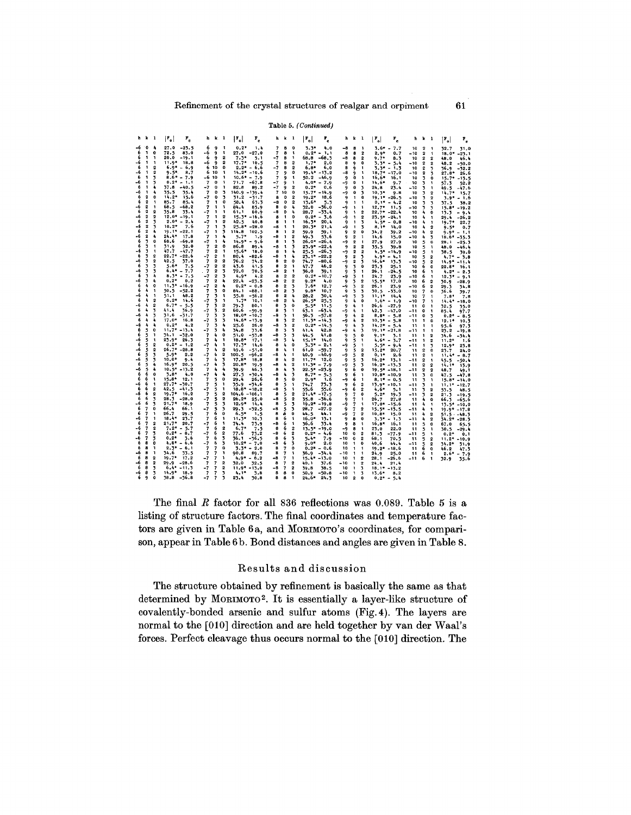#### Table 5. (Continued)

| <b>h</b> k 1                                                             | $ P_{o} $<br>$r_e$                | $h \thinspace k \thinspace 1$                                                                                     | $ \mathbf{r}_{\circ} $<br>$\mathbf{r}_e$ | h k 1                                                                                               | $P_{c}$<br>$ \mathbf{r}_{\circ} $   | h k l                                                                       | $ \mathbf{r}_{\circ} $<br>$r_{\rm e}$  | <b>h</b> k 1                                                                  | $ \mathbf{r}_{o} $<br>$\mathbf{r}_{\rm e}$ |
|--------------------------------------------------------------------------|-----------------------------------|-------------------------------------------------------------------------------------------------------------------|------------------------------------------|-----------------------------------------------------------------------------------------------------|-------------------------------------|-----------------------------------------------------------------------------|----------------------------------------|-------------------------------------------------------------------------------|--------------------------------------------|
| $0 - 4$<br>-6<br>6<br>1<br>$\mathbf o$                                   | 27.0<br>$-25.5$<br>72.5<br>83.0   | 6<br>9<br>$\mathbf{I}$<br>-6<br>q<br>$\mathbf{1}$                                                                 | $0.2*$<br>1.4                            | $\overline{\mathbf{z}}$<br>8<br>$\mathbf 0$<br>7<br>8                                               | 3.3*<br>4.0                         | -8<br>8<br>$\mathbf{1}$<br>8                                                | $3.6* - 7.7$                           | 10<br>$\mathbf{2}$<br>1                                                       | 32.7<br>31.0                               |
| 6<br>1<br>$\mathbf{1}$                                                   | $20.0 - 19.1$                     | $\overline{2}$<br>6<br>۰                                                                                          | $27.0 - 27.0$<br>$7.3*$<br>5.1           | 1<br>-7<br>я<br>$\mathbf{1}$                                                                        | $0.2* - 1.1$<br>68.8 - 68.3         | 8<br>$\overline{\mathbf{2}}$<br>-8<br>8<br>$\mathbf{2}$                     | $2.9*$<br>0.7<br>$9.7*$<br>8.3         | $\overline{\mathbf{2}}$<br>$-10$<br>$\mathbf{1}$<br>2<br>10<br>$\overline{2}$ | $18.0* -23.1$<br>48.0<br>46.4              |
| $\mathbf{1}$<br>-6<br>$\mathbf{1}$<br>6<br>$\mathbf{1}$                  | $11.9*$<br>18.8                   | $\overline{2}$<br>-6<br>۰<br>$\Omega$                                                                             | $17.7*$<br>10.5                          | 8<br>$\overline{2}$<br>7                                                                            | $1.7*$<br>2.0                       | 8<br>9<br>$\Omega$                                                          | $5.5* - 5.4$                           | $-10$<br>$\mathbf{2}$<br>2                                                    | 48.2<br>$-50.0$                            |
| $\mathbf{2}$<br>-6<br>1<br>2                                             | $6.9* - 6.9$<br>$9.5*$<br>8.7     | 6 10<br>6 10<br>$\mathbf{1}$                                                                                      | $2.2* - 6.6$<br>$14.2* -10.6$            | $\mathbf{2}$<br>-7<br>э<br>$\mathbf{0}$<br>7<br>9                                                   | $6.8*$<br>6.0<br>$19.4* -13.2$      | 8<br>9<br>1<br>-8<br>9<br>1                                                 | $3.3*$<br>$-1.5$<br>$18.7*$<br>$-17.0$ | 10<br>2<br>3<br>$-10$<br>2<br>3                                               | 36.9<br>$-52.2$<br>$27.8*26.6$             |
| 6<br>1<br>$\overline{\mathbf{3}}$                                        | $8.6* - 7.9$                      | -6 10<br>1                                                                                                        | $10.6* - 7.9$                            | 9<br>$\mathbf{1}$<br>7                                                                              | 50.2<br>$-46.9$                     | 9<br>o<br>$\mathbf{1}$                                                      | $16.6*$<br>16.1                        | 10<br>3<br>$\mathbf o$                                                        | $15.7* -13.5$                              |
| -6<br>1<br>3<br>٠<br>6<br>1                                              | $0.2* - 1.1$<br>37.8<br>$-40.5$   | $\overline{\mathbf{z}}$<br>$\bf{0}$<br>$\mathbf{1}$<br>$\mathbf o$<br>$\mathbf{1}$<br>-7                          | 71.7<br>$-67.8$<br>82.8<br>89.2          | -7<br>-1<br>9<br>-7<br>$\mathbf 2$<br>9                                                             | $4.0*$<br>$-7.9$<br>$0.2*$<br>0.6   | -9<br>o<br>1<br>9<br>0<br>3                                                 | $14.6*$<br>9.7<br>24,8<br>23.4         | 3<br>10<br>1<br>3<br>$-10$<br>1                                               | 57.3<br>52.2<br>$49.5 - 47.6$              |
| 4<br>1<br>-6                                                             | 35.5<br>35.4                      | $\overline{\mathbf{z}}$<br>$\mathbf{0}$<br>3                                                                      | $140.9 - 139.4$                          | $\overline{\phantom{a}}$<br>10<br>$\mathbf 0$                                                       | $15.7* -14.9$                       | 0<br>3<br>-9                                                                | $10.5*$<br>9.8                         | 10<br>3<br>$\overline{2}$                                                     | $14.7*$<br>15.7                            |
| 2<br>6<br>o<br>6<br>$\mathbf{2}$                                         | $14.2*$<br>15.6<br>85.7           | 3<br>-7<br>$\mathbf{0}$<br>0                                                                                      | 31.2<br>$-51.7$                          | $\Omega$<br>$\mathbf{2}$<br>8                                                                       | $19.2*$<br>18.6                     | ۰<br>1<br>Ð                                                                 | $19.1* -26.5$                          | $-10$<br>3<br>$\mathbf{\Omega}$                                               | $3.9* - 1.6$                               |
| 1<br>$\overline{2}$<br>-6<br>$\mathbf{1}$                                | 85.4<br>68.5<br>$-68.2$           | 7<br>1<br>7<br>$\mathbf{1}$<br>$\mathbf{1}$                                                                       | 58.4<br>63.3<br>84.4<br>85.9             | -8<br>$\mathbf 0$<br>$\mathbf{2}$<br>8<br>$\mathbf{0}$<br>4                                         | 13.6*<br>5.3<br>$32.0 - 36.0$       | 9<br>$\mathbf{1}$<br>$\mathbf{1}$<br>-9<br>$\mathbf{1}$<br>-1               | $0.1* - 4.2$<br>$12.7*$ 11.5           | 10<br>3<br>3<br>- 10<br>3<br>$\overline{\mathbf{5}}$                          | 37.5<br>38.2<br>$15.8* - 19.2$             |
| 6<br>$\overline{\mathbf{2}}$<br>$\overline{2}$                           | 33.4<br>35.8                      | $\mathbf{1}$<br>$\mathbf{1}$<br>-7                                                                                | 61.1<br>60.9                             | -8<br>A,<br>$\mathbf{0}$                                                                            | $-33.4$<br>28.7                     | 9<br>$\mathbf{2}$<br>$\mathbf{1}$                                           | $22.7* -22.4$                          | 10<br>4<br>o                                                                  | $13.3 - 9.4$                               |
| $\mathbf{2}$<br>-6<br>$\mathbf{2}$<br>$\mathbf{2}$<br>3<br>6             | $12.0* -19.1$<br>$2.0* - 2.4$     | $\overline{2}$<br>7<br>$\mathbf{1}$<br>$\overline{2}$<br>$-7$<br>$\mathbf{1}$                                     | $15.3* -16.6$<br>42.5<br>40.8            | 8<br>$\mathbf{0}$<br>$\mathbf{1}$<br>8<br>$\mathbf{1}$<br>$\mathbf{1}$                              | $0.2*$<br>$-5.6$<br>$16.3*$<br>20.1 | -9<br>$\mathbf{1}$<br>$\mathbf{2}$<br>۰<br>$\mathbf{1}$<br>3                | $23.5* -24.1$<br>$4.5* - 0.8$          | 10<br>4<br>1<br>$-10$<br>4<br>1                                               | $29.4 - 26.2$<br>$19.7*$<br>22.7           |
| $\mathbf{2}$<br>-6<br>3                                                  | $10.2*$<br>7.6                    | 3<br>$\overline{7}$<br>$\mathbf{1}$                                                                               | $25.8* -28.0$                            | -8<br>$\mathbf{1}$<br>$\mathbf{1}$                                                                  | $20.3*$<br>21.4                     | -9<br>$\mathbf{1}$<br>3                                                     | $8.1*$<br>14.0                         | 10<br>4<br>$\overline{\mathbf{2}}$                                            | $9.5*$<br>0.7                              |
| $\mathbf{2}$<br>6<br>A,<br>$\mathbf{2}$<br>$\mathbf{I}_\mathbf{I}$<br>-6 | $19.1* -22.1$<br>$21.4*$<br>17.8  | 3<br>-7<br>$\mathbf{1}$<br>4<br>7<br>1                                                                            | 114.8<br>102.5<br>$5.7*$<br>1.9          | a<br>$\overline{\mathbf{2}}$<br>$\mathbf{1}$<br>2<br>-8<br>$\mathbf{1}$                             | 59.1<br>59.9<br>53.6<br>49.3        | $\overline{\mathbf{2}}$<br>9<br>0<br>$\mathbf{2}$<br>1                      | 34.2<br>39.2<br>14.6                   | 4<br>$-10$<br>2                                                               | $9.9* - 1.1$                               |
| 3<br>0<br>6                                                              | 68.6<br>$-69.8$                   | 4<br>$-7$<br>1                                                                                                    | $14.9*$<br>$-9.6$                        | 3<br>8<br>$\mathbf{1}$                                                                              | $26.0* -26.4$                       | 9<br>-9<br>2<br>$\mathbf{1}$                                                | 15.0<br>27.9<br>27.9                   | $-10$<br>4<br>3<br>5<br>10<br>$\mathbf 0$                                     | $18.6* - 35.3$<br>$28.1 - 25.3$            |
| 6<br>3<br>$\mathbf{I}$                                                   | 31.9<br>32.0<br>47.7              | $\mathbf{2}$<br>$\mathbf 0$<br>$\overline{\mathbf{z}}$                                                            | 86.8<br>89.4                             | $-8$<br>$\mathbf{1}$<br>$\overline{\mathbf{3}}$                                                     | $23.9* -22.4$                       | 9<br>$\overline{2}$<br>$\overline{\mathbf{2}}$                              | 35.5<br>39.8                           | 10<br>5<br>1                                                                  | $48.0 - 46.4$                              |
| -6<br>3<br>$\mathbf{1}$<br>6<br>3<br>$\overline{2}$                      | $-47.7$<br>$22.7^* - 22.6$        | $\mathbf{2}$<br>1<br>$\overline{\mathbf{z}}$<br>$-7$<br>$\overline{2}$<br>$\mathbf{1}$                            | $15.6*$<br>18.0<br>80.4<br>$-82.6$       | $\Delta$<br>8<br>$\mathbf{r}$<br>-8<br>٠<br>$\mathbf{1}$                                            | 25.5<br>$-26.3$<br>$23.1* -22.2$    | $-9$<br>$\overline{\mathbf{2}}$<br>$\overline{2}$<br>$\mathbf{2}$<br>9<br>3 | $4.5* - 14.9$<br>$4.9*$<br>$-4.1$      | $-10$<br>5<br>1<br>5<br>$\overline{2}$<br>10                                  | 38.5<br>39.6<br>$4.7* - 3.8$               |
| 3<br>$\overline{2}$<br>-6                                                | 12.5<br>37.0                      | $\overline{2}$<br>$\mathbf{2}$<br>7                                                                               | 76.2<br>74.2                             | $\mathbf 0$<br>a<br>$\mathbf{2}$                                                                    | $-80.6$<br>74.7                     | $\overline{\mathbf{2}}$<br>-9<br>3                                          | $16,6*$<br>- 13.3                      | $-10$<br>5<br>2                                                               | $14.9* - 11.4$                             |
| 6<br>3<br>3<br>3<br>-6<br>3                                              | $5.6*$<br>7.5<br>$6.4* - 7.7$     | $\overline{2}$<br>2<br>-7<br>.7<br>$\mathbf{2}$<br>3                                                              | 43.6<br>41.5<br>72.0<br>70.5             | 8<br>$\mathbf{2}$<br>1<br>-8<br>$\overline{2}$<br>n,                                                | 47.7<br>46.2<br>39.1<br>36.0        | 9<br>3<br>n<br>9<br>3<br>1                                                  | 23.3<br>25.1<br>26.1<br>$-24.5$        | 6<br>10<br>o<br>10<br>6<br>1                                                  | $22.8*$<br>16.1<br>$4.2^* - 2.3$           |
| 6<br>3<br>4                                                              | $8.3*$<br>$-7.5$                  | $\mathbf{2}$<br>-7<br>3                                                                                           | $4.9*$<br>4.2                            | 8<br>$\mathbf{2}$<br>$\overline{\mathbf{2}}$                                                        | $0.2*$<br>$-10.7$                   | -9<br>3<br>1                                                                | 24.7<br>23.9                           | $-10$<br>6<br>1                                                               | $12.3* - 9.1$                              |
| 3<br>4<br>-6<br>4<br>$\mathbf{o}$<br>6                                   | $0.2*$<br>0.2<br>$11.3* - 16.9$   | 7<br>$\overline{2}$<br>A,<br>$\mathbf{2}$<br>٠                                                                    | $22.1 - 23.5$<br>$0.2* - 0.8$            | $\mathbf 2$<br>2<br>-8                                                                              | $9.2*$<br>4.0                       | 9<br>3<br>2                                                                 | $15.5*$<br>17.0                        | 6<br>10<br>$\overline{2}$                                                     | 30.9<br>$-28.9$                            |
| 4<br>6<br>1                                                              | $50.5 - 52.2$                     | -7<br>3<br>$\Omega$<br>7                                                                                          | 84.1 -88.1                               | 8<br>$\overline{\mathbf{2}}$<br>3<br>$\overline{\phantom{a}}$<br>-8<br>$\overline{\mathbf{2}}$      | $7.6*$<br>12,7<br>$9.8*$<br>10.7    | -9<br>3<br>2<br>9<br>3<br>3                                                 | 26.1<br>23.9<br>$30.5 - 33.0$          | $-10$<br>6<br>$\overline{2}$<br>10<br>7<br>$\Omega$                           | 29.3<br>34.8<br>36.6<br>39.7               |
| -6<br>4<br>1                                                             | 51.1<br>48.2                      | 7<br>3<br>1                                                                                                       | 55.8<br>-56.2                            | 8<br>$\overline{\mathbf{2}}$<br>4                                                                   | 30.4<br>28.2                        | $-9$<br>-3<br>3                                                             | 11, 17<br>14.4                         | 10<br>7<br>$\mathbf{1}$                                                       | $7.8*$<br>7.8                              |
| 6<br>٠<br>$\mathbf{2}$<br>4<br>$\mathbf{2}$<br>-6                        | $0.2*$ 14.6<br>$6.7 - 5.5$        | $-7$<br>٦,<br>1<br>7<br>$\overline{2}$<br>3                                                                       | $1.7*$<br>10.1<br>79.3<br>80.1           | $\mathbf{r}_\mathrm{c}$<br>$-8$<br>$\overline{2}$<br>8<br>$\mathbf{o}$<br>3                         | $26.5*$<br>25.3<br>$5.5 - 11.5$     | 9<br>٠<br>$\Omega$<br>٠<br>9<br>-1                                          | $1.6* - 1.9$<br>$26.6 -27.9$           | $-10$<br>7<br>$\mathbf{1}$<br>11<br>$\mathbf 0$<br>$\mathbf{1}$               | $14.4* - 18.0$<br>32.5<br>35.0             |
| $\mathbf{I}_\mathbf{S}$<br>6<br>$\overline{\mathbf{3}}$                  | 41.4<br>36.9                      | $\overline{2}$<br>3.<br>-7                                                                                        | 60.6<br>$-59.9$                          | 8<br>3<br>$\mathbf{1}$                                                                              | $-65.4$<br>63. 1                    | -9<br>$\frac{1}{2}$<br>$\mathbf{1}$                                         | $42.3 - 47.0$                          | -11<br>٥<br>1                                                                 | 85.4<br>97.7                               |
| 4<br>-6<br>$\overline{\mathbf{3}}$<br>6<br>4<br>۷                        | 31.6<br>$-31.7$<br>$17.0*16.8$    | 7<br>3<br>з.<br>3<br>3<br>-7                                                                                      | $18.0* -10.7$<br>$14.6* -13.9$           | -8<br>3<br>$\mathbf{1}$<br>8<br>$\overline{2}$<br>3                                                 | 56.3<br>$-57.8$<br>$11.5* -14.3$    | ۰<br>4<br>$\overline{2}$<br>-9<br>Ą<br>$\mathbf{2}$                         | $8.8* - 5.8$<br>$10.3* - 5.8$          | $\bf{0}$<br>-11<br>3<br>11<br>1<br>o                                          | $0.2* - 8.5$                               |
| -6<br>4<br>٠                                                             | $0.2*$<br>4.2                     | $\overline{\phantom{a}}$<br>3<br>۸                                                                                | 25.6<br>26.0                             | $-8-$<br>$\overline{\mathbf{3}}$<br>$\overline{2}$                                                  | $0.2* -14.5$                        | 9<br>4<br>3                                                                 | $14.2* - 5.4$                          | 11<br>1<br>1                                                                  | $12.1*$<br>10.3<br>95.6<br>97.5            |
| 6<br>5<br>$\mathbf{0}$<br>5<br>$\mathbf{1}$                              | $11.7* - 13.4$<br>$34.1 - 32.0$   | $-7$<br>3<br>4<br>4<br>$\mathbf 0$                                                                                | 34.8<br>33.6                             | 8<br>3<br>3                                                                                         | 42.8<br>41.4                        | 4<br>3<br>-9                                                                | $19.1* -21.8$                          | -11<br>1<br>1                                                                 | 23.2<br>$-19.8$                            |
| 6<br>5<br>1<br>-6                                                        | $23.9*$<br>26.3                   | 7<br>$\overline{\mathbf{z}}$<br>٠<br>1                                                                            | 51.0<br>$-53.8$<br>$18.8*$<br>17.1       | -8<br>$\overline{3}$<br>3<br>-8<br>3<br>4                                                           | 41.8<br>44.5<br>$15.1*14.0$         | 9<br>5<br>0<br>9<br>5<br>$\mathbf{1}$                                       | $9.1*$<br>3.1<br>$4.6* - 3.7$          | 11<br>1<br>$\overline{2}$<br>-11<br>$\mathbf{1}$<br>2                         | 34.6<br>$-34.4$<br>$11.2*$<br>- 1.6        |
| 6<br>5<br>$\mathbf 2$                                                    | $0.2^* - 1.2$                     | $-7$<br>4<br>$\mathbf{1}$                                                                                         | $17.3*$<br>14.6                          | 8<br>$\mathbf{0}$<br>4                                                                              | $3.3* - 2.1$                        | -9<br>5<br>$\mathbf{1}$                                                     | $5.5*$<br>$-9.4$                       | $-11$<br>$\mathbf{1}$<br>3                                                    | $12.9*23.8$                                |
| 5<br>$\mathbf{2}$<br>-6<br>6<br>5<br>3                                   | $26.7* -28.8$<br>$5.9*$<br>2.2    | $\mathbf{I}_\mathbf{I}$<br>$\overline{2}$<br>$\overline{\mathbf{z}}$<br>$\Delta$<br>$\overline{\mathbf{2}}$<br>-7 | 49.6<br>$-51.0$<br>100.5<br>$-96.2$      | 8<br>4<br>$\mathbf{1}$<br>$-8$<br>$\mathbf{r}$<br>$\mathbf{1}$                                      | $61.0 - 59.7$<br>40.9 -40.9         | 9<br>$\overline{2}$<br>5<br>-9<br>$\mathbf{2}$<br>5                         | $15.2*$<br>20.7<br>$0.1*$<br>- 2.6     | $\overline{2}$<br>11<br>0<br>$\overline{\mathbf{2}}$<br>11<br>1               | 23.7<br>24.0<br>$11.4* - 8.7$              |
| 5<br>3<br>-6                                                             | $10.0*$<br>9.4                    | $\mathbf{I}_k$<br>$\overline{\mathbf{3}}$<br>7                                                                    | $17.8*$<br>18.8                          | 8<br>$\mathbf 2$<br>4                                                                               | $11.7*12.0$                         | ۰<br>5<br>3                                                                 | $16.2*$<br>13.1                        | -11<br>2<br>1                                                                 | $45.5 - 50.4$                              |
| 6<br>5.<br>٠<br>4<br>-6<br>5                                             | $16.9*$<br>20.5<br>$10.5* -13.2$  | $\ddot{\phantom{a}}$<br>3<br>-7<br>$\overline{\phantom{a}}$<br>4<br>4                                             | $20.8*$<br>19.9<br>39.9<br>46.5          | $\overline{\mathbf{2}}$<br>-8<br>4<br>8<br>4<br>3                                                   | $11.3* - 7.9$<br>$22.5* -23.9$      | -9<br>5<br>3<br>6<br>۰<br>$\Omega$                                          | $16.2* -13.3$<br>$19.5* -18.1$         | $\overline{2}$<br>11<br>$\mathbf{2}$<br>$\overline{\mathbf{2}}$<br>-11        | $14.1*$<br>13.9                            |
| 6<br>6<br>0                                                              | $3.8*$<br>4.0                     | Ą<br>-7<br>۸                                                                                                      | 27.5<br>$-30.4$                          | 3<br>-8<br>4                                                                                        | $8.7* - 5.5$                        | 9<br>6<br>1                                                                 | $10.8* - 10.9$                         | 2<br>3<br>11<br>O                                                             | 48.7<br>49.1<br>$47.5 - 17.8$              |
| 6<br>6<br>1<br>6<br>$\mathbf{1}$<br>-6                                   | $15.8*$<br>12.1<br>$27.7* - 30.7$ | 5<br>$\bf{0}$<br>$\overline{\mathbf{z}}$<br>1                                                                     | 29.4<br>26.6                             | $\mathbf{0}$<br>8<br>5<br>8<br>5                                                                    | $2.9*$<br>1.6                       | -9<br>6<br>1                                                                | $8.1* - 0.5$                           | 3<br>11<br>۰                                                                  | $15.8* -14.0$                              |
| 6<br>$\overline{2}$<br>6                                                 | $42.5 - 41.3$                     | 7<br>5<br>-7<br>1<br>5                                                                                            | 35.9 - 34.6<br>$18.8* - 18.2$            | 1<br>-8<br>5<br>1                                                                                   | 73.3<br>74.7<br>55.6<br>55.6        | 9<br>6<br>2<br>-9<br>6<br>$\overline{2}$                                    | $13.9* - 10.1$<br>$4.6*$<br>5.1        | -11<br>3<br>1<br>3<br>11<br>2                                                 | $11.1* -12.7$<br>55.5<br>48.5              |
| -6<br>6<br>2                                                             | $19.7*16.2$                       | $\overline{2}$<br>7<br>5                                                                                          | 104.6 -106.1                             | 8<br>5<br>$\overline{\mathbf{2}}$                                                                   | $21.4* -17.5$                       | ۰<br>$\overline{\mathbf{z}}$<br>$\mathbf o$                                 | $5.2*$<br>19.3                         | -11<br>$\overline{\mathbf{3}}$<br>$\overline{2}$                              | 21.3<br>$-19.5$                            |
| 6<br>6<br>3<br>6<br>-6<br>3                                              | $28.5 - 28.0$<br>$21.7*$<br>18.9  | $\overline{\mathbf{2}}$<br>-7<br>5<br>$\overline{7}$<br>5<br>3                                                    | $26,2*$<br>25.0<br>$12.9*$<br>14.4       | $\mathbf{2}$<br>-8<br>5<br>8<br>3<br>5                                                              | 35.8 - 36.6<br>$19.2* -19.8$        | ۰<br>7<br>$\mathbf{1}$<br>-9<br>7<br>1                                      | 26.7<br>27.8<br>$17.0* -15.6$          | 11<br>4<br>o<br>4<br>11<br>٦                                                  | $66.5 - 65.6$<br>$13.5* - 10.0$            |
| 7<br>$\Omega$<br>£                                                       | 66.4<br>66.1                      | -7<br>5<br>3                                                                                                      | $29.3 - 32.5$                            | -8<br>5<br>3                                                                                        | $28.7 - 27.2$                       | 9<br>2<br>7                                                                 | $15.5* -13.5$                          | $\ddot{\phantom{a}}$<br>$-11$<br>۰,                                           | $19.9* -17.8$                              |
| 6<br>$\overline{\mathbf{z}}$<br>1<br>-6<br>- 7<br>1                      | 26.7<br>29.5<br>$18.4*$<br>23.7   | 6<br>$\bf{0}$<br>7<br>6<br>$\overline{\phantom{a}}$<br>-1                                                         | $6.5*$<br>1.5<br>$11.5*$<br>10.3         | 8<br>$\ddot{\mathbf{0}}$<br>6<br>8<br>6<br>1                                                        | 44.5<br>44.1<br>$16.0*$<br>13.1     | -9<br>$\overline{\mathbf{z}}$<br>$\overline{2}$<br>9<br>8<br>$\bf{0}$       | $10.8*$ 15.0<br>$-1.5$                 | 4<br>11<br>2<br>$-11$<br>4                                                    | $51.5 - 18.5$                              |
| 6<br>7<br>$\overline{\mathbf{2}}$                                        | $21.7*$<br>20.7                   | 6<br>1<br>-7                                                                                                      | 74.4<br>73.9                             | -8<br>6<br>1                                                                                        | 33.4<br>36.6                        | ۰<br>8<br>$\mathbf{1}$                                                      | $3.3*$<br>$16.8*$<br>16,1              | 2<br>$\mathbf{11}$<br>5<br>0                                                  | $34.2* -28.3$<br>67.0<br>65.5              |
| -6<br>7<br>$\mathbf{2}$<br>6<br>$\overline{\mathbf{z}}$                  | $7.2* - 5.7$<br>$0.2* - 8.7$      | $\overline{z}$<br>6<br>$\mathbf{2}$<br>$\mathbf 2$                                                                | $6.7*$<br>7.5                            | 8<br>6<br>$\overline{\mathbf{2}}$                                                                   | $13.5* - 19.0$                      | $-9$<br>8<br>$\ddot{\phantom{1}}$                                           | 23.0<br>22.0                           | 5<br>11<br>1                                                                  | 30.5<br>$-29.4$                            |
| 3<br>$\overline{\mathbf{z}}$<br>3<br>-6                                  | $0.2*$<br>3.6                     | -7<br>6<br>3<br>$\overline{\mathbf{z}}$<br>6                                                                      | 77.6<br>73.2<br>36. 1<br>$-36.5$         | $\overline{\mathbf{2}}$<br>-8<br>6<br>3<br>8<br>6                                                   | $0.2* - 4.6$<br>5.4*<br>7.9         | 10<br>$\mathbf{2}$<br>O<br>-10<br>$\mathbf 0$<br>$\mathbf 2$                | 81.3<br>$-77.9$<br>68.1<br>70.5        | -11<br>5<br>1<br>5<br>11<br>$\overline{2}$                                    | $0.2*$<br>0.1<br>$11.2* - 10.9$            |
| 6<br>8<br>0                                                              | $4.8* - 6.6$                      | $-7$<br>6<br>$\overline{\mathbf{3}}$                                                                              | $10.2* - 7.0$                            | -8<br>6<br>3                                                                                        | $0.0*$<br>2.0                       | 10<br>$\mathbf{1}$<br>$\mathbf 0$                                           | 40.6<br>44.4                           | $-11$<br>$\overline{2}$<br>5                                                  | 34.2* 31.9                                 |
| 6<br>8<br>1<br>-6<br>B<br>$\mathbf{1}$                                   | $2.3* - 6.1$<br>34.6<br>33.5      | $\overline{7}$<br>$\mathbf{o}$<br>7<br>$\overline{7}$<br>$\overline{\mathbf{z}}$<br>n,                            | $7.3* - 2.0$<br>90.8<br>89.7             | $\mathbf o$<br>8<br>$\overline{7}$<br>8<br>$\mathbf{1}$<br>7                                        | $0.2* - 0.6$<br>$36.9 - 34.4$       | 10<br>$\mathbf{1}$<br>$\mathbf{1}$<br>$-10$<br>$\mathbf{1}$<br>$\mathbf{1}$ | $19.2* - 18.6$<br>24.9<br>25.0         | 6<br>11<br>$\bf{0}$<br>6<br>11<br>1                                           | 46.2<br>47.3<br>$2.6*$<br>$-7.9$           |
| я<br>2<br>6                                                              | $19.7*$<br>17.2                   | $-7$<br>$\overline{7}$<br>$\mathbf{1}$                                                                            | $4.9* - 6.2$                             | -8<br>1<br>7                                                                                        | $15.4* - 13.0$                      | $\mathbf{2}$<br>10<br>$\mathbf{1}$                                          | 28,1<br>$-26.6$                        | -11<br>6<br>1                                                                 | 32.9<br>35.6                               |
| 8<br>2<br>-6<br>6<br>8<br>3                                              | $29.9 - 28.6$<br>$6.4* -11.3$     | $\overline{2}$<br>$\overline{\mathbf{z}}$<br>$\overline{\mathbf{z}}$<br>$\overline{2}$<br>-7<br>7                 | 32.5<br>32.0<br>$11.9* -13.0$            | $\overline{2}$<br>8<br>$\overline{\phantom{a}}$<br>-8<br>$\overline{\phantom{a}}$<br>$\overline{2}$ | 40.1<br>37.6<br>38.5<br>39.8        | -10<br>$\mathbf{1}$<br>$\overline{\mathbf{2}}$<br>10<br>$\mathbf{1}$<br>3   | 24.4<br>21.4<br>$18.1* - 13.2$         |                                                                               |                                            |
| -6<br>- 8<br>$\overline{\mathbf{3}}$                                     | $14.9*$ 18.9                      | $\overline{\mathbf{z}}$<br>$\overline{7}$<br>3                                                                    | 4.1*<br>3.8                              | 8 8<br>$\mathbf 0$                                                                                  | $50.9 - 50.8$                       | $-10$<br>$\mathbf{1}$<br>$\mathbf{z}$                                       | $13.6*$<br>8.2                         |                                                                               |                                            |
| 690                                                                      | $38.8 - 36.8$                     | $-7, 7$<br>3                                                                                                      | 23.4<br>30.8                             | 881                                                                                                 | $24.6*$<br>24.3                     | 10<br>$\mathbf{2}$<br>$\Omega$                                              | $0.2* - 5.4$                           |                                                                               |                                            |

The final  $R$  factor for all 836 reflections was 0.089. Table 5 is a listing of structure factors. The final coordinates and temperature factors are given in Table 6a, and MORIMOTO's coordinates, for comparison, appear in Table 6 b. Bond distances and angles are given in Table 8.

## Results and discussion

The structure obtained by refinement is basically the same as that determined by MORIMOTO<sup>2</sup>. It is essentially a layer-like structure of covalently-bonded arsenic and sulfur atoms (Fig. 4). The layers are normal to the [010] direction and are held together by van der Waal's forces. Perfect cleavage thus occurs normal to the [010] direction. The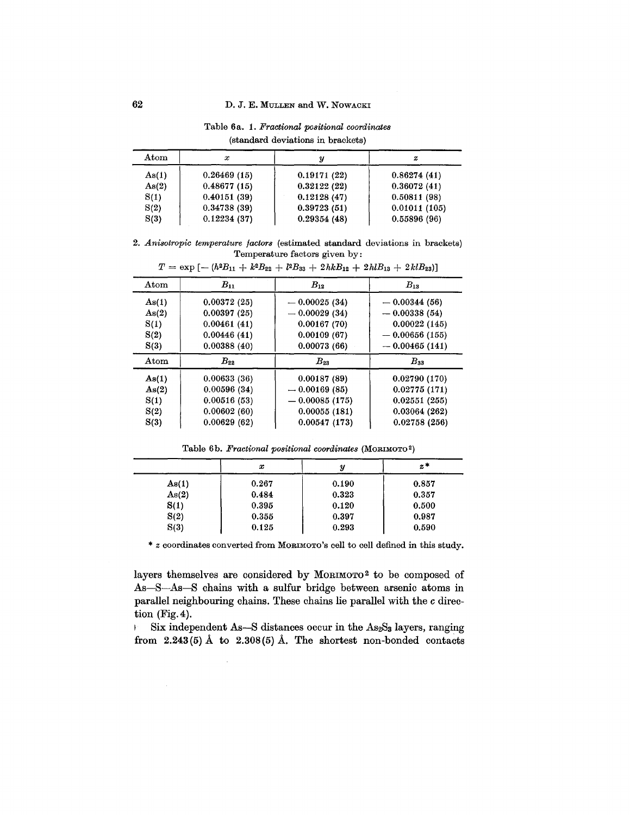Atom *x y z* As(1) 0.26469 (15) 0.19171 (22) 0.86274 (41) As(2)  $\begin{array}{|c|c|c|c|c|c|c|c|} \hline 0.48677 & (15) & 0.32122 & (22) & 0.36072 & (41) \hline \end{array}$  $S(1)$  0.40151 (39) 0.12128 (47) 0.50811 (98)  $S(2)$  0.34738 (39) 0.39723 (51) 0.01011 (105)  $S(3)$  | 0.12234 (37) | 0.29354 (48) | 0.55896 (96)

Table 6a. 1. *Fractional positional coordinates* (standard deviations in brackets)

*2. Anisotropic temperature factors* (estimated standard deviations in brackets) Temperature factors given by:

| Atom  | $B_{11}$    | $B_{12}$        | $B_{13}$        |
|-------|-------------|-----------------|-----------------|
| As(1) | 0.00372(25) | $-0.00025(34)$  | $-0.00344(56)$  |
| As(2) | 0.00397(25) | $-0.00029(34)$  | $-0.00338(54)$  |
| S(1)  | 0.00461(41) | 0.00167(70)     | 0.00022(145)    |
| S(2)  | 0.00446(41) | 0.00109(67)     | $-0.00656(155)$ |
| S(3)  | 0.00388(40) | 0.00073(66)     | $-0.00465(141)$ |
| Atom  | $B_{22}$    | $B_{23}$        | $B_{33}$        |
| As(1) | 0.00633(36) | 0.00187(89)     | 0.02790(170)    |
| As(2) | 0.00596(34) | $-0.00169(85)$  | 0.02775(171)    |
| S(1)  | 0.00516(53) | $-0.00085(175)$ | 0.02551(255)    |
| S(2)  | 0.00602(60) | 0.00055(181)    | 0.03064(262)    |
|       |             |                 |                 |

 $T = \exp[-(h^2B_{11} + k^2B_{22} + l^2B_{33} + 2hkB_{12} + 2hlB_{13} + 2klB_{23})]$ 

Table 6b. *Fractional positional coordinates* (MORIMOT02)

|       | x     | у     | $z^*$ |
|-------|-------|-------|-------|
| As(1) | 0.267 | 0.190 | 0.857 |
| As(2) | 0.484 | 0.323 | 0.357 |
| S(1)  | 0.395 | 0.120 | 0.500 |
| S(2)  | 0.355 | 0.397 | 0.987 |
| S(3)  | 0.125 | 0.293 | 0.590 |

\* z coordinates converted from MORIMOTO'S cell to cell defined in this study.

layers themselves are considered by MORIMOT02 to be composed of As-S-As-S chains with a sulfur bridge between arsenic atoms in parallel neighbouring chains. These chains lie parallel with the *c* direction (Fig.4).

 $\blacktriangleright$  Six independent As-S distances occur in the As<sub>2</sub>S<sub>3</sub> layers, ranging from  $2.243(5)$  Å to  $2.308(5)$  Å. The shortest non-bonded contacts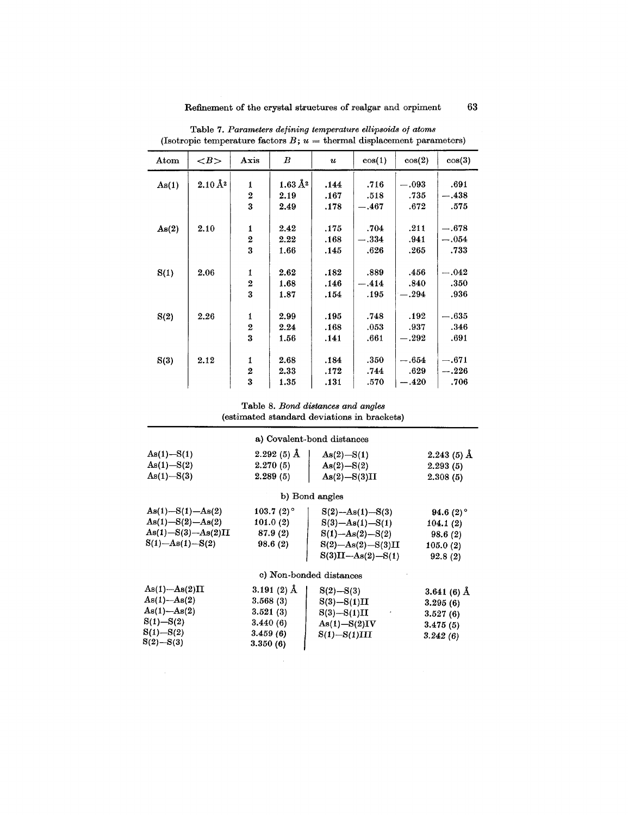| Atom  | $\langle B \rangle$      | Axis                    | $\bm{B}$                 | $\boldsymbol{\mathit{u}}$ | cos(1)  | cos(2)  | cos(3)  |
|-------|--------------------------|-------------------------|--------------------------|---------------------------|---------|---------|---------|
| As(1) | $2.10\,\AA$ <sup>2</sup> | 1                       | $1.63\,\AA$ <sup>2</sup> | .144                      | .716    | $-.093$ | .691    |
|       |                          | $\overline{2}$          | 2.19                     | .167                      | .518    | .735    | $-.438$ |
|       |                          | 3                       | 2.49                     | .178                      | $-.467$ | .672    | .575    |
|       |                          |                         |                          |                           |         |         |         |
| As(2) | 2.10                     | $\mathbf{1}$            | 2.42                     | .175                      | .704    | .211    | $-.678$ |
|       |                          | $\boldsymbol{2}$        | 2.22                     | .168                      | $-.334$ | .941    | $-.054$ |
|       |                          | 3                       | 1.66                     | .145                      | .626    | .265    | .733    |
|       |                          |                         |                          |                           |         |         |         |
| S(1)  | 2.06                     | 1                       | 2.62                     | .182                      | .889    | .456    | $-.042$ |
|       |                          | $\overline{2}$          | 1.68                     | .146                      | $-.414$ | .840    | .350    |
|       |                          | 3                       | 1.87                     | .154                      | .195    | $-.294$ | .936    |
|       |                          |                         |                          |                           |         |         |         |
| S(2)  | 2.26                     | $\mathbf{1}$            | 2.99                     | .195                      | .748    | .192    | $-.635$ |
|       |                          | $\overline{2}$          | 2.24                     | .168                      | .053    | .937    | .346    |
|       |                          | $\overline{\mathbf{3}}$ | 1.56                     | .141                      | .661    | $-.292$ | .691    |
|       |                          |                         |                          |                           |         |         |         |
| S(3)  | 2.12                     | 1                       | 2.68                     | .184                      | .350    | $-.654$ | $-.671$ |
|       |                          | $\overline{2}$          | 2.33                     | .172                      | .744    | .629    | $-.226$ |
|       |                          | 3                       | 1.35                     | .131                      | .570    | $-.420$ | .706    |

Table 7. *Parameters defining temperature ellipsoids of atoms* (Isotropic temperature factors  $B$ ;  $u =$  thermal displacement parameter

# Table 8. *Bond distances and angles*

(estimated standard deviations in brackets)

|                           |               | a) Covalent-bond distances |                 |
|---------------------------|---------------|----------------------------|-----------------|
| $As(1) - S(1)$            | $2.292(5)$ Å  | $As(2) - S(1)$             | $2.243(5)$ Å    |
| $As(1) - S(2)$            | 2.270(5)      | $As(2) - S(2)$             | 2.293(5)        |
| $As(1) - S(3)$            | 2.289(5)      | $As(2) - S(3)II$           | 2.308(5)        |
|                           |               | b) Bond angles             |                 |
| $As(1) - S(1) - As(2)$    | 103.7 $(2)$ ° | $S(2)$ —As $(1)$ —S $(3)$  | 94.6 $(2)$ °    |
| $As(1) - S(2) - As(2)$    | 101.0(2)      | $S(3)$ -As $(1)$ -S $(1)$  | 104.1(2)        |
| $As(1) - S(3) - As(2)II$  | 87.9(2)       | $S(1) - As(2) - S(2)$      | 98.6(2)         |
| $S(1)$ —As $(1)$ —S $(2)$ | 98.6(2)       | $S(2) - As(2) - S(3)II$    | 105.0(2)        |
|                           |               | $S(3)II - As(2) - S(1)$    | 92.8(2)         |
|                           |               | c) Non-bonded distances    |                 |
| $As(1) - As(2)II$         | 3.191 $(2)$ Å | $S(2) - S(3)$              | 3.641 (6) $\AA$ |
| $As(1) - As(2)$           | 3.568(3)      | $S(3) - S(1)II$            | 3.295(6)        |
| $As(1)-As(2)$             | 3.521(3)      | $S(3) - S(1)II$            | 3.527(6)        |
| $S(1) - S(2)$             | 3.440(6)      | $As(1) - S(2)IV$           | 3.475(5)        |
| $S(1) - S(2)$             | 3.459(6)      | $S(1) - S(1)III$           | 3.242(6)        |
| $S(2) - S(3)$             | 3.350(6)      |                            |                 |

 $\sim$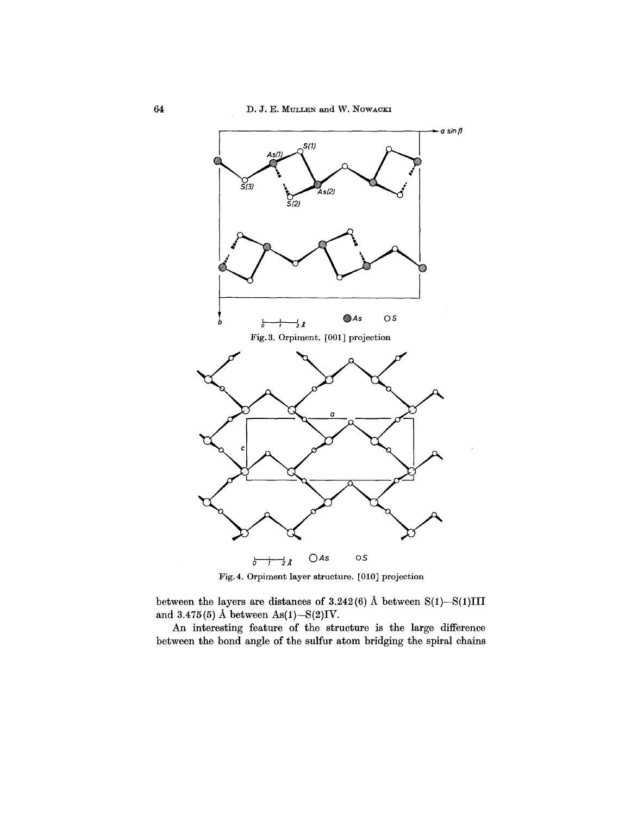

Fig.4. Orpiment layer structure. [010] projection

between the layers are distances of  $3.242(6)$  Å between  $S(1)$ - $S(1)III$ and  $3.475(5)$  Å between As(1)-S(2)IV.

An interesting feature of the structure is the large difference between the bond angle of the sulfur atom bridging the spiral chains